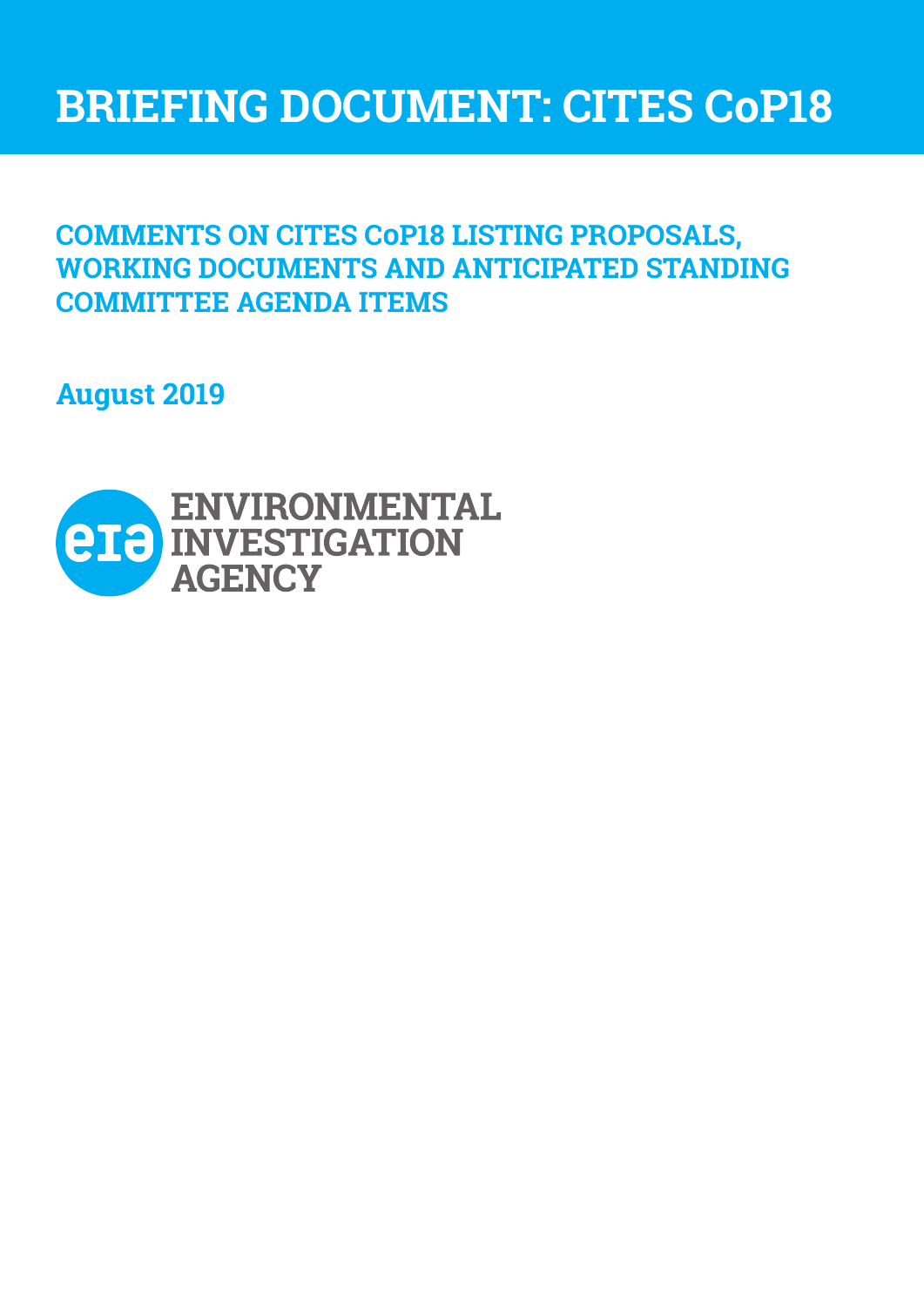# **BRIEFING DOCUMENT: CITES CoP18**

## **COMMENTS ON CITES COP18 LISTING PROPOSALS, WORKING DOCUMENTS AND ANTICIPATED STANDING COMMITTEE AGENDA ITEMS**

**August 2019**

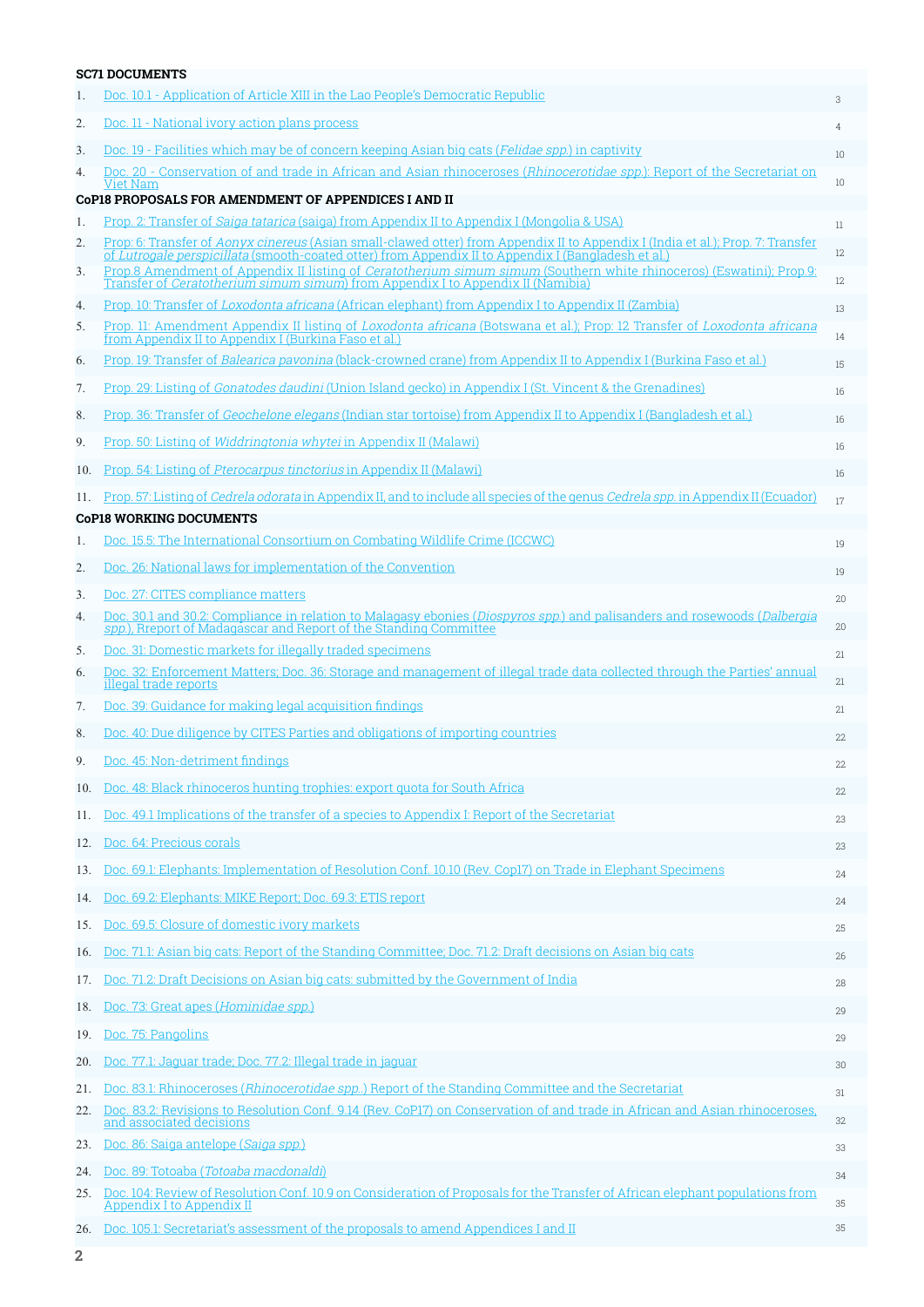|     | <b>SC71 DOCUMENTS</b>                                                                                                                                                                                                                         |    |
|-----|-----------------------------------------------------------------------------------------------------------------------------------------------------------------------------------------------------------------------------------------------|----|
| 1.  | Doc. 10.1 - Application of Article XIII in the Lao People's Democratic Republic                                                                                                                                                               | 3  |
| 2.  | Doc. 11 - National ivory action plans process                                                                                                                                                                                                 | 4  |
| 3.  | Doc. 19 - Facilities which may be of concern keeping Asian big cats ( <i>Felidae spp</i> .) in captivity                                                                                                                                      | 10 |
| 4.  | Doc. 20 - Conservation of and trade in African and Asian rhinoceroses ( <i>Rhinocerotidae spp</i> .): Report of the Secretariat on<br>Viet Nam                                                                                                | 10 |
|     | <b>CoP18 PROPOSALS FOR AMENDMENT OF APPENDICES I AND II</b>                                                                                                                                                                                   |    |
| 1.  | Prop. 2: Transfer of <i>Saiga tatarica</i> (saiga) from Appendix II to Appendix I (Mongolia & USA)                                                                                                                                            | 11 |
| 2.  | Prop: 6: Transfer of <i>Aonyx cinereus</i> (Asian small-clawed otter) from Appendix II to Appendix I (India et al.); Prop. 7: Transfer<br>of Lutrogale perspicillata (smooth-coated otter) from Appendix II to Appendix I (Bangladesh et al.) | 12 |
| 3.  | Prop.8 Amendment of Appendix II listing of <i>Ceratotherium simum simum</i> (Southern white rhinoceros) (Eswatini); Prop.9:<br>Transfer of <i>Ceratotherium simum simum</i> ) from Appendix I to Appendix II (Namibia)                        | 12 |
| 4.  | Prop. 10: Transfer of Loxodonta africana (African elephant) from Appendix I to Appendix II (Zambia)                                                                                                                                           | 13 |
| 5.  | Prop. 11: Amendment Appendix II listing of Loxodonta africana (Botswana et al.); Prop: 12 Transfer of Loxodonta africana<br>from Appendix II to Appendix I (Burkina Faso et al.)                                                              | 14 |
| 6.  | Prop. 19: Transfer of Balearica pavonina (black-crowned crane) from Appendix II to Appendix I (Burkina Faso et al.)                                                                                                                           | 15 |
| 7.  | Prop. 29: Listing of <i>Gonatodes daudini</i> (Union Island gecko) in Appendix I (St. Vincent & the Grenadines)                                                                                                                               | 16 |
| 8.  | Prop. 36: Transfer of <i>Geochelone elegans</i> (Indian star tortoise) from Appendix II to Appendix I (Bangladesh et al.)                                                                                                                     | 16 |
| 9.  | Prop. 50: Listing of <i>Widdringtonia whytei</i> in Appendix II (Malawi)                                                                                                                                                                      | 16 |
| 10. | Prop. 54: Listing of <i>Pterocarpus tinctorius</i> in Appendix II (Malawi)                                                                                                                                                                    | 16 |
| 11. | Prop. 57: Listing of <i>Cedrela odorata</i> in Appendix II, and to include all species of the genus <i>Cedrela spp.</i> in Appendix II (Ecuador)                                                                                              | 17 |
|     | <b>CoP18 WORKING DOCUMENTS</b>                                                                                                                                                                                                                |    |
| 1.  | Doc. 15.5: The International Consortium on Combating Wildlife Crime (ICCWC)                                                                                                                                                                   | 19 |
| 2.  | Doc. 26: National laws for implementation of the Convention                                                                                                                                                                                   | 19 |
| 3.  | Doc. 27: CITES compliance matters                                                                                                                                                                                                             | 20 |
| 4.  | Doc. 30.1 and 30.2: Compliance in relation to Malagasy ebonies (Diospyros spp.) and palisanders and rosewoods (Dalbergia<br>spp.), Rreport of Madagascar and Report of the Standing Committee                                                 | 20 |
| 5.  | Doc. 31: Domestic markets for illegally traded specimens                                                                                                                                                                                      | 21 |
| 6.  | Doc. 32: Enforcement Matters; Doc. 36: Storage and management of illegal trade data collected through the Parties' annual<br>illegal trade reports                                                                                            | 21 |
| 7.  | Doc. 39: Guidance for making legal acquisition findings                                                                                                                                                                                       | 21 |
| 8.  | Doc. 40: Due diligence by CITES Parties and obligations of importing countries                                                                                                                                                                | 22 |
| 9.  | Doc. 45: Non-detriment findings                                                                                                                                                                                                               | 22 |
| 10. | Doc. 48: Black rhinoceros hunting trophies: export quota for South Africa                                                                                                                                                                     | 22 |
| 11. | Doc. 49.1 Implications of the transfer of a species to Appendix I: Report of the Secretariat                                                                                                                                                  | 23 |
| 12. | Doc. 64: Precious corals                                                                                                                                                                                                                      | 23 |
| 13. | Doc. 69.1: Elephants: Implementation of Resolution Conf. 10.10 (Rev. Cop17) on Trade in Elephant Specimens                                                                                                                                    | 24 |
| 14. | Doc. 69.2: Elephants: MIKE Report; Doc. 69.3: ETIS report                                                                                                                                                                                     | 24 |
| 15. | Doc. 69.5: Closure of domestic ivory markets                                                                                                                                                                                                  | 25 |
| 16. | Doc. 71.1: Asian big cats: Report of the Standing Committee; Doc. 71.2: Draft decisions on Asian big cats                                                                                                                                     | 26 |
| 17. | Doc. 71.2: Draft Decisions on Asian big cats: submitted by the Government of India                                                                                                                                                            | 28 |
| 18. | Doc. 73: Great apes (Hominidae spp.)                                                                                                                                                                                                          | 29 |
| 19. | Doc. 75: Pangolins                                                                                                                                                                                                                            | 29 |
| 20. | Doc. 77.1: Jaguar trade; Doc. 77.2: Illegal trade in jaguar                                                                                                                                                                                   | 30 |
| 21. | Doc. 83.1: Rhinoceroses ( <i>Rhinocerotidae spp</i> ) Report of the Standing Committee and the Secretariat                                                                                                                                    | 31 |
| 22. | Doc. 83.2: Revisions to Resolution Conf. 9.14 (Rev. CoP17) on Conservation of and trade in African and Asian rhinoceroses,<br>and associated decisions                                                                                        | 32 |
| 23. | Doc. 86: Saiga antelope (Saiga spp.)                                                                                                                                                                                                          | 33 |
| 24. | Doc. 89: Totoaba (Totoaba macdonaldi)                                                                                                                                                                                                         | 34 |
| 25. | Doc. 104: Review of Resolution Conf. 10.9 on Consideration of Proposals for the Transfer of African elephant populations from<br>Appendix I to Appendix II                                                                                    | 35 |
| 26. | Doc. 105.1: Secretariat's assessment of the proposals to amend Appendices I and II                                                                                                                                                            | 35 |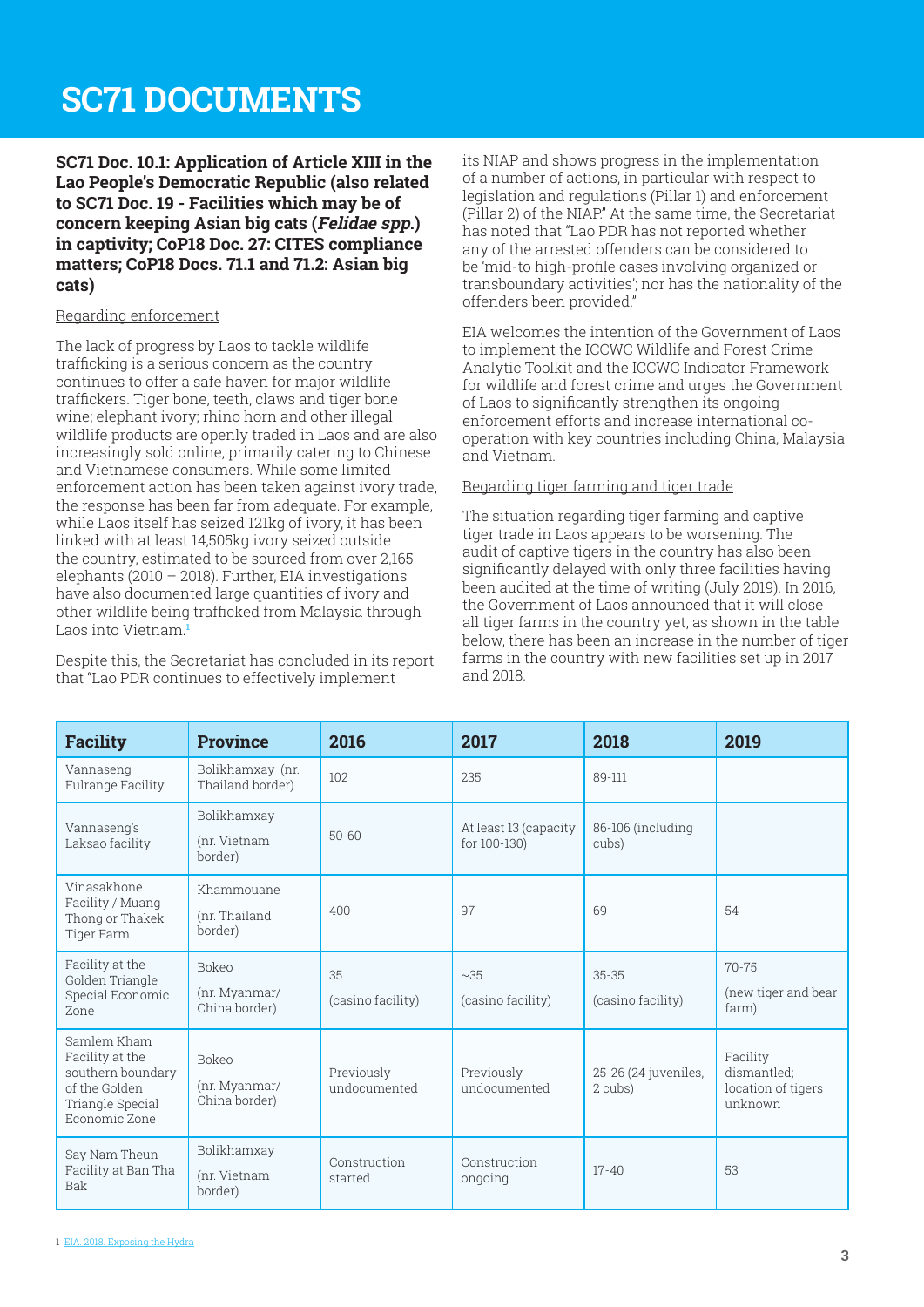## <span id="page-2-0"></span>**SC71 DOCUMENTS**

**SC71 Doc. 10.1: Application of Article XIII in the Lao People's Democratic Republic (also related to SC71 Doc. 19 - Facilities which may be of concern keeping Asian big cats (Felidae spp.) in captivity; CoP18 Doc. 27: CITES compliance matters; CoP18 Docs. 71.1 and 71.2: Asian big cats)**

#### Regarding enforcement

The lack of progress by Laos to tackle wildlife trafficking is a serious concern as the country continues to offer a safe haven for major wildlife traffickers. Tiger bone, teeth, claws and tiger bone wine; elephant ivory; rhino horn and other illegal wildlife products are openly traded in Laos and are also increasingly sold online, primarily catering to Chinese and Vietnamese consumers. While some limited enforcement action has been taken against ivory trade, the response has been far from adequate. For example, while Laos itself has seized 121kg of ivory, it has been linked with at least 14,505kg ivory seized outside the country, estimated to be sourced from over 2,165 elephants (2010 – 2018). Further, EIA investigations have also documented large quantities of ivory and other wildlife being trafficked from Malaysia through Laos into Vietnam.**<sup>1</sup>**

Despite this, the Secretariat has concluded in its report that "Lao PDR continues to effectively implement

its NIAP and shows progress in the implementation of a number of actions, in particular with respect to legislation and regulations (Pillar 1) and enforcement (Pillar 2) of the NIAP." At the same time, the Secretariat has noted that "Lao PDR has not reported whether any of the arrested offenders can be considered to be 'mid-to high-profile cases involving organized or transboundary activities'; nor has the nationality of the offenders been provided."

EIA welcomes the intention of the Government of Laos to implement the ICCWC Wildlife and Forest Crime Analytic Toolkit and the ICCWC Indicator Framework for wildlife and forest crime and urges the Government of Laos to significantly strengthen its ongoing enforcement efforts and increase international cooperation with key countries including China, Malaysia and Vietnam.

#### Regarding tiger farming and tiger trade

The situation regarding tiger farming and captive tiger trade in Laos appears to be worsening. The audit of captive tigers in the country has also been significantly delayed with only three facilities having been audited at the time of writing (July 2019). In 2016, the Government of Laos announced that it will close all tiger farms in the country yet, as shown in the table below, there has been an increase in the number of tiger farms in the country with new facilities set up in 2017 and 2018.

| <b>Facility</b>                                                                                           | <b>Province</b>                                | 2016                       | 2017                                  | 2018                            | 2019                                                     |
|-----------------------------------------------------------------------------------------------------------|------------------------------------------------|----------------------------|---------------------------------------|---------------------------------|----------------------------------------------------------|
| Vannaseng<br>Fulrange Facility                                                                            | Bolikhamxay (nr.<br>Thailand border)           | 102                        | 235                                   | 89-111                          |                                                          |
| Vannaseng's<br>Laksao facility                                                                            | Bolikhamxay<br>(nr. Vietnam<br>border)         | $50 - 60$                  | At least 13 (capacity<br>for 100-130) | 86-106 (including<br>cubs)      |                                                          |
| Vinasakhone<br>Facility / Muang<br>Thong or Thakek<br>Tiger Farm                                          | Khammouane<br>(nr. Thailand<br>border)         | 400                        | 97                                    | 69                              | 54                                                       |
| Facility at the<br>Golden Triangle<br>Special Economic<br>Zone                                            | <b>Bokeo</b><br>(nr. Myanmar/<br>China border) | 35<br>(casino facility)    | ~235<br>(casino facility)             | $35 - 35$<br>(casino facility)  | $70 - 75$<br>(new tiger and bear<br>farm)                |
| Samlem Kham<br>Facility at the<br>southern boundary<br>of the Golden<br>Triangle Special<br>Economic Zone | <b>Bokeo</b><br>(nr. Myanmar/<br>China border) | Previously<br>undocumented | Previously<br>undocumented            | 25-26 (24 juveniles,<br>2 cubs) | Facility<br>dismantled:<br>location of tigers<br>unknown |
| Say Nam Theun<br>Facility at Ban Tha<br>Bak                                                               | Bolikhamxay<br>(nr. Vietnam<br>border)         | Construction<br>started    | Construction<br>ongoing               | $17 - 40$                       | 53                                                       |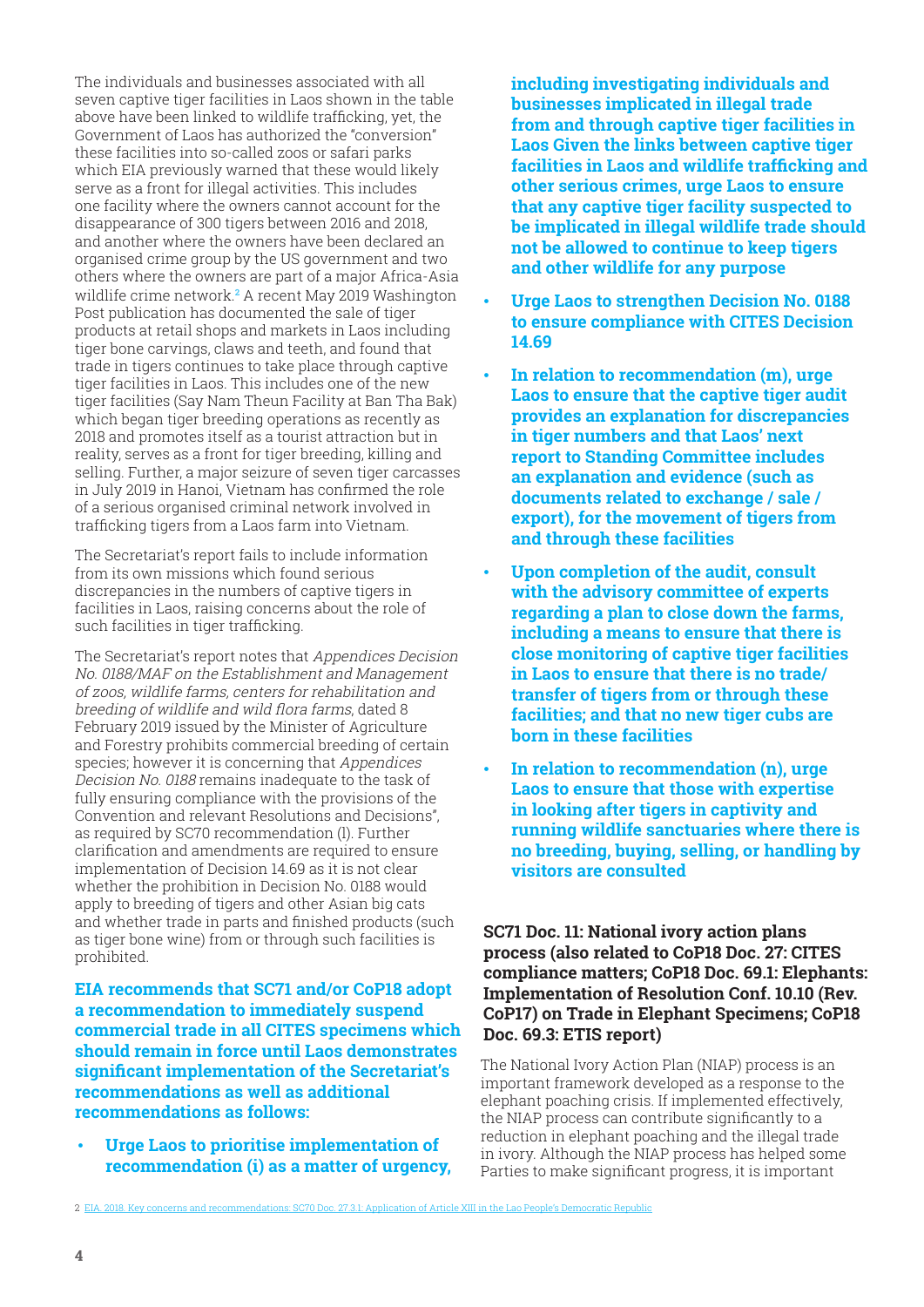<span id="page-3-0"></span>The individuals and businesses associated with all seven captive tiger facilities in Laos shown in the table above have been linked to wildlife trafficking, yet, the Government of Laos has authorized the "conversion" these facilities into so-called zoos or safari parks which EIA previously warned that these would likely serve as a front for illegal activities. This includes one facility where the owners cannot account for the disappearance of 300 tigers between 2016 and 2018, and another where the owners have been declared an organised crime group by the US government and two others where the owners are part of a major Africa-Asia wildlife crime network.**<sup>2</sup>** A recent May 2019 Washington Post publication has documented the sale of tiger products at retail shops and markets in Laos including tiger bone carvings, claws and teeth, and found that trade in tigers continues to take place through captive tiger facilities in Laos. This includes one of the new tiger facilities (Say Nam Theun Facility at Ban Tha Bak) which began tiger breeding operations as recently as 2018 and promotes itself as a tourist attraction but in reality, serves as a front for tiger breeding, killing and selling. Further, a major seizure of seven tiger carcasses in July 2019 in Hanoi, Vietnam has confirmed the role of a serious organised criminal network involved in trafficking tigers from a Laos farm into Vietnam.

The Secretariat's report fails to include information from its own missions which found serious discrepancies in the numbers of captive tigers in facilities in Laos, raising concerns about the role of such facilities in tiger trafficking.

The Secretariat's report notes that Appendices Decision No. 0188/MAF on the Establishment and Management of zoos, wildlife farms, centers for rehabilitation and breeding of wildlife and wild flora farms, dated 8 February 2019 issued by the Minister of Agriculture and Forestry prohibits commercial breeding of certain species; however it is concerning that Appendices Decision No. 0188 remains inadequate to the task of fully ensuring compliance with the provisions of the Convention and relevant Resolutions and Decisions", as required by SC70 recommendation (l). Further clarification and amendments are required to ensure implementation of Decision 14.69 as it is not clear whether the prohibition in Decision No. 0188 would apply to breeding of tigers and other Asian big cats and whether trade in parts and finished products (such as tiger bone wine) from or through such facilities is prohibited.

**EIA recommends that SC71 and/or CoP18 adopt a recommendation to immediately suspend commercial trade in all CITES specimens which should remain in force until Laos demonstrates significant implementation of the Secretariat's recommendations as well as additional recommendations as follows:**

• **Urge Laos to prioritise implementation of recommendation (i) as a matter of urgency,**  **including investigating individuals and businesses implicated in illegal trade from and through captive tiger facilities in Laos Given the links between captive tiger facilities in Laos and wildlife trafficking and other serious crimes, urge Laos to ensure that any captive tiger facility suspected to be implicated in illegal wildlife trade should not be allowed to continue to keep tigers and other wildlife for any purpose**

- **Urge Laos to strengthen Decision No. 0188 to ensure compliance with CITES Decision 14.69**
- **In relation to recommendation (m), urge Laos to ensure that the captive tiger audit provides an explanation for discrepancies in tiger numbers and that Laos' next report to Standing Committee includes an explanation and evidence (such as documents related to exchange / sale / export), for the movement of tigers from and through these facilities**
- **Upon completion of the audit, consult with the advisory committee of experts regarding a plan to close down the farms, including a means to ensure that there is close monitoring of captive tiger facilities in Laos to ensure that there is no trade/ transfer of tigers from or through these facilities; and that no new tiger cubs are born in these facilities**
- **In relation to recommendation (n), urge Laos to ensure that those with expertise in looking after tigers in captivity and running wildlife sanctuaries where there is no breeding, buying, selling, or handling by visitors are consulted**

#### **SC71 Doc. 11: National ivory action plans process (also related to CoP18 Doc. 27: CITES compliance matters; CoP18 Doc. 69.1: Elephants: Implementation of Resolution Conf. 10.10 (Rev. CoP17) on Trade in Elephant Specimens; CoP18 Doc. 69.3: ETIS report)**

The National Ivory Action Plan (NIAP) process is an important framework developed as a response to the elephant poaching crisis. If implemented effectively, the NIAP process can contribute significantly to a reduction in elephant poaching and the illegal trade in ivory. Although the NIAP process has helped some Parties to make significant progress, it is important

<sup>2</sup> EIA. 2018. Key concerns and recommendations: SC70 Doc. 27.3.1: Application of Article XIII in the Lao People's Democratic Republic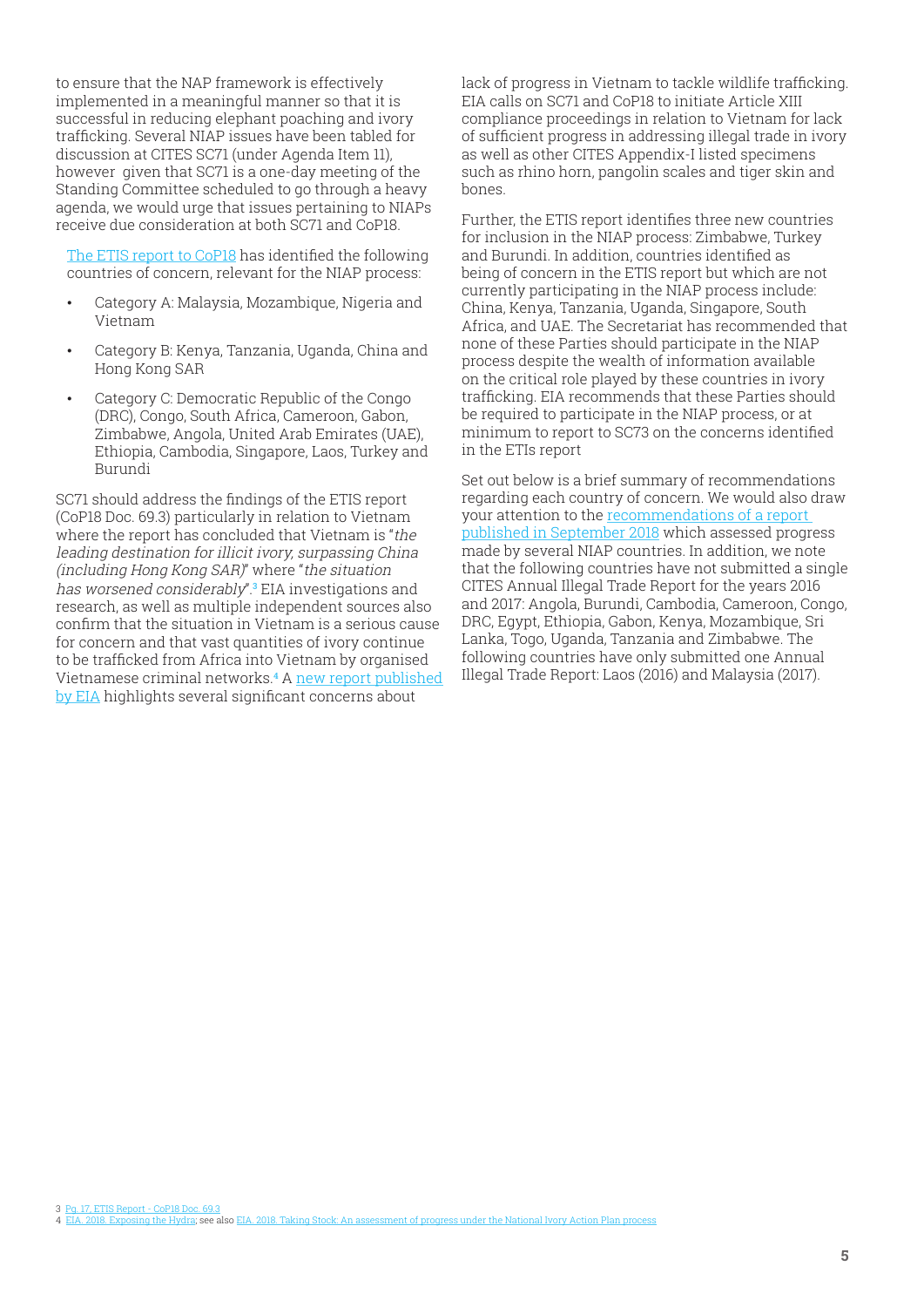to ensure that the NAP framework is effectively implemented in a meaningful manner so that it is successful in reducing elephant poaching and ivory trafficking. Several NIAP issues have been tabled for discussion at CITES SC71 (under Agenda Item 11), however given that SC71 is a one-day meeting of the Standing Committee scheduled to go through a heavy agenda, we would urge that issues pertaining to NIAPs receive due consideration at both SC71 and CoP18.

[The ETIS report to CoP18](https://cites.org/sites/default/files/eng/cop/18/doc/E-CoP18-069-03-R1.pdf) has identified the following countries of concern, relevant for the NIAP process:

- Category A: Malaysia, Mozambique, Nigeria and Vietnam
- Category B: Kenya, Tanzania, Uganda, China and Hong Kong SAR
- Category C: Democratic Republic of the Congo (DRC), Congo, South Africa, Cameroon, Gabon, Zimbabwe, Angola, United Arab Emirates (UAE), Ethiopia, Cambodia, Singapore, Laos, Turkey and Burundi

SC71 should address the findings of the ETIS report (CoP18 Doc. 69.3) particularly in relation to Vietnam where the report has concluded that Vietnam is "the leading destination for illicit ivory, surpassing China (including Hong Kong SAR)" where "the situation has worsened considerably".**<sup>3</sup>** EIA investigations and research, as well as multiple independent sources also confirm that the situation in Vietnam is a serious cause for concern and that vast quantities of ivory continue to be trafficked from Africa into Vietnam by organised Vietnamese criminal networks.<sup>4</sup> A <u>new report published</u> [by EIA](https://eia-international.org/report/running-out-of-time/) highlights several significant concerns about

lack of progress in Vietnam to tackle wildlife trafficking. EIA calls on SC71 and CoP18 to initiate Article XIII compliance proceedings in relation to Vietnam for lack of sufficient progress in addressing illegal trade in ivory as well as other CITES Appendix-I listed specimens such as rhino horn, pangolin scales and tiger skin and bones.

Further, the ETIS report identifies three new countries for inclusion in the NIAP process: Zimbabwe, Turkey and Burundi. In addition, countries identified as being of concern in the ETIS report but which are not currently participating in the NIAP process include: China, Kenya, Tanzania, Uganda, Singapore, South Africa, and UAE. The Secretariat has recommended that none of these Parties should participate in the NIAP process despite the wealth of information available on the critical role played by these countries in ivory trafficking. EIA recommends that these Parties should be required to participate in the NIAP process, or at minimum to report to SC73 on the concerns identified in the ETIs report

Set out below is a brief summary of recommendations regarding each country of concern. We would also draw your attention to the [recommendations of a report](https://reports.eia-international.org/niap/)  [published in September 2018](https://reports.eia-international.org/niap/) which assessed progress made by several NIAP countries. In addition, we note that the following countries have not submitted a single CITES Annual Illegal Trade Report for the years 2016 and 2017: Angola, Burundi, Cambodia, Cameroon, Congo, DRC, Egypt, Ethiopia, Gabon, Kenya, Mozambique, Sri Lanka, Togo, Uganda, Tanzania and Zimbabwe. The following countries have only submitted one Annual Illegal Trade Report: Laos (2016) and Malaysia (2017).

3 Pg. 17, ETIS Report - CoP18 Doc. 69.3 4 EIA. 2018. Exposing the Hydra; see also EIA. 2018. Taking Stock: An assessment of progress under the National Ivory Action Plan process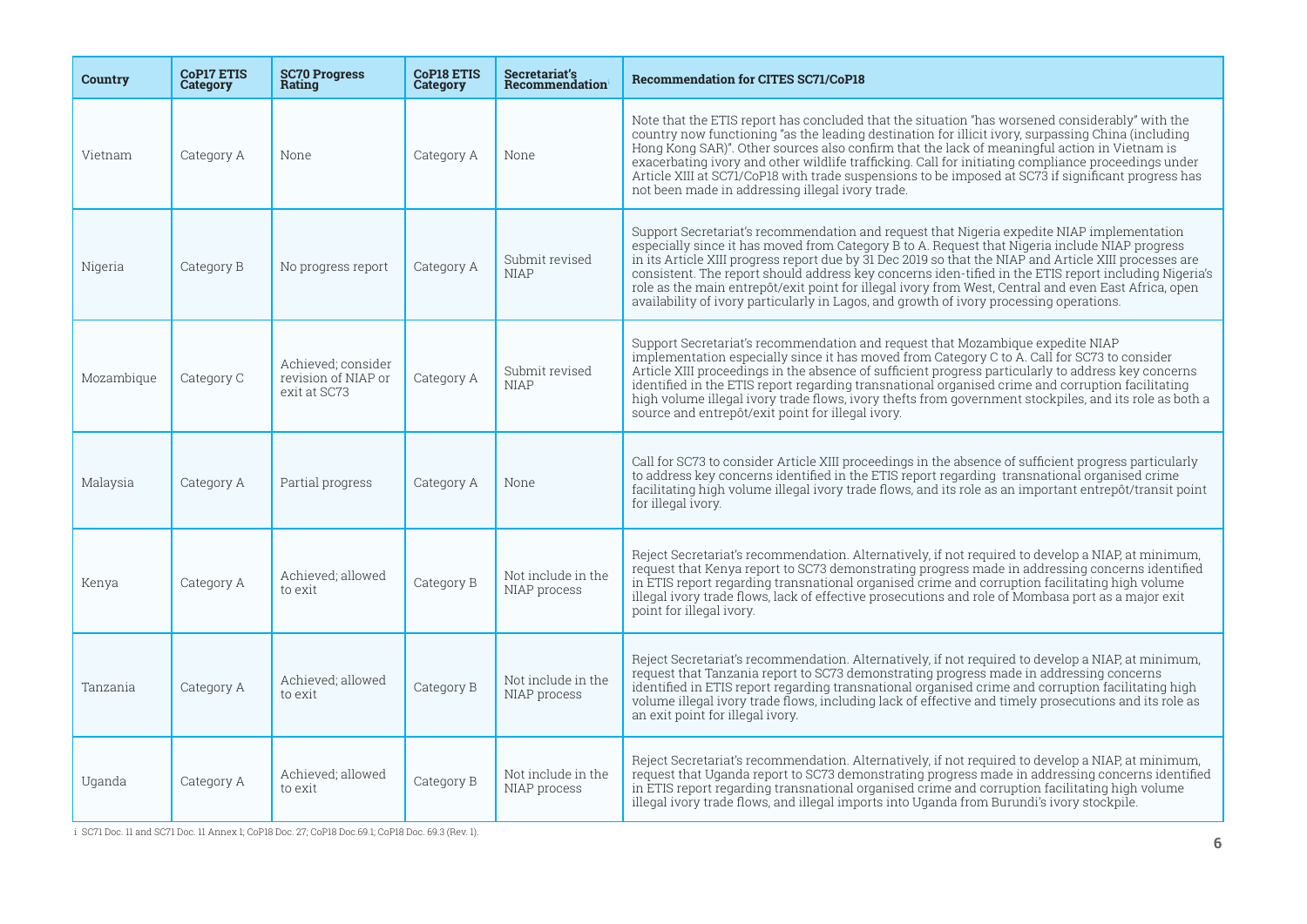| <b>Country</b> | <b>CoP17 ETIS</b><br>Category | <b>SC70 Progress</b><br>Rating                            | <b>CoP18 ETIS</b><br>Category | Secretariat's<br>Recommendation    | <b>Recommendation for CITES SC71/CoP18</b>                                                                                                                                                                                                                                                                                                                                                                                                                                                                                                                                                                         |
|----------------|-------------------------------|-----------------------------------------------------------|-------------------------------|------------------------------------|--------------------------------------------------------------------------------------------------------------------------------------------------------------------------------------------------------------------------------------------------------------------------------------------------------------------------------------------------------------------------------------------------------------------------------------------------------------------------------------------------------------------------------------------------------------------------------------------------------------------|
| Vietnam        | Category A                    | None                                                      | Category A                    | None                               | Note that the ETIS report has concluded that the situation "has worsened considerably" with the<br>country now functioning "as the leading destination for illicit ivory, surpassing China (including<br>Hong Kong SAR)". Other sources also confirm that the lack of meaningful action in Vietnam is<br>exacerbating ivory and other wildlife trafficking. Call for initiating compliance proceedings under<br>Article XIII at SC71/CoP18 with trade suspensions to be imposed at SC73 if significant progress has<br>not been made in addressing illegal ivory trade.                                            |
| Nigeria        | Category B                    | No progress report                                        | Category A                    | Submit revised<br><b>NIAP</b>      | Support Secretariat's recommendation and request that Nigeria expedite NIAP implementation<br>especially since it has moved from Category B to A. Request that Nigeria include NIAP progress<br>in its Article XIII progress report due by 31 Dec 2019 so that the NIAP and Article XIII processes are<br>consistent. The report should address key concerns iden-tified in the ETIS report including Nigeria's<br>role as the main entrepôt/exit point for illegal ivory from West, Central and even East Africa, open<br>availability of ivory particularly in Lagos, and growth of ivory processing operations. |
| Mozambique     | Category C                    | Achieved; consider<br>revision of NIAP or<br>exit at SC73 | Category A                    | Submit revised<br><b>NIAP</b>      | Support Secretariat's recommendation and request that Mozambique expedite NIAP<br>implementation especially since it has moved from Category C to A. Call for SC73 to consider<br>Article XIII proceedings in the absence of sufficient progress particularly to address key concerns<br>identified in the ETIS report regarding transnational organised crime and corruption facilitating<br>high volume illegal ivory trade flows, ivory thefts from government stockpiles, and its role as both a<br>source and entrepôt/exit point for illegal ivory.                                                          |
| Malaysia       | Category A                    | Partial progress                                          | Category A                    | None                               | Call for SC73 to consider Article XIII proceedings in the absence of sufficient progress particularly<br>to address key concerns identified in the ETIS report regarding transnational organised crime<br>facilitating high volume illegal ivory trade flows, and its role as an important entrepôt/transit point<br>for illegal ivory.                                                                                                                                                                                                                                                                            |
| Kenya          | Category A                    | Achieved; allowed<br>to exit                              | Category B                    | Not include in the<br>NIAP process | Reject Secretariat's recommendation. Alternatively, if not required to develop a NIAP, at minimum,<br>request that Kenya report to SC73 demonstrating progress made in addressing concerns identified<br>in ETIS report regarding transnational organised crime and corruption facilitating high volume<br>illegal ivory trade flows, lack of effective prosecutions and role of Mombasa port as a major exit<br>point for illegal ivory.                                                                                                                                                                          |
| Tanzania       | Category A                    | Achieved; allowed<br>to exit                              | Category B                    | Not include in the<br>NIAP process | Reject Secretariat's recommendation. Alternatively, if not required to develop a NIAP, at minimum,<br>request that Tanzania report to SC73 demonstrating progress made in addressing concerns<br>identified in ETIS report regarding transnational organised crime and corruption facilitating high<br>volume illegal ivory trade flows, including lack of effective and timely prosecutions and its role as<br>an exit point for illegal ivory.                                                                                                                                                                   |
| Uganda         | Category A                    | Achieved; allowed<br>to exit                              | Category B                    | Not include in the<br>NIAP process | Reject Secretariat's recommendation. Alternatively, if not required to develop a NIAP, at minimum,<br>request that Uganda report to SC73 demonstrating progress made in addressing concerns identified<br>in ETIS report regarding transnational organised crime and corruption facilitating high volume<br>illegal ivory trade flows, and illegal imports into Uganda from Burundi's ivory stockpile.                                                                                                                                                                                                             |

i SC71 Doc. 11 and SC71 Doc. 11 Annex 1; CoP18 Doc. 27; CoP18 Doc.69.1; CoP18 Doc. 69.3 (Rev. 1). **6**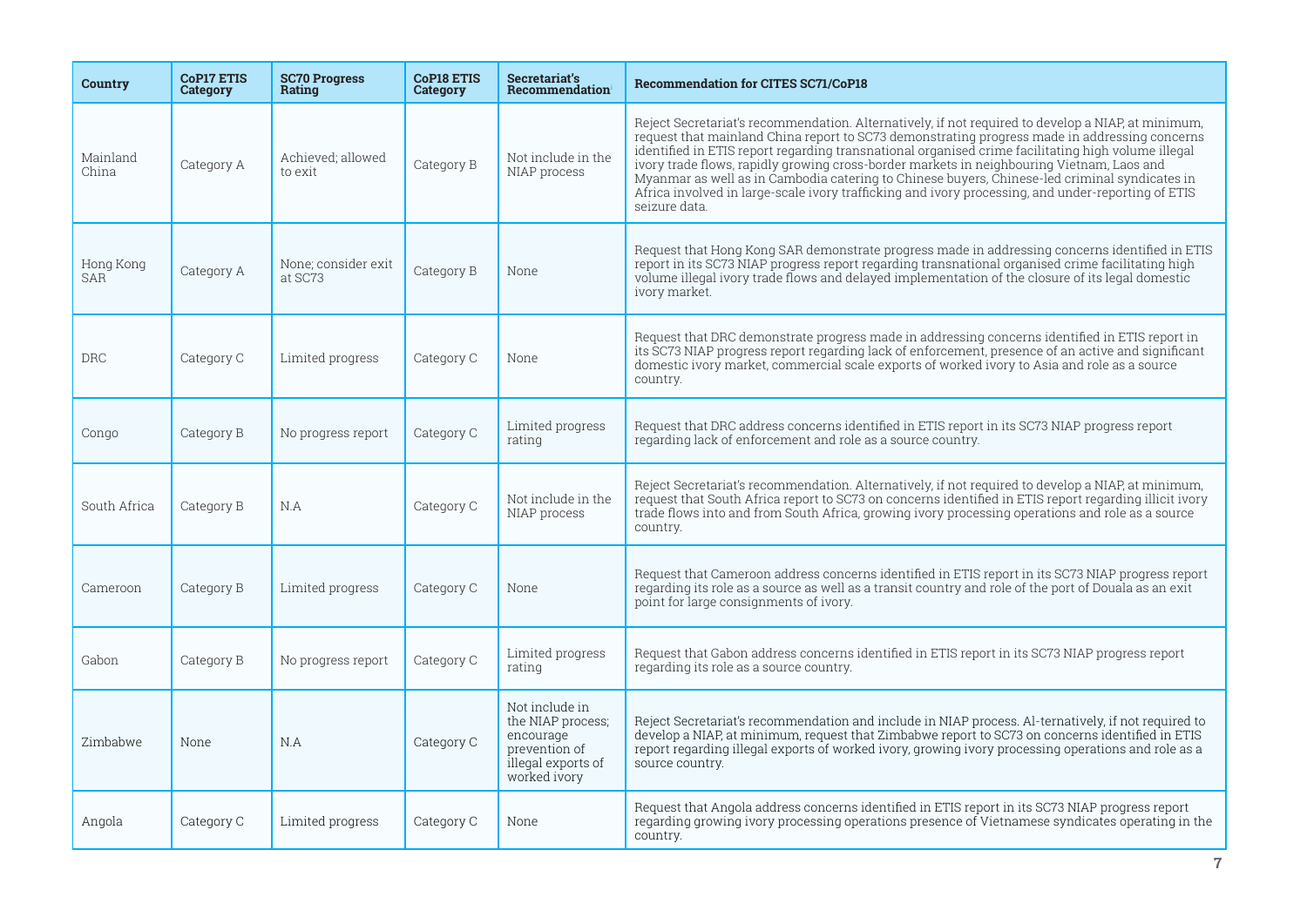| Country                 | <b>CoP17 ETIS</b><br>Category | <b>SC70 Progress</b><br>Rating | <b>CoP18 ETIS</b><br>Category | Secretariat's<br>Recommendation                                                                         | <b>Recommendation for CITES SC71/CoP18</b>                                                                                                                                                                                                                                                                                                                                                                                                                                                                                                                                                                                     |
|-------------------------|-------------------------------|--------------------------------|-------------------------------|---------------------------------------------------------------------------------------------------------|--------------------------------------------------------------------------------------------------------------------------------------------------------------------------------------------------------------------------------------------------------------------------------------------------------------------------------------------------------------------------------------------------------------------------------------------------------------------------------------------------------------------------------------------------------------------------------------------------------------------------------|
| Mainland<br>China       | Category A                    | Achieved; allowed<br>to exit   | Category B                    | Not include in the<br>NIAP process                                                                      | Reject Secretariat's recommendation. Alternatively, if not required to develop a NIAP, at minimum,<br>request that mainland China report to SC73 demonstrating progress made in addressing concerns<br>identified in ETIS report regarding transnational organised crime facilitating high volume illegal<br>ivory trade flows, rapidly growing cross-border markets in neighbouring Vietnam, Laos and<br>Myanmar as well as in Cambodia catering to Chinese buyers, Chinese-led criminal syndicates in<br>Africa involved in large-scale ivory trafficking and ivory processing, and under-reporting of ETIS<br>seizure data. |
| Hong Kong<br><b>SAR</b> | Category A                    | None; consider exit<br>at SC73 | Category B                    | None                                                                                                    | Request that Hong Kong SAR demonstrate progress made in addressing concerns identified in ETIS<br>report in its SC73 NIAP progress report regarding transnational organised crime facilitating high<br>volume illegal ivory trade flows and delayed implementation of the closure of its legal domestic<br>ivory market.                                                                                                                                                                                                                                                                                                       |
| <b>DRC</b>              | Category C                    | Limited progress               | Category C                    | None                                                                                                    | Request that DRC demonstrate progress made in addressing concerns identified in ETIS report in<br>its SC73 NIAP progress report regarding lack of enforcement, presence of an active and significant<br>domestic ivory market, commercial scale exports of worked ivory to Asia and role as a source<br>country.                                                                                                                                                                                                                                                                                                               |
| Congo                   | Category B                    | No progress report             | Category C                    | Limited progress<br>rating                                                                              | Request that DRC address concerns identified in ETIS report in its SC73 NIAP progress report<br>regarding lack of enforcement and role as a source country.                                                                                                                                                                                                                                                                                                                                                                                                                                                                    |
| South Africa            | Category B                    | N.A                            | Category C                    | Not include in the<br>NIAP process                                                                      | Reject Secretariat's recommendation. Alternatively, if not required to develop a NIAP, at minimum,<br>request that South Africa report to SC73 on concerns identified in ETIS report regarding illicit ivory<br>trade flows into and from South Africa, growing ivory processing operations and role as a source<br>country.                                                                                                                                                                                                                                                                                                   |
| Cameroon                | Category B                    | Limited progress               | Category C                    | None                                                                                                    | Request that Cameroon address concerns identified in ETIS report in its SC73 NIAP progress report<br>regarding its role as a source as well as a transit country and role of the port of Douala as an exit<br>point for large consignments of ivory.                                                                                                                                                                                                                                                                                                                                                                           |
| Gabon                   | Category B                    | No progress report             | Category C                    | Limited progress<br>rating                                                                              | Request that Gabon address concerns identified in ETIS report in its SC73 NIAP progress report<br>regarding its role as a source country.                                                                                                                                                                                                                                                                                                                                                                                                                                                                                      |
| Zimbabwe                | None                          | N.A                            | Category C                    | Not include in<br>the NIAP process;<br>encourage<br>prevention of<br>illegal exports of<br>worked ivory | Reject Secretariat's recommendation and include in NIAP process. Al-ternatively, if not required to<br>develop a NIAP, at minimum, request that Zimbabwe report to SC73 on concerns identified in ETIS<br>report regarding illegal exports of worked ivory, growing ivory processing operations and role as a<br>source country.                                                                                                                                                                                                                                                                                               |
| Angola                  | Category C                    | Limited progress               | Category C                    | None                                                                                                    | Request that Angola address concerns identified in ETIS report in its SC73 NIAP progress report<br>regarding growing ivory processing operations presence of Vietnamese syndicates operating in the<br>country.                                                                                                                                                                                                                                                                                                                                                                                                                |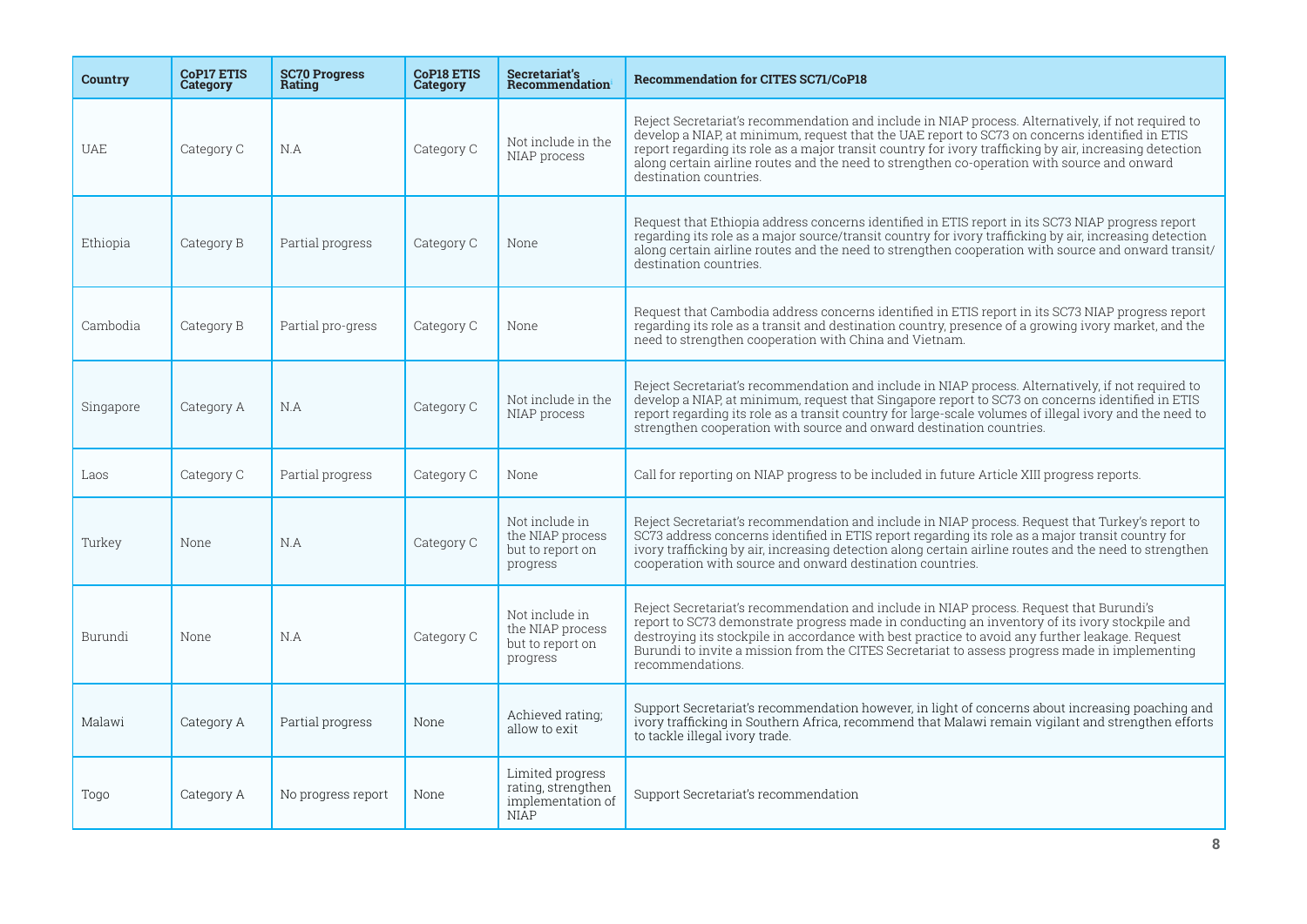| <b>Country</b> | <b>CoP17 ETIS</b><br>Category | <b>SC70 Progress</b><br>Rating | <b>CoP18 ETIS</b><br>Category | Secretariat's<br>Recommendation                                            | <b>Recommendation for CITES SC71/CoP18</b>                                                                                                                                                                                                                                                                                                                                                                                               |
|----------------|-------------------------------|--------------------------------|-------------------------------|----------------------------------------------------------------------------|------------------------------------------------------------------------------------------------------------------------------------------------------------------------------------------------------------------------------------------------------------------------------------------------------------------------------------------------------------------------------------------------------------------------------------------|
| <b>UAE</b>     | Category C                    | N.A                            | Category C                    | Not include in the<br>NIAP process                                         | Reject Secretariat's recommendation and include in NIAP process. Alternatively, if not required to<br>develop a NIAP, at minimum, request that the UAE report to SC73 on concerns identified in ETIS<br>report regarding its role as a major transit country for ivory trafficking by air, increasing detection<br>along certain airline routes and the need to strengthen co-operation with source and onward<br>destination countries. |
| Ethiopia       | Category B                    | Partial progress               | Category C                    | None                                                                       | Request that Ethiopia address concerns identified in ETIS report in its SC73 NIAP progress report<br>regarding its role as a major source/transit country for ivory trafficking by air, increasing detection<br>along certain airline routes and the need to strengthen cooperation with source and onward transit/<br>destination countries.                                                                                            |
| Cambodia       | Category B                    | Partial pro-gress              | Category C                    | None                                                                       | Request that Cambodia address concerns identified in ETIS report in its SC73 NIAP progress report<br>regarding its role as a transit and destination country, presence of a growing ivory market, and the<br>need to strengthen cooperation with China and Vietnam.                                                                                                                                                                      |
| Singapore      | Category A                    | N.A                            | Category C                    | Not include in the<br>NIAP process                                         | Reject Secretariat's recommendation and include in NIAP process. Alternatively, if not required to<br>develop a NIAP, at minimum, request that Singapore report to SC73 on concerns identified in ETIS<br>report regarding its role as a transit country for large-scale volumes of illegal ivory and the need to<br>strengthen cooperation with source and onward destination countries.                                                |
| Laos           | Category C                    | Partial progress               | Category C                    | None                                                                       | Call for reporting on NIAP progress to be included in future Article XIII progress reports.                                                                                                                                                                                                                                                                                                                                              |
| Turkey         | None                          | N.A                            | Category C                    | Not include in<br>the NIAP process<br>but to report on<br>progress         | Reject Secretariat's recommendation and include in NIAP process. Request that Turkey's report to<br>SC73 address concerns identified in ETIS report regarding its role as a major transit country for<br>ivory trafficking by air, increasing detection along certain airline routes and the need to strengthen<br>cooperation with source and onward destination countries.                                                             |
| Burundi        | None                          | N.A                            | Category C                    | Not include in<br>the NIAP process<br>but to report on<br>progress         | Reject Secretariat's recommendation and include in NIAP process. Request that Burundi's<br>report to SC73 demonstrate progress made in conducting an inventory of its ivory stockpile and<br>destroying its stockpile in accordance with best practice to avoid any further leakage. Request<br>Burundi to invite a mission from the CITES Secretariat to assess progress made in implementing<br>recommendations.                       |
| Malawi         | Category A                    | Partial progress               | None                          | Achieved rating;<br>allow to exit                                          | Support Secretariat's recommendation however, in light of concerns about increasing poaching and<br>ivory trafficking in Southern Africa, recommend that Malawi remain vigilant and strengthen efforts<br>to tackle illegal ivory trade.                                                                                                                                                                                                 |
| Togo           | Category A                    | No progress report             | None                          | Limited progress<br>rating, strengthen<br>implementation of<br><b>NIAP</b> | Support Secretariat's recommendation                                                                                                                                                                                                                                                                                                                                                                                                     |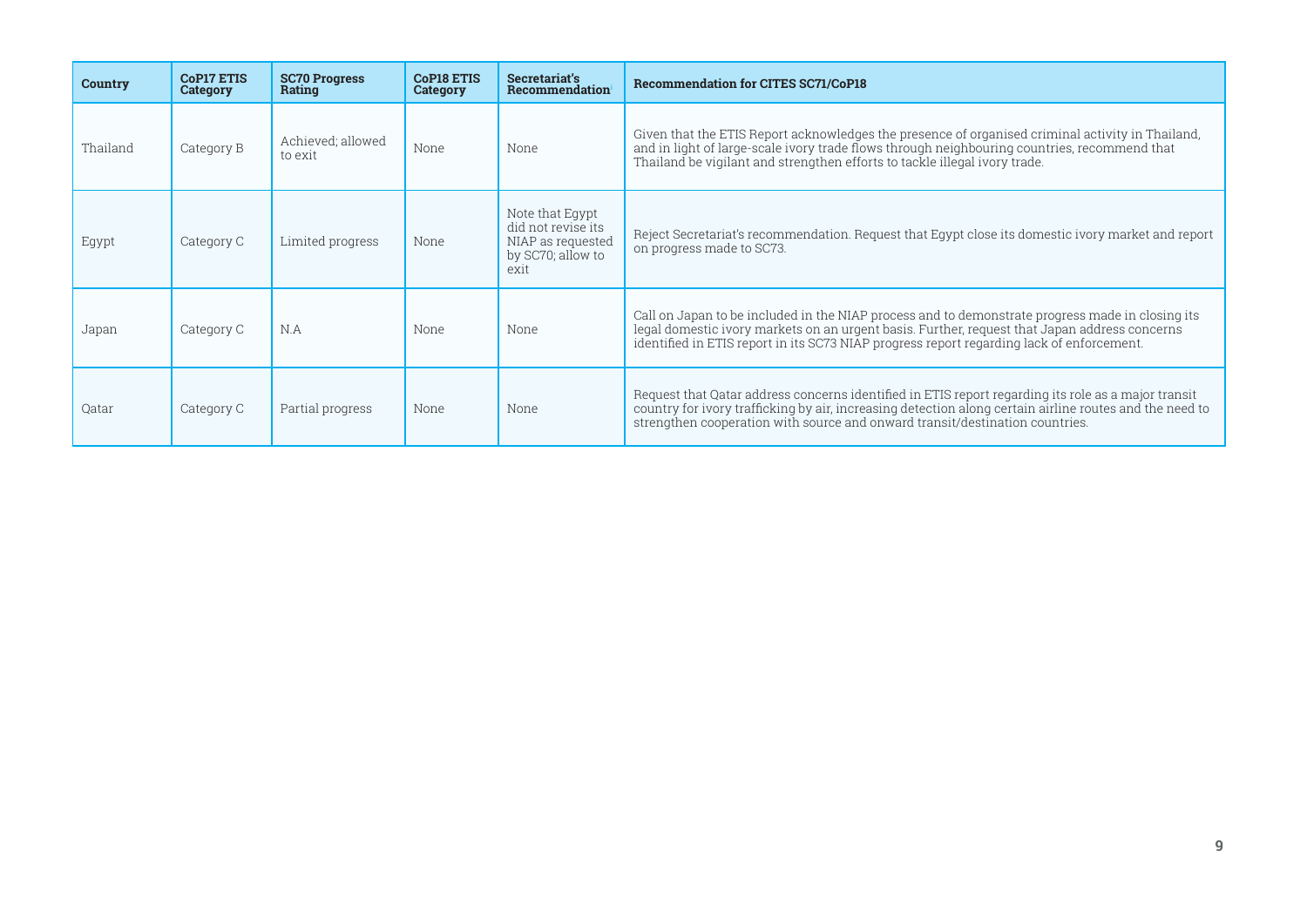| <b>Country</b> | <b>CoP17 ETIS</b><br>Category | <b>SC70 Progress</b><br>Rating | <b>CoP18 ETIS</b><br>Category | Secretariat's<br>Recommendation                                                         | <b>Recommendation for CITES SC71/CoP18</b>                                                                                                                                                                                                                                                     |
|----------------|-------------------------------|--------------------------------|-------------------------------|-----------------------------------------------------------------------------------------|------------------------------------------------------------------------------------------------------------------------------------------------------------------------------------------------------------------------------------------------------------------------------------------------|
| Thailand       | Category B                    | Achieved; allowed<br>to exit   | None                          | None                                                                                    | Given that the ETIS Report acknowledges the presence of organised criminal activity in Thailand,<br>and in light of large-scale ivory trade flows through neighbouring countries, recommend that<br>Thailand be vigilant and strengthen efforts to tackle illegal ivory trade.                 |
| Egypt          | Category C                    | Limited progress               | None                          | Note that Egypt<br>did not revise its<br>NIAP as requested<br>by SC70; allow to<br>exit | Reject Secretariat's recommendation. Request that Egypt close its domestic ivory market and report<br>on progress made to SC73.                                                                                                                                                                |
| Japan          | Category C                    | N.A                            | None                          | None                                                                                    | Call on Japan to be included in the NIAP process and to demonstrate progress made in closing its<br>legal domestic ivory markets on an urgent basis. Further, request that Japan address concerns<br>identified in ETIS report in its SC73 NIAP progress report regarding lack of enforcement. |
| Qatar          | Category C                    | Partial progress               | None                          | None                                                                                    | Request that Qatar address concerns identified in ETIS report regarding its role as a major transit<br>country for ivory trafficking by air, increasing detection along certain airline routes and the need to<br>strengthen cooperation with source and onward transit/destination countries. |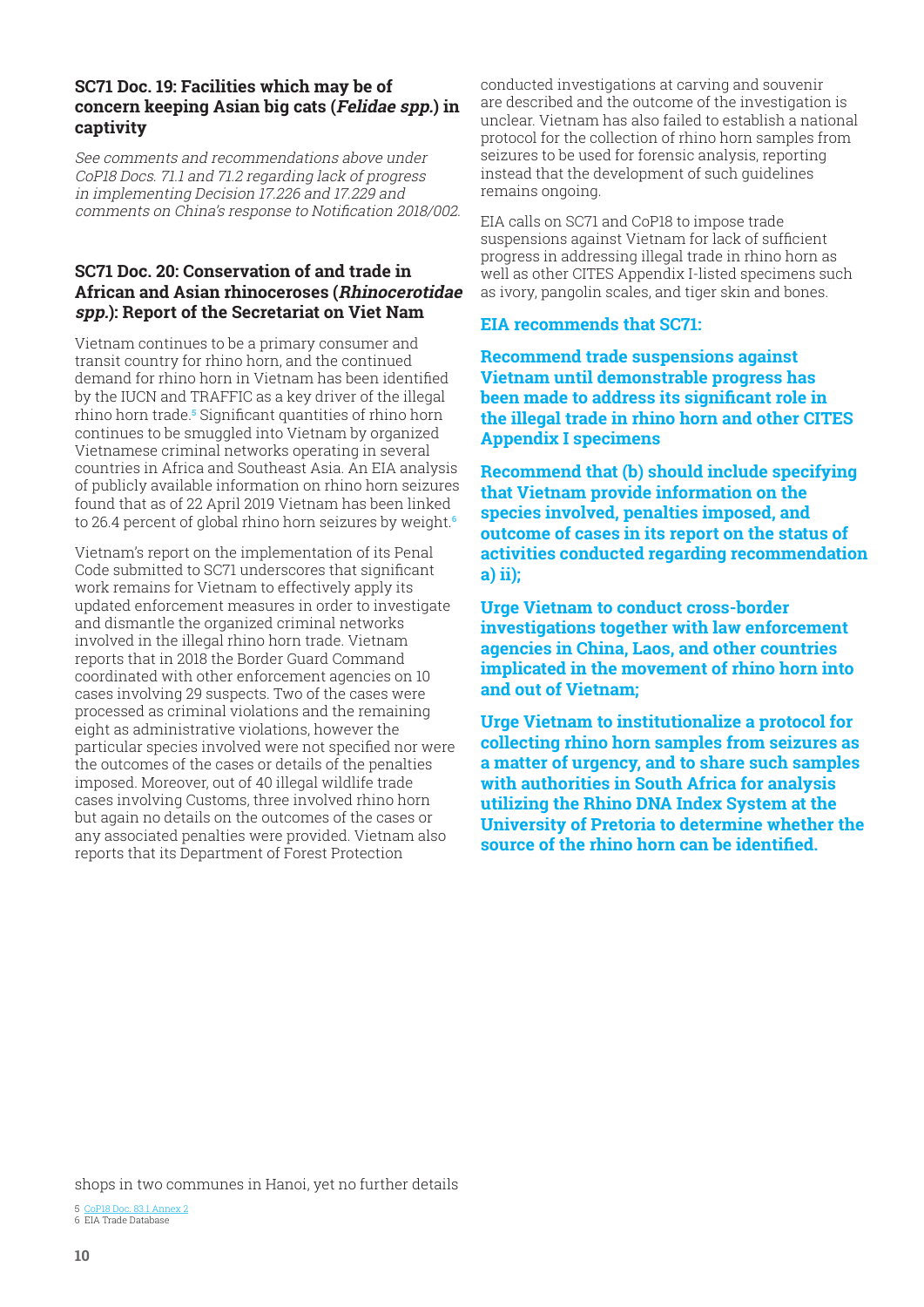#### <span id="page-9-0"></span>**SC71 Doc. 19: Facilities which may be of concern keeping Asian big cats (Felidae spp.) in captivity**

See comments and recommendations above under CoP18 Docs. 71.1 and 71.2 regarding lack of progress in implementing Decision 17.226 and 17.229 and comments on China's response to Notification 2018/002.

#### **SC71 Doc. 20: Conservation of and trade in African and Asian rhinoceroses (Rhinocerotidae spp.): Report of the Secretariat on Viet Nam**

Vietnam continues to be a primary consumer and transit country for rhino horn, and the continued demand for rhino horn in Vietnam has been identified by the IUCN and TRAFFIC as a key driver of the illegal rhino horn trade.**<sup>5</sup>** Significant quantities of rhino horn continues to be smuggled into Vietnam by organized Vietnamese criminal networks operating in several countries in Africa and Southeast Asia. An EIA analysis of publicly available information on rhino horn seizures found that as of 22 April 2019 Vietnam has been linked to 26.4 percent of global rhino horn seizures by weight.**<sup>6</sup>**

Vietnam's report on the implementation of its Penal Code submitted to SC71 underscores that significant work remains for Vietnam to effectively apply its updated enforcement measures in order to investigate and dismantle the organized criminal networks involved in the illegal rhino horn trade. Vietnam reports that in 2018 the Border Guard Command coordinated with other enforcement agencies on 10 cases involving 29 suspects. Two of the cases were processed as criminal violations and the remaining eight as administrative violations, however the particular species involved were not specified nor were the outcomes of the cases or details of the penalties imposed. Moreover, out of 40 illegal wildlife trade cases involving Customs, three involved rhino horn but again no details on the outcomes of the cases or any associated penalties were provided. Vietnam also reports that its Department of Forest Protection

conducted investigations at carving and souvenir are described and the outcome of the investigation is unclear. Vietnam has also failed to establish a national protocol for the collection of rhino horn samples from seizures to be used for forensic analysis, reporting instead that the development of such guidelines remains ongoing.

EIA calls on SC71 and CoP18 to impose trade suspensions against Vietnam for lack of sufficient progress in addressing illegal trade in rhino horn as well as other CITES Appendix I-listed specimens such as ivory, pangolin scales, and tiger skin and bones.

#### **EIA recommends that SC71:**

**Recommend trade suspensions against Vietnam until demonstrable progress has been made to address its significant role in the illegal trade in rhino horn and other CITES Appendix I specimens**

**Recommend that (b) should include specifying that Vietnam provide information on the species involved, penalties imposed, and outcome of cases in its report on the status of activities conducted regarding recommendation a) ii);**

**Urge Vietnam to conduct cross-border investigations together with law enforcement agencies in China, Laos, and other countries implicated in the movement of rhino horn into and out of Vietnam;**

**Urge Vietnam to institutionalize a protocol for collecting rhino horn samples from seizures as a matter of urgency, and to share such samples with authorities in South Africa for analysis utilizing the Rhino DNA Index System at the University of Pretoria to determine whether the source of the rhino horn can be identified.** 

shops in two communes in Hanoi, yet no further details

5 CoP18 Doc. 83.1 Annex 2 6 EIA Trade Database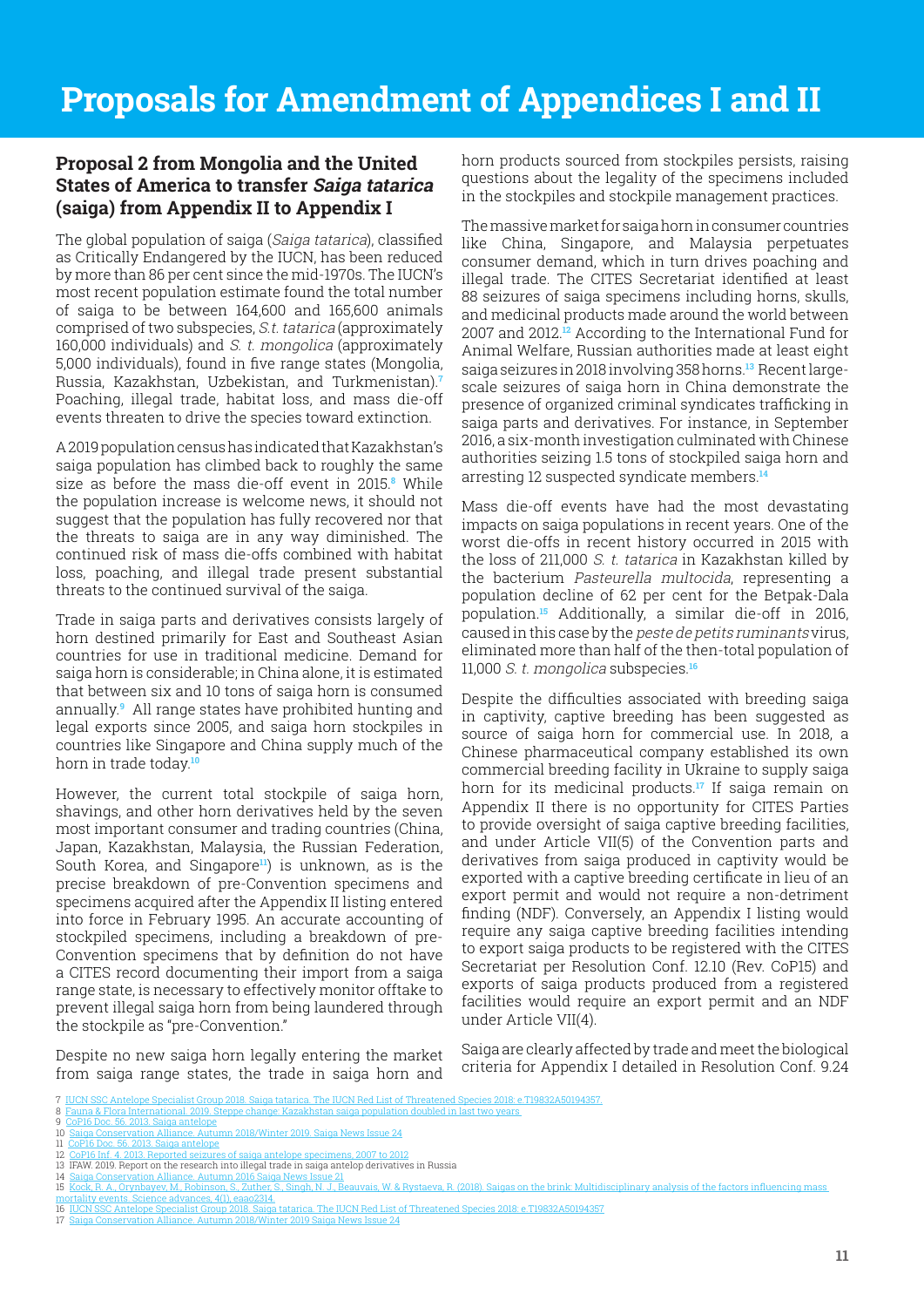## <span id="page-10-0"></span>**Proposal 2 from Mongolia and the United States of America to transfer Saiga tatarica (saiga) from Appendix II to Appendix I**

The global population of saiga (Saiga tatarica), classified as Critically Endangered by the IUCN, has been reduced by more than 86 per cent since the mid-1970s. The IUCN's most recent population estimate found the total number of saiga to be between 164,600 and 165,600 animals comprised of two subspecies, S.t. tatarica (approximately 160,000 individuals) and S. t. mongolica (approximately 5,000 individuals), found in five range states (Mongolia, Russia, Kazakhstan, Uzbekistan, and Turkmenistan).**<sup>7</sup>** Poaching, illegal trade, habitat loss, and mass die-off events threaten to drive the species toward extinction.

A 2019 population census has indicated that Kazakhstan's saiga population has climbed back to roughly the same size as before the mass die-off event in 2015.**<sup>8</sup>** While the population increase is welcome news, it should not suggest that the population has fully recovered nor that the threats to saiga are in any way diminished. The continued risk of mass die-offs combined with habitat loss, poaching, and illegal trade present substantial threats to the continued survival of the saiga.

Trade in saiga parts and derivatives consists largely of horn destined primarily for East and Southeast Asian countries for use in traditional medicine. Demand for saiga horn is considerable; in China alone, it is estimated that between six and 10 tons of saiga horn is consumed annually.**<sup>9</sup>** All range states have prohibited hunting and legal exports since 2005, and saiga horn stockpiles in countries like Singapore and China supply much of the horn in trade today.**<sup>10</sup>**

However, the current total stockpile of saiga horn, shavings, and other horn derivatives held by the seven most important consumer and trading countries (China, Japan, Kazakhstan, Malaysia, the Russian Federation, South Korea, and Singapore**11**) is unknown, as is the precise breakdown of pre-Convention specimens and specimens acquired after the Appendix II listing entered into force in February 1995. An accurate accounting of stockpiled specimens, including a breakdown of pre-Convention specimens that by definition do not have a CITES record documenting their import from a saiga range state, is necessary to effectively monitor offtake to prevent illegal saiga horn from being laundered through the stockpile as "pre-Convention."

Despite no new saiga horn legally entering the market from saiga range states, the trade in saiga horn and

horn products sourced from stockpiles persists, raising questions about the legality of the specimens included in the stockpiles and stockpile management practices.

The massive market for saiga horn in consumer countries like China, Singapore, and Malaysia perpetuates consumer demand, which in turn drives poaching and illegal trade. The CITES Secretariat identified at least 88 seizures of saiga specimens including horns, skulls, and medicinal products made around the world between 2007 and 2012.**12** According to the International Fund for Animal Welfare, Russian authorities made at least eight saiga seizures in 2018 involving 358 horns.**13** Recent largescale seizures of saiga horn in China demonstrate the presence of organized criminal syndicates trafficking in saiga parts and derivatives. For instance, in September 2016, a six-month investigation culminated with Chinese authorities seizing 1.5 tons of stockpiled saiga horn and arresting 12 suspected syndicate members.**<sup>14</sup>**

Mass die-off events have had the most devastating impacts on saiga populations in recent years. One of the worst die-offs in recent history occurred in 2015 with the loss of 211,000 S. t. tatarica in Kazakhstan killed by the bacterium Pasteurella multocida, representing a population decline of 62 per cent for the Betpak-Dala population.**15** Additionally, a similar die-off in 2016, caused in this case by the peste de petits ruminants virus, eliminated more than half of the then-total population of 11,000 S. t. mongolica subspecies.**<sup>16</sup>**

Despite the difficulties associated with breeding saiga in captivity, captive breeding has been suggested as source of saiga horn for commercial use. In 2018, a Chinese pharmaceutical company established its own commercial breeding facility in Ukraine to supply saiga horn for its medicinal products.**17** If saiga remain on Appendix II there is no opportunity for CITES Parties to provide oversight of saiga captive breeding facilities, and under Article VII(5) of the Convention parts and derivatives from saiga produced in captivity would be exported with a captive breeding certificate in lieu of an export permit and would not require a non-detriment finding (NDF). Conversely, an Appendix I listing would require any saiga captive breeding facilities intending to export saiga products to be registered with the CITES Secretariat per Resolution Conf. 12.10 (Rev. CoP15) and exports of saiga products produced from a registered facilities would require an export permit and an NDF under Article VII(4).

Saiga are clearly affected by trade and meet the biological criteria for Appendix I detailed in Resolution Conf. 9.24

- 
- 12 <u>CoP16 Inf. 4. 2013. Reported seizures of saiga antelope specimens, 2007 to 2012</u><br>13 IFAW. 2019. Report on the research into illegal trade in saiga antelop derivatives in Russia 14 Saiga Conservation Alliance. Autumn 2016 Saiga News Issue 21

<sup>7</sup> IUCN SSC Antelope Specialist Group 2018. Saiga tatarica. The IUCN Red List of Threatened Species 2018: e.T19832A50194357.

<sup>8</sup> Fauna & Flora International. 2019. Steppe change: Kazakhstan saiga pop

<sup>9</sup> CoP16 Doc. 56, 2013. Saiga antelope<br>10 Saiga Conservation Alliance. Autumn 2018/Winter 2019. Saiga News Issue 24 10 Saiga Conservation Alliance. Autumn 2018/Winter 2019. Saiga News Issue 24 11 CoP16 Doc. 56. 2013. Saiga antelope

<sup>15</sup> Kock, R. A., Orynbayev, M., Robinson, S., Zuther, S., Singh, N. J., Beauvais, W. & Rystaeva, R. (2018). Saigas on the brink: Multidisciplinary analysis of the factors influencing mass<br>mortality events. Science advances,

mortality events. Science advances, 4(1), eaao2314.<br>16 [IUCN SSC Antelope Specialist Group 2018. Saiga tatarica. The IUCN Red List of Threatened Species 2018: e.T19832A50194357](https://www.iucnredlist.org/species/19832/50194357)<br>17 Saiga Conservation Alliance. Autumn 2018/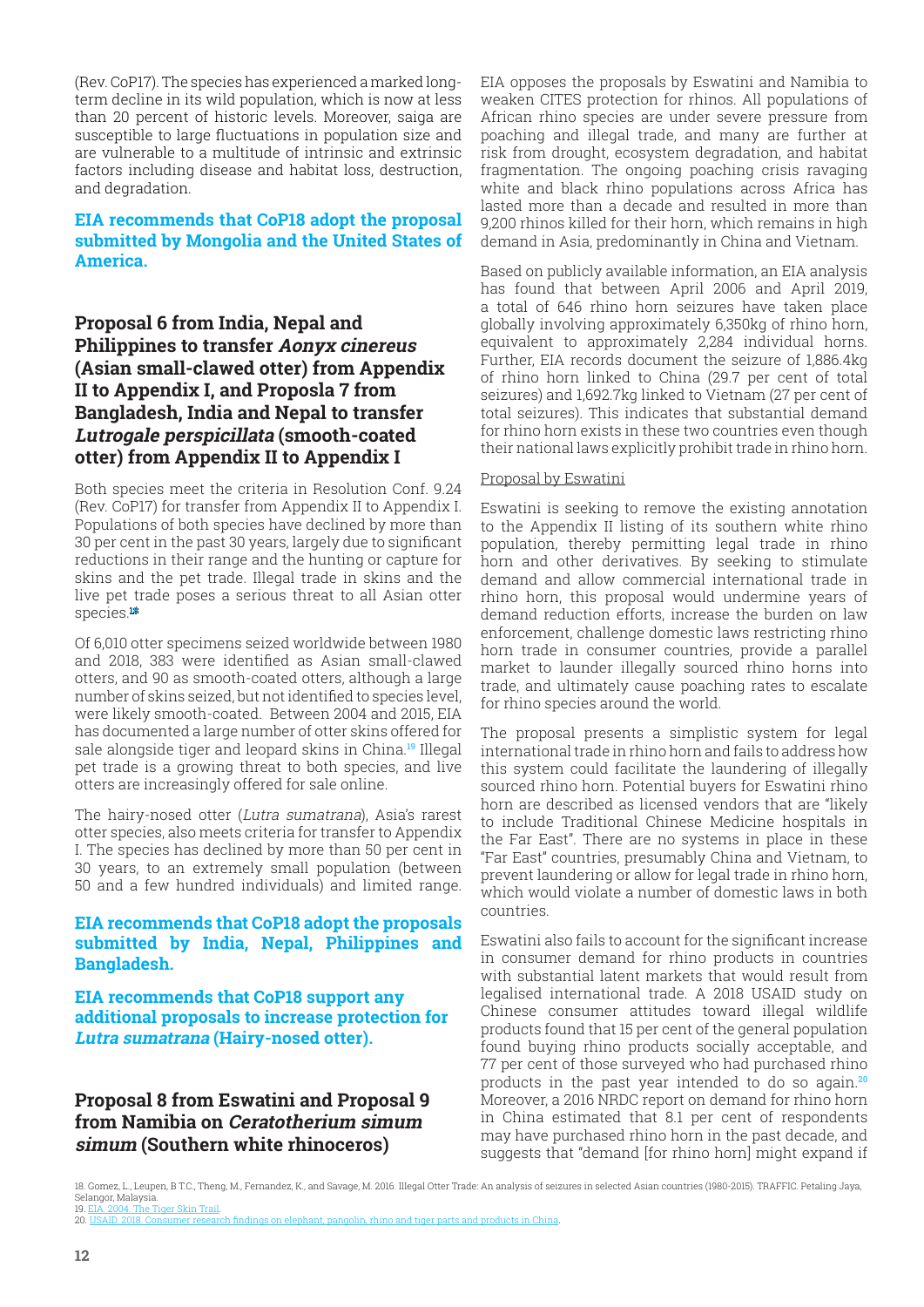<span id="page-11-0"></span>(Rev. CoP17). The species has experienced a marked longterm decline in its wild population, which is now at less than 20 percent of historic levels. Moreover, saiga are susceptible to large fluctuations in population size and are vulnerable to a multitude of intrinsic and extrinsic factors including disease and habitat loss, destruction, and degradation.

#### **EIA recommends that CoP18 adopt the proposal submitted by Mongolia and the United States of America.**

## **Proposal 6 from India, Nepal and Philippines to transfer Aonyx cinereus (Asian small-clawed otter) from Appendix II to Appendix I, and Proposla 7 from Bangladesh, India and Nepal to transfer Lutrogale perspicillata (smooth-coated otter) from Appendix II to Appendix I**

Both species meet the criteria in Resolution Conf. 9.24 (Rev. CoP17) for transfer from Appendix II to Appendix I. Populations of both species have declined by more than 30 per cent in the past 30 years, largely due to significant reductions in their range and the hunting or capture for skins and the pet trade. Illegal trade in skins and the live pet trade poses a serious threat to all Asian otter species.**<sup>18</sup>**

Of 6,010 otter specimens seized worldwide between 1980 and 2018, 383 were identified as Asian small-clawed otters, and 90 as smooth-coated otters, although a large number of skins seized, but not identified to species level, were likely smooth-coated. Between 2004 and 2015, EIA has documented a large number of otter skins offered for sale alongside tiger and leopard skins in China.**19** Illegal pet trade is a growing threat to both species, and live otters are increasingly offered for sale online.

The hairy-nosed otter (Lutra sumatrana), Asia's rarest otter species, also meets criteria for transfer to Appendix I. The species has declined by more than 50 per cent in 30 years, to an extremely small population (between 50 and a few hundred individuals) and limited range.

#### **EIA recommends that CoP18 adopt the proposals submitted by India, Nepal, Philippines and Bangladesh.**

**EIA recommends that CoP18 support any additional proposals to increase protection for Lutra sumatrana (Hairy-nosed otter).**

## **Proposal 8 from Eswatini and Proposal 9 from Namibia on Ceratotherium simum simum (Southern white rhinoceros)**

EIA opposes the proposals by Eswatini and Namibia to weaken CITES protection for rhinos. All populations of African rhino species are under severe pressure from poaching and illegal trade, and many are further at risk from drought, ecosystem degradation, and habitat fragmentation. The ongoing poaching crisis ravaging white and black rhino populations across Africa has lasted more than a decade and resulted in more than 9,200 rhinos killed for their horn, which remains in high demand in Asia, predominantly in China and Vietnam.

Based on publicly available information, an EIA analysis has found that between April 2006 and April 2019, a total of 646 rhino horn seizures have taken place globally involving approximately 6,350kg of rhino horn, equivalent to approximately 2,284 individual horns. Further, EIA records document the seizure of 1,886.4kg of rhino horn linked to China (29.7 per cent of total seizures) and 1,692.7kg linked to Vietnam (27 per cent of total seizures). This indicates that substantial demand for rhino horn exists in these two countries even though their national laws explicitly prohibit trade in rhino horn.

#### Proposal by Eswatini

Eswatini is seeking to remove the existing annotation to the Appendix II listing of its southern white rhino population, thereby permitting legal trade in rhino horn and other derivatives. By seeking to stimulate demand and allow commercial international trade in rhino horn, this proposal would undermine years of demand reduction efforts, increase the burden on law enforcement, challenge domestic laws restricting rhino horn trade in consumer countries, provide a parallel market to launder illegally sourced rhino horns into trade, and ultimately cause poaching rates to escalate for rhino species around the world.

The proposal presents a simplistic system for legal international trade in rhino horn and fails to address how this system could facilitate the laundering of illegally sourced rhino horn. Potential buyers for Eswatini rhino horn are described as licensed vendors that are "likely to include Traditional Chinese Medicine hospitals in the Far East". There are no systems in place in these "Far East" countries, presumably China and Vietnam, to prevent laundering or allow for legal trade in rhino horn, which would violate a number of domestic laws in both countries.

Eswatini also fails to account for the significant increase in consumer demand for rhino products in countries with substantial latent markets that would result from legalised international trade. A 2018 USAID study on Chinese consumer attitudes toward illegal wildlife products found that 15 per cent of the general population found buying rhino products socially acceptable, and 77 per cent of those surveyed who had purchased rhino products in the past year intended to do so again.**<sup>20</sup>** Moreover, a 2016 NRDC report on demand for rhino horn in China estimated that 8.1 per cent of respondents may have purchased rhino horn in the past decade, and suggests that "demand [for rhino horn] might expand if

<sup>18.</sup> Gomez, L., Leupen, B T.C., Theng, M., Fernandez, K., and Savage, M. 2016. Illegal Otter Trade: An analysis of seizures in selected Asian countries (1980-2015). TRAFFIC. Petaling Jaya, Selangor, Malaysia.

<sup>19.</sup> EIA. 2004. The Tiger Skin Trail.<br>20. USAID. 2018. Consumer resear 20. Subaimary research finding research finding the finding on the finding research finding the finding  $\epsilon$  in  $\epsilon$  in  $\epsilon$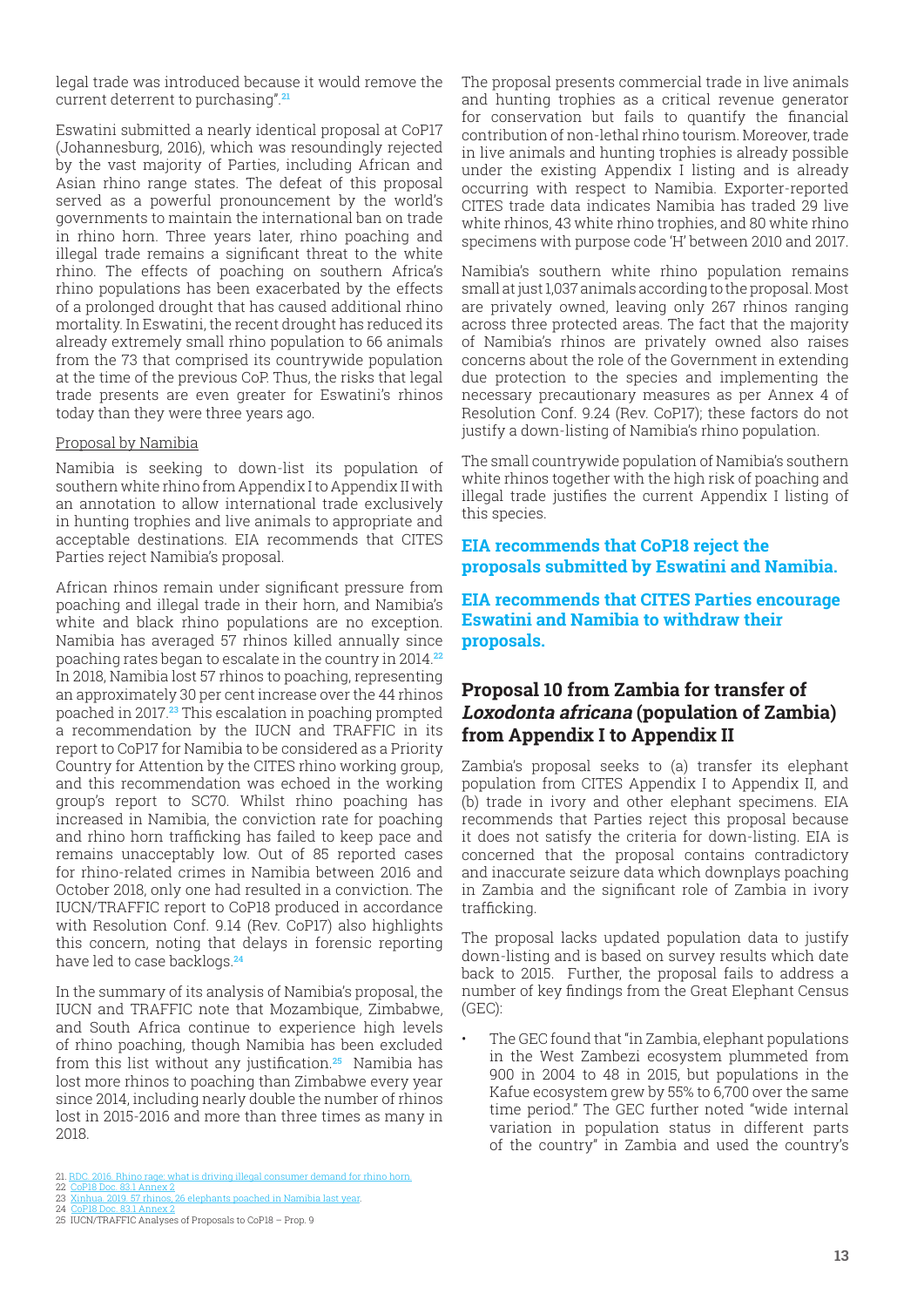<span id="page-12-0"></span>legal trade was introduced because it would remove the current deterrent to purchasing".**<sup>21</sup>**

Eswatini submitted a nearly identical proposal at CoP17 (Johannesburg, 2016), which was resoundingly rejected by the vast majority of Parties, including African and Asian rhino range states. The defeat of this proposal served as a powerful pronouncement by the world's governments to maintain the international ban on trade in rhino horn. Three years later, rhino poaching and illegal trade remains a significant threat to the white rhino. The effects of poaching on southern Africa's rhino populations has been exacerbated by the effects of a prolonged drought that has caused additional rhino mortality. In Eswatini, the recent drought has reduced its already extremely small rhino population to 66 animals from the 73 that comprised its countrywide population at the time of the previous CoP. Thus, the risks that legal trade presents are even greater for Eswatini's rhinos today than they were three years ago.

#### Proposal by Namibia

Namibia is seeking to down-list its population of southern white rhino from Appendix I to Appendix II with an annotation to allow international trade exclusively in hunting trophies and live animals to appropriate and acceptable destinations. EIA recommends that CITES Parties reject Namibia's proposal.

African rhinos remain under significant pressure from poaching and illegal trade in their horn, and Namibia's white and black rhino populations are no exception. Namibia has averaged 57 rhinos killed annually since poaching rates began to escalate in the country in 2014.**<sup>22</sup>** In 2018, Namibia lost 57 rhinos to poaching, representing an approximately 30 per cent increase over the 44 rhinos poached in 2017.**23** This escalation in poaching prompted a recommendation by the IUCN and TRAFFIC in its report to CoP17 for Namibia to be considered as a Priority Country for Attention by the CITES rhino working group, and this recommendation was echoed in the working group's report to SC70. Whilst rhino poaching has increased in Namibia, the conviction rate for poaching and rhino horn trafficking has failed to keep pace and remains unacceptably low. Out of 85 reported cases for rhino-related crimes in Namibia between 2016 and October 2018, only one had resulted in a conviction. The IUCN/TRAFFIC report to CoP18 produced in accordance with Resolution Conf. 9.14 (Rev. CoP17) also highlights this concern, noting that delays in forensic reporting have led to case backlogs.**<sup>24</sup>**

In the summary of its analysis of Namibia's proposal, the IUCN and TRAFFIC note that Mozambique, Zimbabwe, and South Africa continue to experience high levels of rhino poaching, though Namibia has been excluded from this list without any justification.**25** Namibia has lost more rhinos to poaching than Zimbabwe every year since 2014, including nearly double the number of rhinos lost in 2015-2016 and more than three times as many in 2018.

- 21. RDC. 2016. Rhino rage: what is driving illegal consumer demand for rhino horn.
- 22 CoP18 Doc. 83.1 Annex 2 23 Xinhua. 2019. 57 rhinos, 26 elephants poached in Namibia last year.
- 24 CoP18 Doc. 83.1 Annex 2 25 IUCN/TRAFFIC Analyses of Proposals to CoP18 Prop. 9
- 

The proposal presents commercial trade in live animals and hunting trophies as a critical revenue generator for conservation but fails to quantify the financial contribution of non-lethal rhino tourism. Moreover, trade in live animals and hunting trophies is already possible under the existing Appendix I listing and is already occurring with respect to Namibia. Exporter-reported CITES trade data indicates Namibia has traded 29 live white rhinos, 43 white rhino trophies, and 80 white rhino specimens with purpose code 'H' between 2010 and 2017.

Namibia's southern white rhino population remains small at just 1,037 animals according to the proposal. Most are privately owned, leaving only 267 rhinos ranging across three protected areas. The fact that the majority of Namibia's rhinos are privately owned also raises concerns about the role of the Government in extending due protection to the species and implementing the necessary precautionary measures as per Annex 4 of Resolution Conf. 9.24 (Rev. CoP17); these factors do not justify a down-listing of Namibia's rhino population.

The small countrywide population of Namibia's southern white rhinos together with the high risk of poaching and illegal trade justifies the current Appendix I listing of this species.

#### **EIA recommends that CoP18 reject the proposals submitted by Eswatini and Namibia.**

**EIA recommends that CITES Parties encourage Eswatini and Namibia to withdraw their proposals.**

#### **Proposal 10 from Zambia for transfer of Loxodonta africana (population of Zambia) from Appendix I to Appendix II**

Zambia's proposal seeks to (a) transfer its elephant population from CITES Appendix I to Appendix II, and (b) trade in ivory and other elephant specimens. EIA recommends that Parties reject this proposal because it does not satisfy the criteria for down-listing. EIA is concerned that the proposal contains contradictory and inaccurate seizure data which downplays poaching in Zambia and the significant role of Zambia in ivory trafficking.

The proposal lacks updated population data to justify down-listing and is based on survey results which date back to 2015. Further, the proposal fails to address a number of key findings from the Great Elephant Census (GEC):

• The GEC found that "in Zambia, elephant populations in the West Zambezi ecosystem plummeted from 900 in 2004 to 48 in 2015, but populations in the Kafue ecosystem grew by 55% to 6,700 over the same time period." The GEC further noted "wide internal variation in population status in different parts of the country" in Zambia and used the country's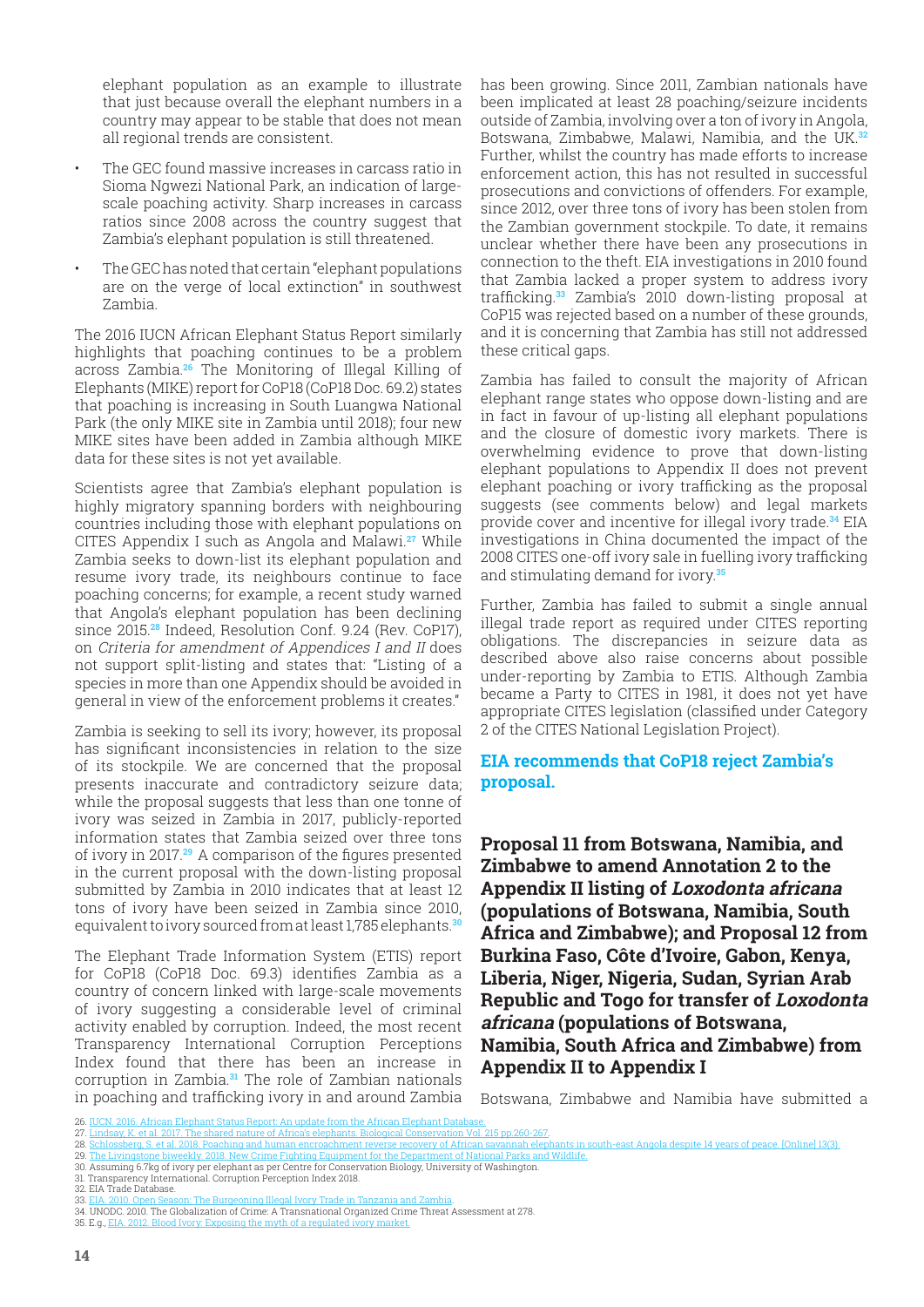<span id="page-13-0"></span>elephant population as an example to illustrate that just because overall the elephant numbers in a country may appear to be stable that does not mean all regional trends are consistent.

- The GEC found massive increases in carcass ratio in Sioma Ngwezi National Park, an indication of largescale poaching activity. Sharp increases in carcass ratios since 2008 across the country suggest that Zambia's elephant population is still threatened.
- The GEC has noted that certain "elephant populations are on the verge of local extinction" in southwest Zambia.

The 2016 IUCN African Elephant Status Report similarly highlights that poaching continues to be a problem across Zambia.**26** The Monitoring of Illegal Killing of Elephants (MIKE) report for CoP18 (CoP18 Doc. 69.2) states that poaching is increasing in South Luangwa National Park (the only MIKE site in Zambia until 2018); four new MIKE sites have been added in Zambia although MIKE data for these sites is not yet available.

Scientists agree that Zambia's elephant population is highly migratory spanning borders with neighbouring countries including those with elephant populations on CITES Appendix I such as Angola and Malawi.**27** While Zambia seeks to down-list its elephant population and resume ivory trade, its neighbours continue to face poaching concerns; for example, a recent study warned that Angola's elephant population has been declining since 2015.**28** Indeed, Resolution Conf. 9.24 (Rev. CoP17), on Criteria for amendment of Appendices I and II does not support split-listing and states that: "Listing of a species in more than one Appendix should be avoided in general in view of the enforcement problems it creates."

Zambia is seeking to sell its ivory; however, its proposal has significant inconsistencies in relation to the size of its stockpile. We are concerned that the proposal presents inaccurate and contradictory seizure data; while the proposal suggests that less than one tonne of ivory was seized in Zambia in 2017, publicly-reported information states that Zambia seized over three tons of ivory in 2017.**<sup>29</sup>** A comparison of the figures presented in the current proposal with the down-listing proposal submitted by Zambia in 2010 indicates that at least 12 tons of ivory have been seized in Zambia since 2010, equivalent to ivory sourced from at least 1,785 elephants.**<sup>30</sup>**

The Elephant Trade Information System (ETIS) report for CoP18 (CoP18 Doc. 69.3) identifies Zambia as a country of concern linked with large-scale movements of ivory suggesting a considerable level of criminal activity enabled by corruption. Indeed, the most recent Transparency International Corruption Perceptions Index found that there has been an increase in corruption in Zambia.**31** The role of Zambian nationals in poaching and trafficking ivory in and around Zambia

has been growing. Since 2011, Zambian nationals have been implicated at least 28 poaching/seizure incidents outside of Zambia, involving over a ton of ivory in Angola, Botswana, Zimbabwe, Malawi, Namibia, and the UK.**<sup>32</sup>** Further, whilst the country has made efforts to increase enforcement action, this has not resulted in successful prosecutions and convictions of offenders. For example, since 2012, over three tons of ivory has been stolen from the Zambian government stockpile. To date, it remains unclear whether there have been any prosecutions in connection to the theft. EIA investigations in 2010 found that Zambia lacked a proper system to address ivory trafficking.**33** Zambia's 2010 down-listing proposal at CoP15 was rejected based on a number of these grounds, and it is concerning that Zambia has still not addressed these critical gaps.

Zambia has failed to consult the majority of African elephant range states who oppose down-listing and are in fact in favour of up-listing all elephant populations and the closure of domestic ivory markets. There is overwhelming evidence to prove that down-listing elephant populations to Appendix II does not prevent elephant poaching or ivory trafficking as the proposal suggests (see comments below) and legal markets provide cover and incentive for illegal ivory trade.**34** EIA investigations in China documented the impact of the 2008 CITES one-off ivory sale in fuelling ivory trafficking and stimulating demand for ivory.**<sup>35</sup>**

Further, Zambia has failed to submit a single annual illegal trade report as required under CITES reporting obligations. The discrepancies in seizure data as described above also raise concerns about possible under-reporting by Zambia to ETIS. Although Zambia became a Party to CITES in 1981, it does not yet have appropriate CITES legislation (classified under Category 2 of the CITES National Legislation Project).

#### **EIA recommends that CoP18 reject Zambia's proposal.**

**Proposal 11 from Botswana, Namibia, and Zimbabwe to amend Annotation 2 to the Appendix II listing of Loxodonta africana (populations of Botswana, Namibia, South Africa and Zimbabwe); and Proposal 12 from Burkina Faso, Côte d'Ivoire, Gabon, Kenya, Liberia, Niger, Nigeria, Sudan, Syrian Arab Republic and Togo for transfer of Loxodonta africana (populations of Botswana, Namibia, South Africa and Zimbabwe) from Appendix II to Appendix I**

Botswana, Zimbabwe and Namibia have submitted a

<sup>26.</sup> IUCN. 2016. African Elephant Status Report: An update from the African Elephant Data

<sup>27.</sup> Lindsay, K. et al. 2017. The shared nature of Africa's elephants. Biological Conservation Vol. 215 pp.260-267. 28. Schlossberg, S. et al. 2018. Poaching and human encroachment reverse recovery of African savannah elephants in south-east Angola despite 14 years of peace. [Online] 13(3).<br>29. The Livingstone biweekly 2018. New Crime F

<sup>9.</sup> Crai, 2016. Todening and numan encroachment reverse recovery or Amean savannan elephants in .<br>One biweekly, 2018. New Crime Fighting Equipment for the Department of National Parks and Wildlife.

<sup>30.</sup> Assuming 6.7kg of ivory per elephant as per Centre for Conservation Biology, University of Washington. 31. Transparency International. Corruption Perception Index 2018.

<sup>32.</sup> EIA Trade Database.<br>33. EIA 2010. Open Seas

<sup>33.</sup> EIA. 2010. Open Season: The Burgeoning Illegal Ivory Trade in Tanzania and Zambia.

<sup>34.</sup> UNODC. 2010. The Globalization of Crime: A Transnational Organized Crime Threat Assessment at 278.<br>35. E.g., <u>EIA, 2012. Blood Ivory: Exposing</u> the myth of a regulated ivory market.  $\overline{\text{a}}$  of a regulated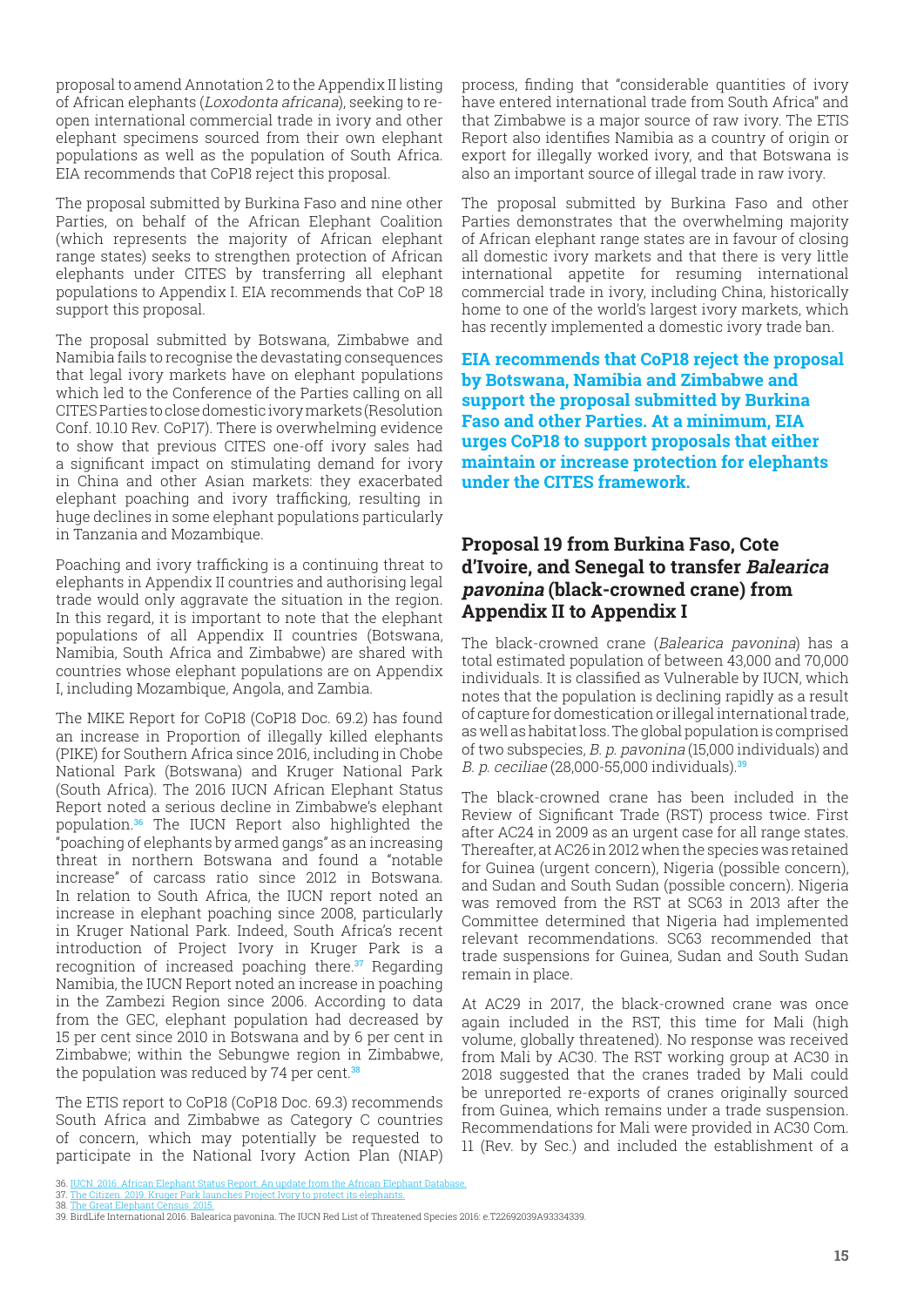<span id="page-14-0"></span>proposal to amend Annotation 2 to the Appendix II listing of African elephants (Loxodonta africana), seeking to reopen international commercial trade in ivory and other elephant specimens sourced from their own elephant populations as well as the population of South Africa. EIA recommends that CoP18 reject this proposal.

The proposal submitted by Burkina Faso and nine other Parties, on behalf of the African Elephant Coalition (which represents the majority of African elephant range states) seeks to strengthen protection of African elephants under CITES by transferring all elephant populations to Appendix I. EIA recommends that CoP 18 support this proposal.

The proposal submitted by Botswana, Zimbabwe and Namibia fails to recognise the devastating consequences that legal ivory markets have on elephant populations which led to the Conference of the Parties calling on all CITES Parties to close domestic ivory markets (Resolution Conf. 10.10 Rev. CoP17). There is overwhelming evidence to show that previous CITES one-off ivory sales had a significant impact on stimulating demand for ivory in China and other Asian markets: they exacerbated elephant poaching and ivory trafficking, resulting in huge declines in some elephant populations particularly in Tanzania and Mozambique.

Poaching and ivory trafficking is a continuing threat to elephants in Appendix II countries and authorising legal trade would only aggravate the situation in the region. In this regard, it is important to note that the elephant populations of all Appendix II countries (Botswana, Namibia, South Africa and Zimbabwe) are shared with countries whose elephant populations are on Appendix I, including Mozambique, Angola, and Zambia.

The MIKE Report for CoP18 (CoP18 Doc. 69.2) has found an increase in Proportion of illegally killed elephants (PIKE) for Southern Africa since 2016, including in Chobe National Park (Botswana) and Kruger National Park (South Africa). The 2016 IUCN African Elephant Status Report noted a serious decline in Zimbabwe's elephant population.**36** The IUCN Report also highlighted the "poaching of elephants by armed gangs" as an increasing threat in northern Botswana and found a "notable increase" of carcass ratio since 2012 in Botswana. In relation to South Africa, the IUCN report noted an increase in elephant poaching since 2008, particularly in Kruger National Park. Indeed, South Africa's recent introduction of Project Ivory in Kruger Park is a recognition of increased poaching there.**37** Regarding Namibia, the IUCN Report noted an increase in poaching in the Zambezi Region since 2006. According to data from the GEC, elephant population had decreased by 15 per cent since 2010 in Botswana and by 6 per cent in Zimbabwe; within the Sebungwe region in Zimbabwe, the population was reduced by 74 per cent.**<sup>38</sup>**

The ETIS report to CoP18 (CoP18 Doc. 69.3) recommends South Africa and Zimbabwe as Category C countries of concern, which may potentially be requested to participate in the National Ivory Action Plan (NIAP)

process, finding that "considerable quantities of ivory have entered international trade from South Africa" and that Zimbabwe is a major source of raw ivory. The ETIS Report also identifies Namibia as a country of origin or export for illegally worked ivory, and that Botswana is also an important source of illegal trade in raw ivory.

The proposal submitted by Burkina Faso and other Parties demonstrates that the overwhelming majority of African elephant range states are in favour of closing all domestic ivory markets and that there is very little international appetite for resuming international commercial trade in ivory, including China, historically home to one of the world's largest ivory markets, which has recently implemented a domestic ivory trade ban.

**EIA recommends that CoP18 reject the proposal by Botswana, Namibia and Zimbabwe and support the proposal submitted by Burkina Faso and other Parties. At a minimum, EIA urges CoP18 to support proposals that either maintain or increase protection for elephants under the CITES framework.**

#### **Proposal 19 from Burkina Faso, Cote d'Ivoire, and Senegal to transfer Balearica pavonina (black-crowned crane) from Appendix II to Appendix I**

The black-crowned crane (Balearica pavonina) has a total estimated population of between 43,000 and 70,000 individuals. It is classified as Vulnerable by IUCN, which notes that the population is declining rapidly as a result of capture for domestication or illegal international trade, as well as habitat loss. The global population is comprised of two subspecies, B. p. pavonina (15,000 individuals) and B. p. ceciliae (28,000-55,000 individuals).**<sup>39</sup>**

The black-crowned crane has been included in the Review of Significant Trade (RST) process twice. First after AC24 in 2009 as an urgent case for all range states. Thereafter, at AC26 in 2012 when the species was retained for Guinea (urgent concern), Nigeria (possible concern), and Sudan and South Sudan (possible concern). Nigeria was removed from the RST at SC63 in 2013 after the Committee determined that Nigeria had implemented relevant recommendations. SC63 recommended that trade suspensions for Guinea, Sudan and South Sudan remain in place.

At AC29 in 2017, the black-crowned crane was once again included in the RST, this time for Mali (high volume, globally threatened). No response was received from Mali by AC30. The RST working group at AC30 in 2018 suggested that the cranes traded by Mali could be unreported re-exports of cranes originally sourced from Guinea, which remains under a trade suspension. Recommendations for Mali were provided in AC30 Com. 11 (Rev. by Sec.) and included the establishment of a

<sup>36.</sup> IUCN. 2016. African Elephant Status Report: An update from the African Elephant Database. 37. The Citizen. 2019. Kruger Park launches Project Ivory to protect its elephants.

<sup>38.</sup> The Great Elephant Cen

<sup>39.</sup> BirdLife International 2016. Balearica pavonina. The IUCN Red List of Threatened Species 2016: e.T22692039A93334339.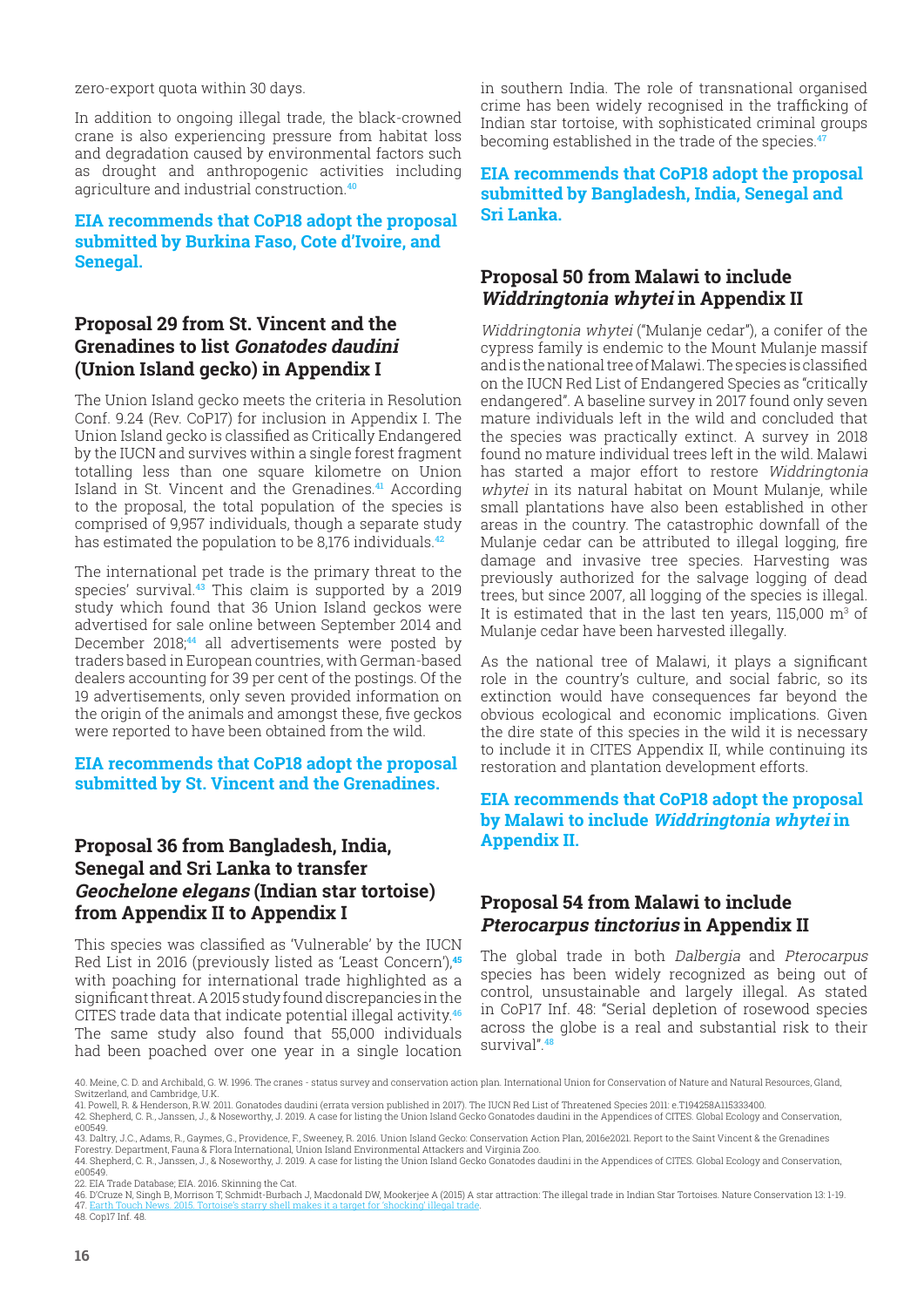<span id="page-15-0"></span>zero-export quota within 30 days.

In addition to ongoing illegal trade, the black-crowned crane is also experiencing pressure from habitat loss and degradation caused by environmental factors such as drought and anthropogenic activities including agriculture and industrial construction.**<sup>40</sup>**

#### **EIA recommends that CoP18 adopt the proposal submitted by Burkina Faso, Cote d'Ivoire, and Senegal.**

## **Proposal 29 from St. Vincent and the Grenadines to list Gonatodes daudini (Union Island gecko) in Appendix I**

The Union Island gecko meets the criteria in Resolution Conf. 9.24 (Rev. CoP17) for inclusion in Appendix I. The Union Island gecko is classified as Critically Endangered by the IUCN and survives within a single forest fragment totalling less than one square kilometre on Union Island in St. Vincent and the Grenadines.**41** According to the proposal, the total population of the species is comprised of 9,957 individuals, though a separate study has estimated the population to be 8,176 individuals.**<sup>42</sup>**

The international pet trade is the primary threat to the species' survival.**43** This claim is supported by a 2019 study which found that 36 Union Island geckos were advertised for sale online between September 2014 and December 2018;**44** all advertisements were posted by traders based in European countries, with German-based dealers accounting for 39 per cent of the postings. Of the 19 advertisements, only seven provided information on the origin of the animals and amongst these, five geckos were reported to have been obtained from the wild.

**EIA recommends that CoP18 adopt the proposal submitted by St. Vincent and the Grenadines.**

## **Proposal 36 from Bangladesh, India, Senegal and Sri Lanka to transfer Geochelone elegans (Indian star tortoise) from Appendix II to Appendix I**

This species was classified as 'Vulnerable' by the IUCN Red List in 2016 (previously listed as 'Least Concern'),**<sup>45</sup>** with poaching for international trade highlighted as a significant threat. A 2015 study found discrepancies in the CITES trade data that indicate potential illegal activity.**<sup>46</sup>** The same study also found that 55,000 individuals had been poached over one year in a single location

in southern India. The role of transnational organised crime has been widely recognised in the trafficking of Indian star tortoise, with sophisticated criminal groups becoming established in the trade of the species.**<sup>47</sup>**

**EIA recommends that CoP18 adopt the proposal submitted by Bangladesh, India, Senegal and Sri Lanka.**

## **Proposal 50 from Malawi to include Widdringtonia whytei in Appendix II**

Widdringtonia whytei ("Mulanje cedar"), a conifer of the cypress family is endemic to the Mount Mulanje massif and is the national tree of Malawi. The species is classified on the IUCN Red List of Endangered Species as "critically endangered". A baseline survey in 2017 found only seven mature individuals left in the wild and concluded that the species was practically extinct. A survey in 2018 found no mature individual trees left in the wild. Malawi has started a major effort to restore Widdringtonia whytei in its natural habitat on Mount Mulanje, while small plantations have also been established in other areas in the country. The catastrophic downfall of the Mulanje cedar can be attributed to illegal logging, fire damage and invasive tree species. Harvesting was previously authorized for the salvage logging of dead trees, but since 2007, all logging of the species is illegal. It is estimated that in the last ten years, 115,000  $\mathrm{m}^3$  of Mulanje cedar have been harvested illegally.

As the national tree of Malawi, it plays a significant role in the country's culture, and social fabric, so its extinction would have consequences far beyond the obvious ecological and economic implications. Given the dire state of this species in the wild it is necessary to include it in CITES Appendix II, while continuing its restoration and plantation development efforts.

#### **EIA recommends that CoP18 adopt the proposal by Malawi to include Widdringtonia whytei in Appendix II.**

## **Proposal 54 from Malawi to include Pterocarpus tinctorius in Appendix II**

The global trade in both Dalbergia and Pterocarpus species has been widely recognized as being out of control, unsustainable and largely illegal. As stated in CoP17 Inf. 48: "Serial depletion of rosewood species across the globe is a real and substantial risk to their survival".**<sup>48</sup>**

<sup>40.</sup> Meine, C. D. and Archibald, G. W. 1996. The cranes - status survey and conservation action plan. International Union for Conservation of Nature and Natural Resources, Gland, Switzerland, and Cambridge, U.K.

<sup>41.</sup> Powell, R. & Henderson, R.W. 2011. Gonatodes daudini (errata version published in 2017). The IUCN Red List of Threatened Species 2011: e.T194258A115333400.<br>42. Shepherd, C. R., Janssen, J., & Noseworthy, J. 2019. A cas

e00549. 43. Daltry, J.C., Adams, R., Gaymes, G., Providence, F., Sweeney, R. 2016. Union Island Gecko: Conservation Action Plan, 2016e2021. Report to the Saint Vincent & the Grenadines

Forestry. Department, Fauna & Flora International, Union Island Environmental Attackers and Virginia Zoo.

<sup>44.</sup> Shepherd, C. R., Janssen, J., & Noseworthy, J. 2019. A case for listing the Union Island Gecko Gonatodes daudini in the Appendices of CITES. Global Ecology and Conservation, e00549.

<sup>22.</sup> EIA Trade Database; EIA. 2016. Skinning the Cat.<br>46. D'Cruze N, Singh B, Morrison T, Schmidt-Burbach J, Macdonald DW, Mookerjee A (2015) A star attraction: The illegal trade in Indian Star Tortoises. Nature Conservatio 47. Earth Touch News. 2015. Tortoise's starry shell makes it a target for 'shocking' illegal trade. 48. Cop17 Inf. 48.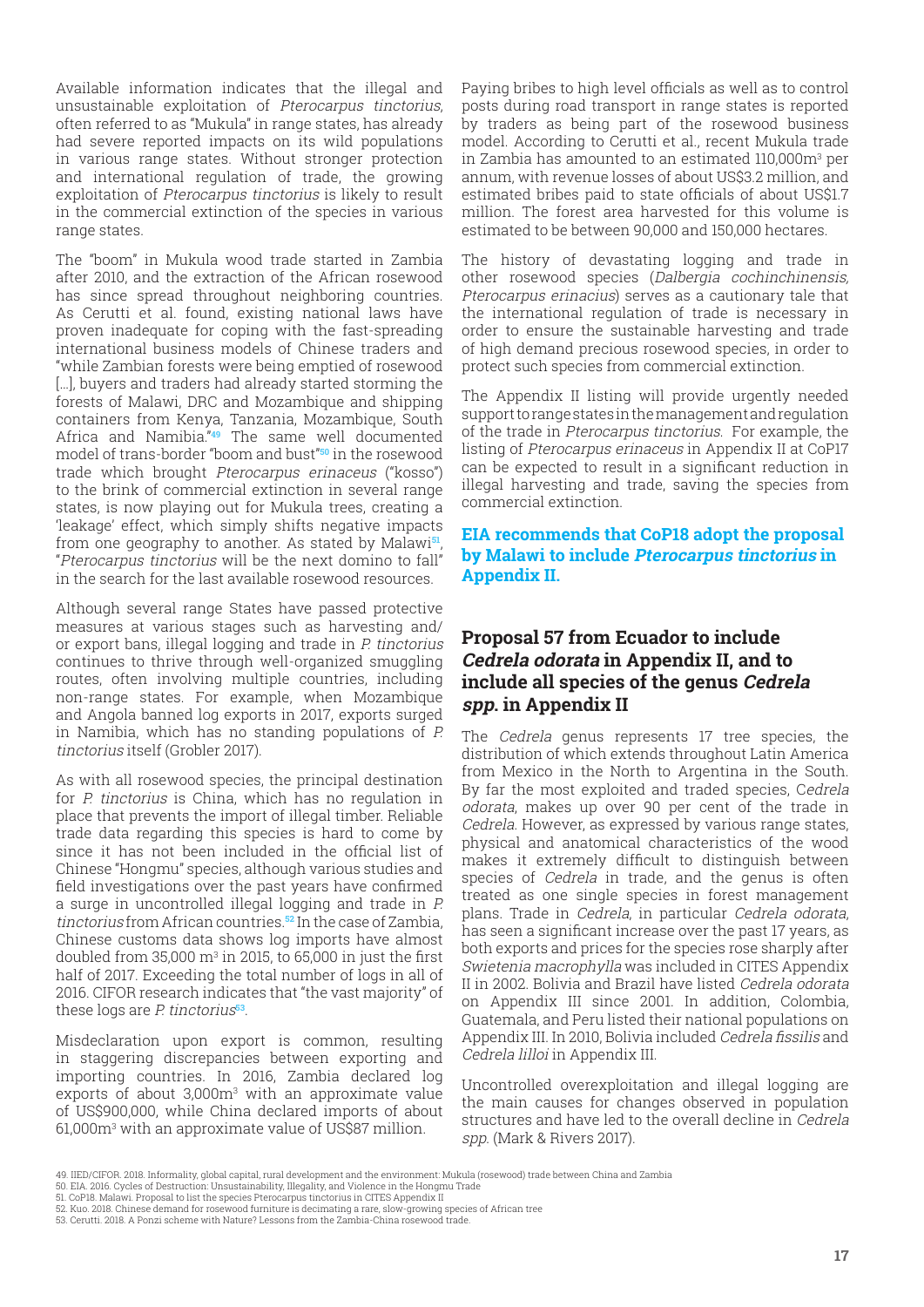<span id="page-16-0"></span>Available information indicates that the illegal and unsustainable exploitation of Pterocarpus tinctorius, often referred to as "Mukula" in range states, has already had severe reported impacts on its wild populations in various range states. Without stronger protection and international regulation of trade, the growing exploitation of Pterocarpus tinctorius is likely to result in the commercial extinction of the species in various range states.

The "boom" in Mukula wood trade started in Zambia after 2010, and the extraction of the African rosewood has since spread throughout neighboring countries. As Cerutti et al. found, existing national laws have proven inadequate for coping with the fast-spreading international business models of Chinese traders and "while Zambian forests were being emptied of rosewood [...], buyers and traders had already started storming the forests of Malawi, DRC and Mozambique and shipping containers from Kenya, Tanzania, Mozambique, South Africa and Namibia."**49** The same well documented model of trans-border "boom and bust"**50** in the rosewood trade which brought Pterocarpus erinaceus ("kosso") to the brink of commercial extinction in several range states, is now playing out for Mukula trees, creating a 'leakage' effect, which simply shifts negative impacts from one geography to another. As stated by Malawi**51**, "Pterocarpus tinctorius will be the next domino to fall" in the search for the last available rosewood resources.

Although several range States have passed protective measures at various stages such as harvesting and/ or export bans, illegal logging and trade in P. tinctorius continues to thrive through well-organized smuggling routes, often involving multiple countries, including non-range states. For example, when Mozambique and Angola banned log exports in 2017, exports surged in Namibia, which has no standing populations of P. tinctorius itself (Grobler 2017).

As with all rosewood species, the principal destination for P. tinctorius is China, which has no regulation in place that prevents the import of illegal timber. Reliable trade data regarding this species is hard to come by since it has not been included in the official list of Chinese "Hongmu" species, although various studies and field investigations over the past years have confirmed a surge in uncontrolled illegal logging and trade in P. tinctorius from African countries.**52** In the case of Zambia, Chinese customs data shows log imports have almost doubled from 35,000  $\mathrm{m}^3$  in 2015, to 65,000 in just the first half of 2017. Exceeding the total number of logs in all of 2016. CIFOR research indicates that "the vast majority" of these logs are P. tinctorius**<sup>53</sup>**.

Misdeclaration upon export is common, resulting in staggering discrepancies between exporting and importing countries. In 2016, Zambia declared log exports of about  $3,000m<sup>3</sup>$  with an approximate value of US\$900,000, while China declared imports of about 61,000m3 with an approximate value of US\$87 million.

Paying bribes to high level officials as well as to control posts during road transport in range states is reported by traders as being part of the rosewood business model. According to Cerutti et al., recent Mukula trade in Zambia has amounted to an estimated 110,000m3 per annum, with revenue losses of about US\$3.2 million, and estimated bribes paid to state officials of about US\$1.7 million. The forest area harvested for this volume is estimated to be between 90,000 and 150,000 hectares.

The history of devastating logging and trade in other rosewood species (Dalbergia cochinchinensis, Pterocarpus erinacius) serves as a cautionary tale that the international regulation of trade is necessary in order to ensure the sustainable harvesting and trade of high demand precious rosewood species, in order to protect such species from commercial extinction.

The Appendix II listing will provide urgently needed support to range states in the management and regulation of the trade in Pterocarpus tinctorius. For example, the listing of Pterocarpus erinaceus in Appendix II at CoP17 can be expected to result in a significant reduction in illegal harvesting and trade, saving the species from commercial extinction.

#### **EIA recommends that CoP18 adopt the proposal by Malawi to include Pterocarpus tinctorius in Appendix II.**

#### **Proposal 57 from Ecuador to include Cedrela odorata in Appendix II, and to include all species of the genus Cedrela spp. in Appendix II**

The Cedrela genus represents 17 tree species, the distribution of which extends throughout Latin America from Mexico in the North to Argentina in the South. By far the most exploited and traded species, Cedrela odorata, makes up over 90 per cent of the trade in Cedrela. However, as expressed by various range states, physical and anatomical characteristics of the wood makes it extremely difficult to distinguish between species of *Cedrela* in trade, and the genus is often treated as one single species in forest management plans. Trade in Cedrela, in particular Cedrela odorata, has seen a significant increase over the past 17 years, as both exports and prices for the species rose sharply after Swietenia macrophylla was included in CITES Appendix II in 2002. Bolivia and Brazil have listed Cedrela odorata on Appendix III since 2001. In addition, Colombia, Guatemala, and Peru listed their national populations on Appendix III. In 2010, Bolivia included Cedrela fissilis and Cedrela lilloi in Appendix III.

Uncontrolled overexploitation and illegal logging are the main causes for changes observed in population structures and have led to the overall decline in Cedrela spp. (Mark & Rivers 2017).

<sup>49.</sup> IIED/CIFOR. 2018. Informality, global capital, rural development and the environment: Mukula (rosewood) trade between China and Zambia<br>50. EIA. 2016. Cycles of Destruction: Unsustainability, Illegality, and Violence in

<sup>51.</sup> CoP18. Malawi. Proposal to list the species Pterocarpus tinctorius in CITES Appendix II

<sup>52.</sup> Kuo. 2018. Chinese demand for rosewood furniture is decimating a rare, slow-growing species of African tree 53. Cerutti. 2018. A Ponzi scheme with Nature? Lessons from the Zambia-China rosewood trade.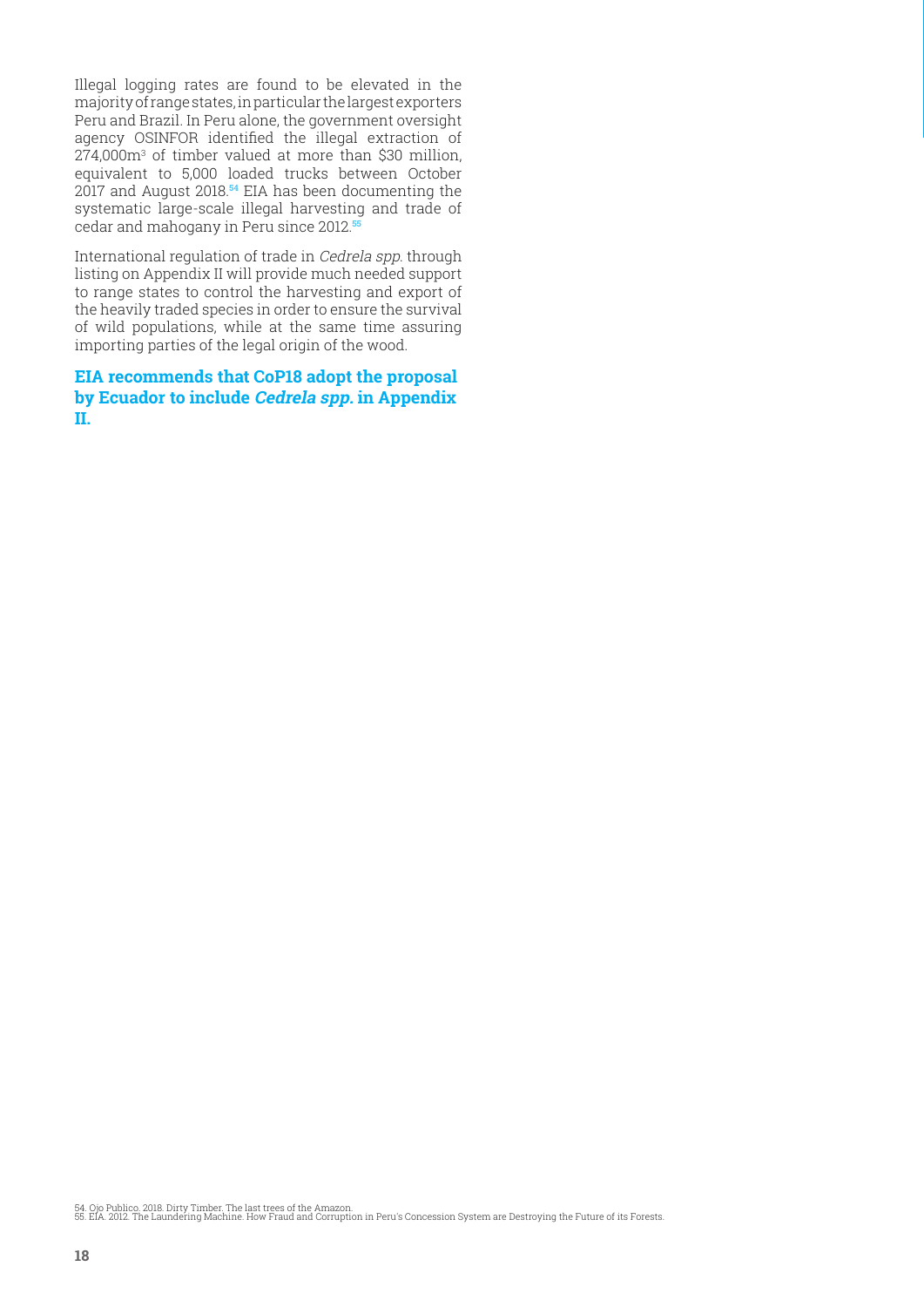Illegal logging rates are found to be elevated in the majority of range states, in particular the largest exporters Peru and Brazil. In Peru alone, the government oversight agency OSINFOR identified the illegal extraction of 274,000m3 of timber valued at more than \$30 million, equivalent to 5,000 loaded trucks between October 2017 and August 2018.**54** EIA has been documenting the systematic large-scale illegal harvesting and trade of cedar and mahogany in Peru since 2012.**<sup>55</sup>**

International regulation of trade in Cedrela spp. through listing on Appendix II will provide much needed support to range states to control the harvesting and export of the heavily traded species in order to ensure the survival of wild populations, while at the same time assuring importing parties of the legal origin of the wood.

**EIA recommends that CoP18 adopt the proposal by Ecuador to include Cedrela spp. in Appendix II.** 

54. Ojo Publico. 2018. Dirty Timber. The last trees of the Amazon. 55. EIA. 2012. The Laundering Machine. How Fraud and Corruption in Peru's Concession System are Destroying the Future of its Forests.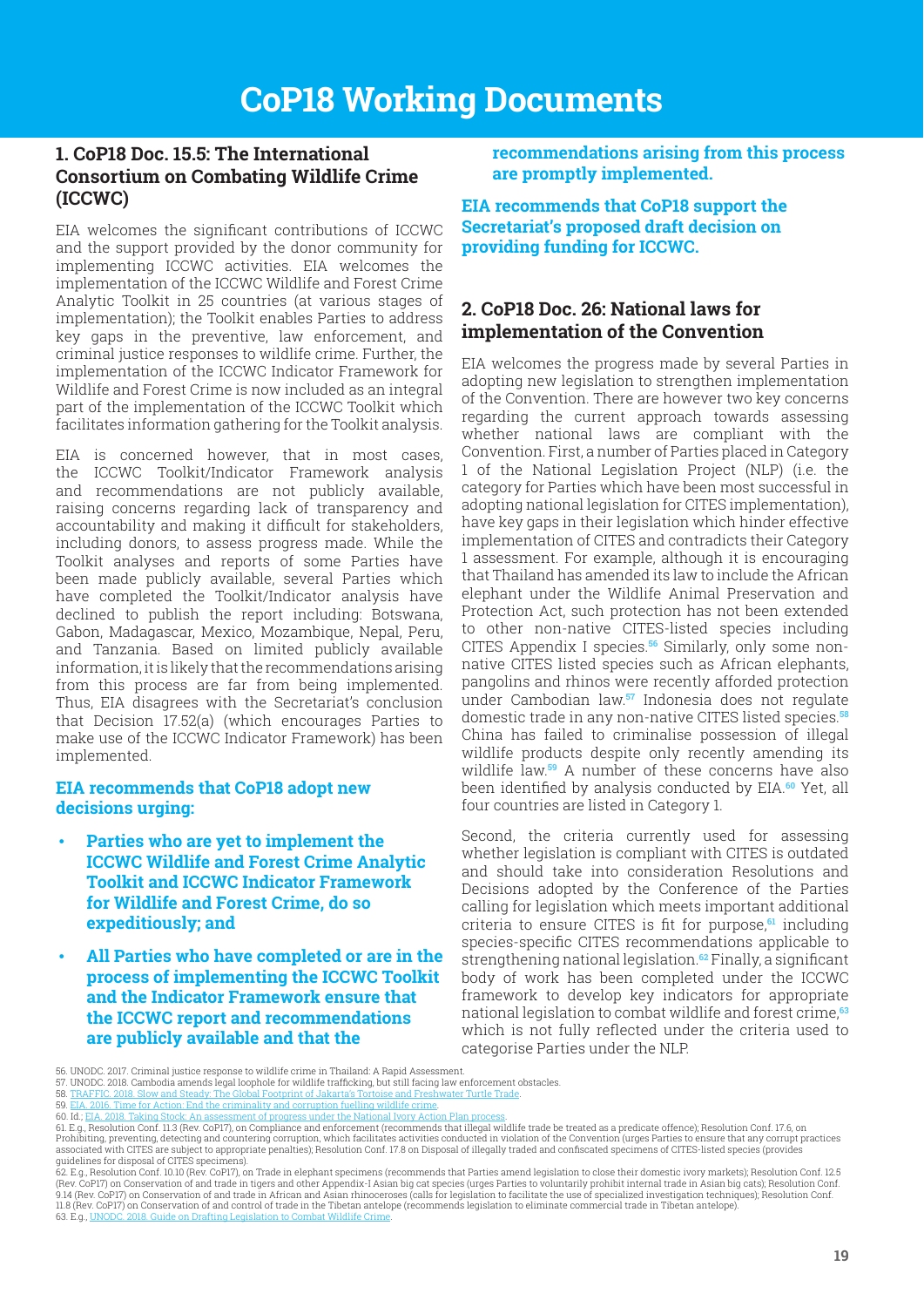## <span id="page-18-0"></span>**1. CoP18 Doc. 15.5: The International Consortium on Combating Wildlife Crime (ICCWC)**

EIA welcomes the significant contributions of ICCWC and the support provided by the donor community for implementing ICCWC activities. EIA welcomes the implementation of the ICCWC Wildlife and Forest Crime Analytic Toolkit in 25 countries (at various stages of implementation); the Toolkit enables Parties to address key gaps in the preventive, law enforcement, and criminal justice responses to wildlife crime. Further, the implementation of the ICCWC Indicator Framework for Wildlife and Forest Crime is now included as an integral part of the implementation of the ICCWC Toolkit which facilitates information gathering for the Toolkit analysis.

EIA is concerned however, that in most cases, the ICCWC Toolkit/Indicator Framework analysis and recommendations are not publicly available, raising concerns regarding lack of transparency and accountability and making it difficult for stakeholders, including donors, to assess progress made. While the Toolkit analyses and reports of some Parties have been made publicly available, several Parties which have completed the Toolkit/Indicator analysis have declined to publish the report including: Botswana, Gabon, Madagascar, Mexico, Mozambique, Nepal, Peru, and Tanzania. Based on limited publicly available information, it is likely that the recommendations arising from this process are far from being implemented. Thus, EIA disagrees with the Secretariat's conclusion that Decision 17.52(a) (which encourages Parties to make use of the ICCWC Indicator Framework) has been implemented.

#### **EIA recommends that CoP18 adopt new decisions urging:**

- **Parties who are yet to implement the ICCWC Wildlife and Forest Crime Analytic Toolkit and ICCWC Indicator Framework for Wildlife and Forest Crime, do so expeditiously; and**
- **All Parties who have completed or are in the process of implementing the ICCWC Toolkit and the Indicator Framework ensure that the ICCWC report and recommendations are publicly available and that the**

**recommendations arising from this process are promptly implemented.** 

**EIA recommends that CoP18 support the Secretariat's proposed draft decision on providing funding for ICCWC.**

## **2. CoP18 Doc. 26: National laws for implementation of the Convention**

EIA welcomes the progress made by several Parties in adopting new legislation to strengthen implementation of the Convention. There are however two key concerns regarding the current approach towards assessing whether national laws are compliant with the Convention. First, a number of Parties placed in Category 1 of the National Legislation Project (NLP) (i.e. the category for Parties which have been most successful in adopting national legislation for CITES implementation), have key gaps in their legislation which hinder effective implementation of CITES and contradicts their Category 1 assessment. For example, although it is encouraging that Thailand has amended its law to include the African elephant under the Wildlife Animal Preservation and Protection Act, such protection has not been extended to other non-native CITES-listed species including CITES Appendix I species.**56** Similarly, only some nonnative CITES listed species such as African elephants, pangolins and rhinos were recently afforded protection under Cambodian law.**57** Indonesia does not regulate domestic trade in any non-native CITES listed species.**<sup>58</sup>** China has failed to criminalise possession of illegal wildlife products despite only recently amending its wildlife law.**59** A number of these concerns have also been identified by analysis conducted by EIA.**60** Yet, all four countries are listed in Category 1.

Second, the criteria currently used for assessing whether legislation is compliant with CITES is outdated and should take into consideration Resolutions and Decisions adopted by the Conference of the Parties calling for legislation which meets important additional criteria to ensure CITES is fit for purpose,**61** including species-specific CITES recommendations applicable to strengthening national legislation.**62** Finally, a significant body of work has been completed under the ICCWC framework to develop key indicators for appropriate national legislation to combat wildlife and forest crime,**<sup>63</sup>** which is not fully reflected under the criteria used to categorise Parties under the NLP.

<sup>56.</sup> UNODC. 2017. Criminal justice response to wildlife crime in Thailand: A Rapid Assessment.

<sup>57.</sup> UNODC. 2018. Cambodia amends legal loophole for wildlife trafficking, but still facing law enforcement obstacles.<br>58. TRAFFIC. 2018. Slow and Steady: The Global Footprint of Jakarta's Tortoise and Freshwater Turtle Tra 58. TRAFFIC. 2018. Slow and Steady: The Global Footprint of Jakarta's Torte

<sup>59. &</sup>lt;u>EIA. 2016. Time for Action: End the criminality and corruption fuelling wildlife crime</u>.<br>60. Id.: <u>EIA. 2018. Taking Stock: An assessment of progress under the National Ivory Action Pl</u>

<sup>60.</sup> Id.; E<u>IA. 2018. Taking Stock: An assessment of progress under the National Ivory Action Plan process.<br>61. E.g., Resolution Conf. 11.3 (Rev. CoP/), on Compliance and enforcement (recommends that illegal wildlife trade </u> associated with CITES are subject to appropriate penalties); Resolution Conf. 17.8 on Disposal of illegally traded and confiscated specimens of CITES-listed species (provides

guidelines for disposal of CITES specimens).<br>62. E.q., Resolution Conf. 10.10 (Rev. CoP17), on Trade in elephant specimens (recommends that Parties amend legislation to close their domestic ivory markets); Resolution Conf. [\(Rev. CoP](https://eia-international.org/news/exposing-hydra-threat-elephants-vietnams-flourishing-wildlife-crime-gangs/)17) [on Conservation of and trade in tigers and other Appendix-I Asian big cat species \(urges Parties to voluntarily prohibit internal](https://eia-international.org/wp-content/uploads/Application-of-Article-XIII-in-the-Lao-Peoples-Democratic-Republic.pdf) t[rade in Asian big cats\); Resolution Co](https://cites.org/sites/default/files/eng/cop/18/doc/E-CoP18-069-03-R1.pdf)nf.<br>[9.14 \(Rev. CoP17\) on Conserv](https://eia-international.org/news/exposing-hydra-threat-elephants-vietnams-flourishing-wildlife-crime-gangs/)ation of [11.8 \(Rev. CoP17\) on Conservation of and control of trade in the Tibetan antelope \(recommends legislation to eliminate co](https://www.iucnredlist.org/species/19832/50194357#habitat-ecology)m[mercial trade in Tibetan antelope\).](https://www.fauna-flora.org/news/steppe-change-kazakhstan-saiga-population-doubled-last-two-years) 63. E.g.,  $UN$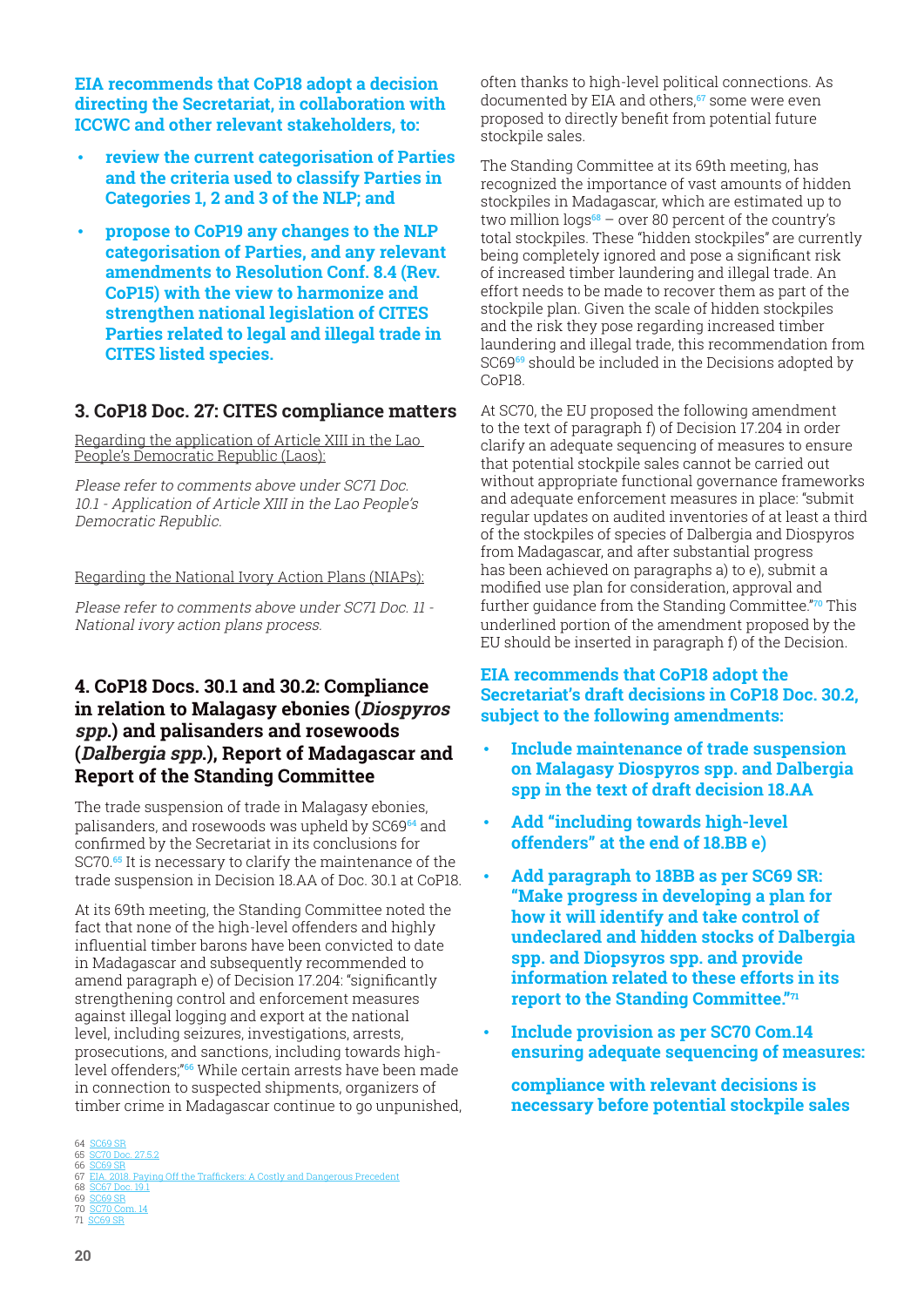<span id="page-19-0"></span>**EIA recommends that CoP18 adopt a decision directing the Secretariat, in collaboration with ICCWC and other relevant stakeholders, to:**

- **review the current categorisation of Parties and the criteria used to classify Parties in Categories 1, 2 and 3 of the NLP; and**
- **propose to CoP19 any changes to the NLP categorisation of Parties, and any relevant amendments to Resolution Conf. 8.4 (Rev. CoP15) with the view to harmonize and strengthen national legislation of CITES Parties related to legal and illegal trade in CITES listed species.**

#### **3. CoP18 Doc. 27: CITES compliance matters**

Regarding the application of Article XIII in the Lao People's Democratic Republic (Laos):

Please refer to comments above under SC71 Doc. 10.1 - Application of Article XIII in the Lao People's Democratic Republic.

Regarding the National Ivory Action Plans (NIAPs):

Please refer to comments above under SC71 Doc. 11 - National ivory action plans process.

## **4. CoP18 Docs. 30.1 and 30.2: Compliance in relation to Malagasy ebonies (Diospyros spp.) and palisanders and rosewoods (Dalbergia spp.), Report of Madagascar and Report of the Standing Committee**

The trade suspension of trade in Malagasy ebonies, palisanders, and rosewoods was upheld by SC69**64** and confirmed by the Secretariat in its conclusions for SC70.**65** It is necessary to clarify the maintenance of the trade suspension in Decision 18.AA of Doc. 30.1 at CoP18.

At its 69th meeting, the Standing Committee noted the fact that none of the high-level offenders and highly influential timber barons have been convicted to date in Madagascar and subsequently recommended to amend paragraph e) of Decision 17.204: "significantly strengthening control and enforcement measures against illegal logging and export at the national level, including seizures, investigations, arrests, prosecutions, and sanctions, including towards highlevel offenders;"**66** While certain arrests have been made in connection to suspected shipments, organizers of timber crime in Madagascar continue to go unpunished,

often thanks to high-level political connections. As documented by EIA and others,**67** some were even proposed to directly benefit from potential future stockpile sales.

The Standing Committee at its 69th meeting, has recognized the importance of vast amounts of hidden stockpiles in Madagascar, which are estimated up to two million logs**68** – over 80 percent of the country's total stockpiles. These "hidden stockpiles" are currently being completely ignored and pose a significant risk of increased timber laundering and illegal trade. An effort needs to be made to recover them as part of the stockpile plan. Given the scale of hidden stockpiles and the risk they pose regarding increased timber laundering and illegal trade, this recommendation from SC69**69** should be included in the Decisions adopted by CoP18.

At SC70, the EU proposed the following amendment to the text of paragraph f) of Decision 17.204 in order clarify an adequate sequencing of measures to ensure that potential stockpile sales cannot be carried out without appropriate functional governance frameworks and adequate enforcement measures in place: "submit regular updates on audited inventories of at least a third of the stockpiles of species of Dalbergia and Diospyros from Madagascar, and after substantial progress has been achieved on paragraphs a) to e), submit a modified use plan for consideration, approval and further guidance from the Standing Committee."**70** This underlined portion of the amendment proposed by the EU should be inserted in paragraph f) of the Decision.

**EIA recommends that CoP18 adopt the Secretariat's draft decisions in CoP18 Doc. 30.2, subject to the following amendments:**

- **Include maintenance of trade suspension on Malagasy Diospyros spp. and Dalbergia spp in the text of draft decision 18.AA**
- **Add "including towards high-level offenders" at the end of 18.BB e)**
- **Add paragraph to 18BB as per SC69 SR: "Make progress in developing a plan for how it will identify and take control of undeclared and hidden stocks of Dalbergia spp. and Diopsyros spp. and provide information related to these efforts in its report to the Standing Committee."71**
- **Include provision as per SC70 Com.14 ensuring adequate sequencing of measures:**

**compliance with relevant decisions is necessary before potential stockpile sales** 

<sup>64 &</sup>lt;mark>SC69 SR</mark><br>65 <u>[SC70 Doc. 27.5.2](https://www.saigaresourcecentre.com/sites/default/files/2019-03/news_saiga-en_fin_small_1.pdf)</u>

<sup>66</sup> [SC69 SR](https://www.saigaresourcecentre.com/sites/default/files/2019-03/news_saiga-en_fin_small_1.pdf)<br>67 EIA. 2018. Payin

Off the Traffickers: A Costly and Dangerous Precedent

<sup>68 &</sup>lt;u>[SC67 Doc. 19.1](https://www.saigaresourcecentre.com/sites/default/files/2019-03/news_saiga-en_fin_small_1.pdf)</u><br>69 <u>[SC69 SR](https://www.saigaresourcecentre.com/sites/default/files/2019-03/news_saiga-en_fin_small_1.pdf)</u>

<sup>70</sup> [SC70 Com. 14](https://www.saigaresourcecentre.com/sites/default/files/2019-03/news_saiga-en_fin_small_1.pdf)  $^{70}_{71}$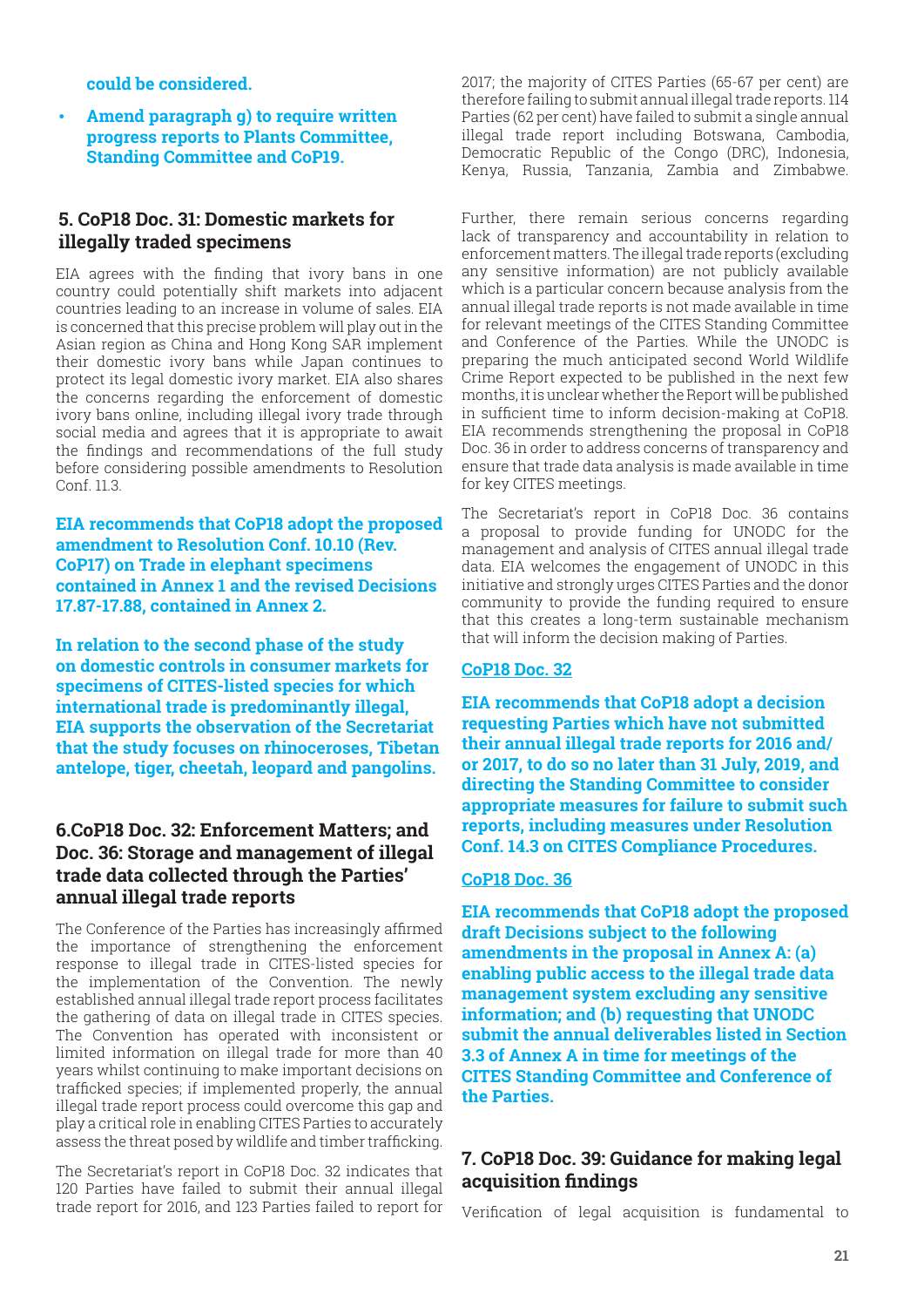<span id="page-20-0"></span>**could be considered.**

• **Amend paragraph g) to require written progress reports to Plants Committee, Standing Committee and CoP19.**

## **5. CoP18 Doc. 31: Domestic markets for illegally traded specimens**

EIA agrees with the finding that ivory bans in one country could potentially shift markets into adjacent countries leading to an increase in volume of sales. EIA is concerned that this precise problem will play out in the Asian region as China and Hong Kong SAR implement their domestic ivory bans while Japan continues to protect its legal domestic ivory market. EIA also shares the concerns regarding the enforcement of domestic ivory bans online, including illegal ivory trade through social media and agrees that it is appropriate to await the findings and recommendations of the full study before considering possible amendments to Resolution Conf. 11.3.

**EIA recommends that CoP18 adopt the proposed amendment to Resolution Conf. 10.10 (Rev. CoP17) on Trade in elephant specimens contained in Annex 1 and the revised Decisions 17.87-17.88, contained in Annex 2.**

**In relation to the second phase of the study on domestic controls in consumer markets for specimens of CITES-listed species for which international trade is predominantly illegal, EIA supports the observation of the Secretariat that the study focuses on rhinoceroses, Tibetan antelope, tiger, cheetah, leopard and pangolins.**

#### **6.CoP18 Doc. 32: Enforcement Matters; and Doc. 36: Storage and management of illegal trade data collected through the Parties' annual illegal trade reports**

The Conference of the Parties has increasingly affirmed the importance of strengthening the enforcement response to illegal trade in CITES-listed species for the implementation of the Convention. The newly established annual illegal trade report process facilitates the gathering of data on illegal trade in CITES species. The Convention has operated with inconsistent or limited information on illegal trade for more than 40 years whilst continuing to make important decisions on trafficked species; if implemented properly, the annual illegal trade report process could overcome this gap and play a critical role in enabling CITES Parties to accurately assess the threat posed by wildlife and timber trafficking.

The Secretariat's report in CoP18 Doc. 32 indicates that 120 Parties have failed to submit their annual illegal trade report for 2016, and 123 Parties failed to report for

2017; the majority of CITES Parties (65-67 per cent) are therefore failing to submit annual illegal trade reports. 114 Parties (62 per cent) have failed to submit a single annual illegal trade report including Botswana, Cambodia, Democratic Republic of the Congo (DRC), Indonesia, Kenya, Russia, Tanzania, Zambia and Zimbabwe.

Further, there remain serious concerns regarding lack of transparency and accountability in relation to enforcement matters. The illegal trade reports (excluding any sensitive information) are not publicly available which is a particular concern because analysis from the annual illegal trade reports is not made available in time for relevant meetings of the CITES Standing Committee and Conference of the Parties. While the UNODC is preparing the much anticipated second World Wildlife Crime Report expected to be published in the next few months, it is unclear whether the Report will be published in sufficient time to inform decision-making at CoP18. EIA recommends strengthening the proposal in CoP18 Doc. 36 in order to address concerns of transparency and ensure that trade data analysis is made available in time for key CITES meetings.

The Secretariat's report in CoP18 Doc. 36 contains a proposal to provide funding for UNODC for the management and analysis of CITES annual illegal trade data. EIA welcomes the engagement of UNODC in this initiative and strongly urges CITES Parties and the donor community to provide the funding required to ensure that this creates a long-term sustainable mechanism that will inform the decision making of Parties.

#### **CoP18 Doc. 32**

**EIA recommends that CoP18 adopt a decision requesting Parties which have not submitted their annual illegal trade reports for 2016 and/ or 2017, to do so no later than 31 July, 2019, and directing the Standing Committee to consider appropriate measures for failure to submit such reports, including measures under Resolution Conf. 14.3 on CITES Compliance Procedures.**

#### **CoP18 Doc. 36**

**EIA recommends that CoP18 adopt the proposed draft Decisions subject to the following amendments in the proposal in Annex A: (a) enabling public access to the illegal trade data management system excluding any sensitive information; and (b) requesting that UNODC submit the annual deliverables listed in Section 3.3 of Annex A in time for meetings of the CITES Standing Committee and Conference of the Parties.**

#### **7. CoP18 Doc. 39: Guidance for making legal acquisition findings**

Verification of legal acquisition is fundamental to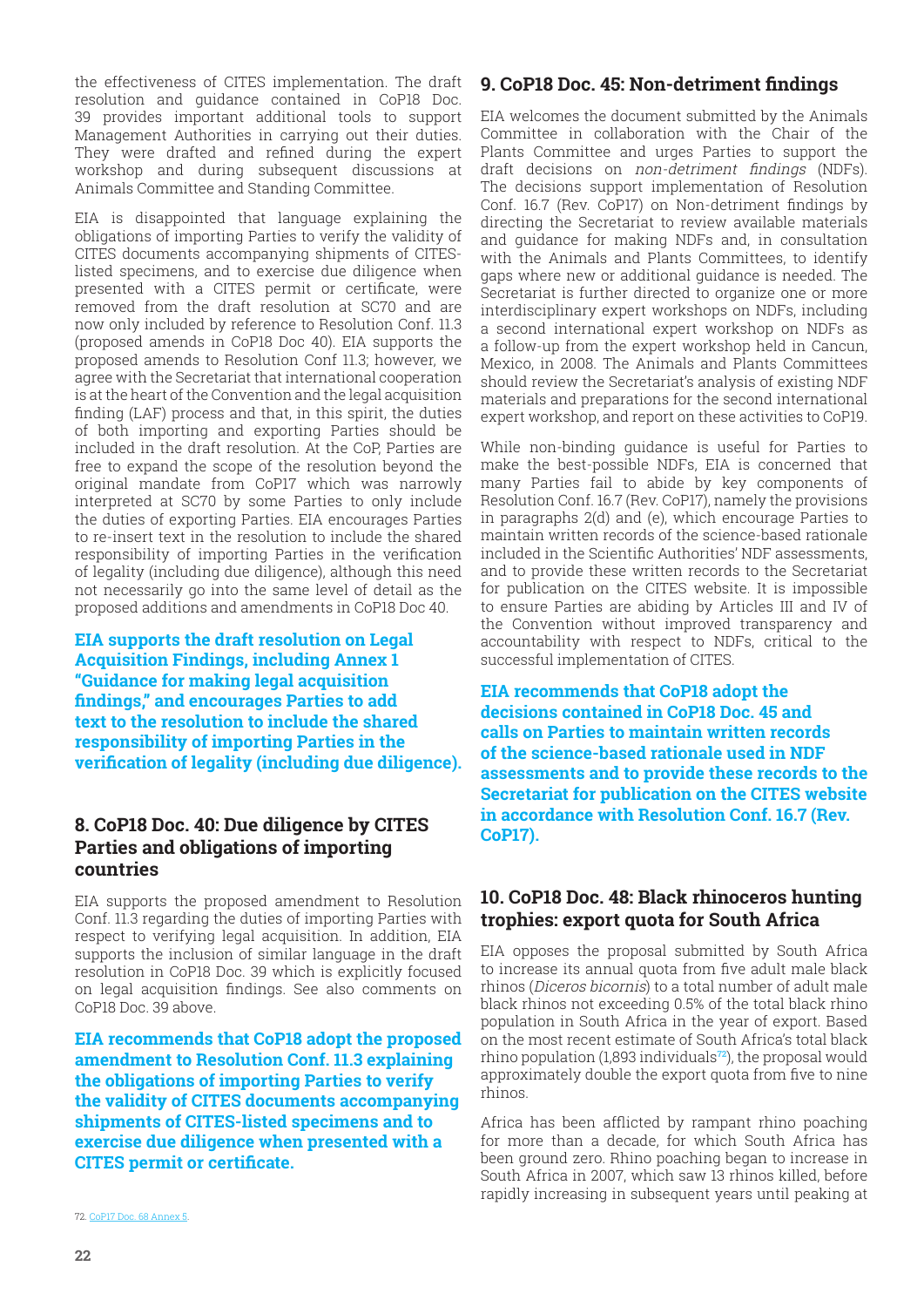<span id="page-21-0"></span>the effectiveness of CITES implementation. The draft resolution and guidance contained in CoP18 Doc. 39 provides important additional tools to support Management Authorities in carrying out their duties. They were drafted and refined during the expert workshop and during subsequent discussions at Animals Committee and Standing Committee.

EIA is disappointed that language explaining the obligations of importing Parties to verify the validity of CITES documents accompanying shipments of CITESlisted specimens, and to exercise due diligence when presented with a CITES permit or certificate, were removed from the draft resolution at SC70 and are now only included by reference to Resolution Conf. 11.3 (proposed amends in CoP18 Doc 40). EIA supports the proposed amends to Resolution Conf 11.3; however, we agree with the Secretariat that international cooperation is at the heart of the Convention and the legal acquisition finding (LAF) process and that, in this spirit, the duties of both importing and exporting Parties should be included in the draft resolution. At the CoP, Parties are free to expand the scope of the resolution beyond the original mandate from CoP17 which was narrowly interpreted at SC70 by some Parties to only include the duties of exporting Parties. EIA encourages Parties to re-insert text in the resolution to include the shared responsibility of importing Parties in the verification of legality (including due diligence), although this need not necessarily go into the same level of detail as the proposed additions and amendments in CoP18 Doc 40.

**EIA supports the draft resolution on Legal Acquisition Findings, including Annex 1 "Guidance for making legal acquisition findings," and encourages Parties to add text to the resolution to include the shared responsibility of importing Parties in the verification of legality (including due diligence).**

#### **8. CoP18 Doc. 40: Due diligence by CITES Parties and obligations of importing countries**

EIA supports the proposed amendment to Resolution Conf. 11.3 regarding the duties of importing Parties with respect to verifying legal acquisition. In addition, EIA supports the inclusion of similar language in the draft resolution in CoP18 Doc. 39 which is explicitly focused on legal acquisition findings. See also comments on CoP18 Doc. 39 above.

**EIA recommends that CoP18 adopt the proposed amendment to Resolution Conf. 11.3 explaining the obligations of importing Parties to verify the validity of CITES documents accompanying shipments of CITES-listed specimens and to exercise due diligence when presented with a CITES permit or certificate.**

## **9. CoP18 Doc. 45: Non-detriment findings**

EIA welcomes the document submitted by the Animals Committee in collaboration with the Chair of the Plants Committee and urges Parties to support the draft decisions on non-detriment findings (NDFs). The decisions support implementation of Resolution Conf. 16.7 (Rev. CoP17) on Non-detriment findings by directing the Secretariat to review available materials and guidance for making NDFs and, in consultation with the Animals and Plants Committees, to identify gaps where new or additional guidance is needed. The Secretariat is further directed to organize one or more interdisciplinary expert workshops on NDFs, including a second international expert workshop on NDFs as a follow-up from the expert workshop held in Cancun, Mexico, in 2008. The Animals and Plants Committees should review the Secretariat's analysis of existing NDF materials and preparations for the second international expert workshop, and report on these activities to CoP19.

While non-binding guidance is useful for Parties to make the best-possible NDFs, EIA is concerned that many Parties fail to abide by key components of Resolution Conf. 16.7 (Rev. CoP17), namely the provisions in paragraphs 2(d) and (e), which encourage Parties to maintain written records of the science-based rationale included in the Scientific Authorities' NDF assessments, and to provide these written records to the Secretariat for publication on the CITES website. It is impossible to ensure Parties are abiding by Articles III and IV of the Convention without improved transparency and accountability with respect to NDFs, critical to the successful implementation of CITES.

**EIA recommends that CoP18 adopt the decisions contained in CoP18 Doc. 45 and calls on Parties to maintain written records of the science-based rationale used in NDF assessments and to provide these records to the Secretariat for publication on the CITES website in accordance with Resolution Conf. 16.7 (Rev. CoP17).**

#### **10. CoP18 Doc. 48: Black rhinoceros hunting trophies: export quota for South Africa**

EIA opposes the proposal submitted by South Africa to increase its annual quota from five adult male black rhinos (Diceros bicornis) to a total number of adult male black rhinos not exceeding 0.5% of the total black rhino population in South Africa in the year of export. Based on the most recent estimate of South Africa's total black rhino population (1,893 individuals**72**), the proposal would approximately double the export quota from five to nine rhinos.

Africa has been afflicted by rampant rhino poaching for more than a decade, for which South Africa has been ground zero. Rhino poaching began to increase in South Africa in 2007, which saw 13 rhinos killed, before rapidly increasing in subsequent years until peaking at

[72. CoP1](https://www.saigaresourcecentre.com/sites/default/files/2019-03/news_saiga-en_fin_small_1.pdf)7 D[oc. 68 Annex 5.](https://www.cites.org/sites/default/files/eng/cop/14/doc/E14-56.pdf)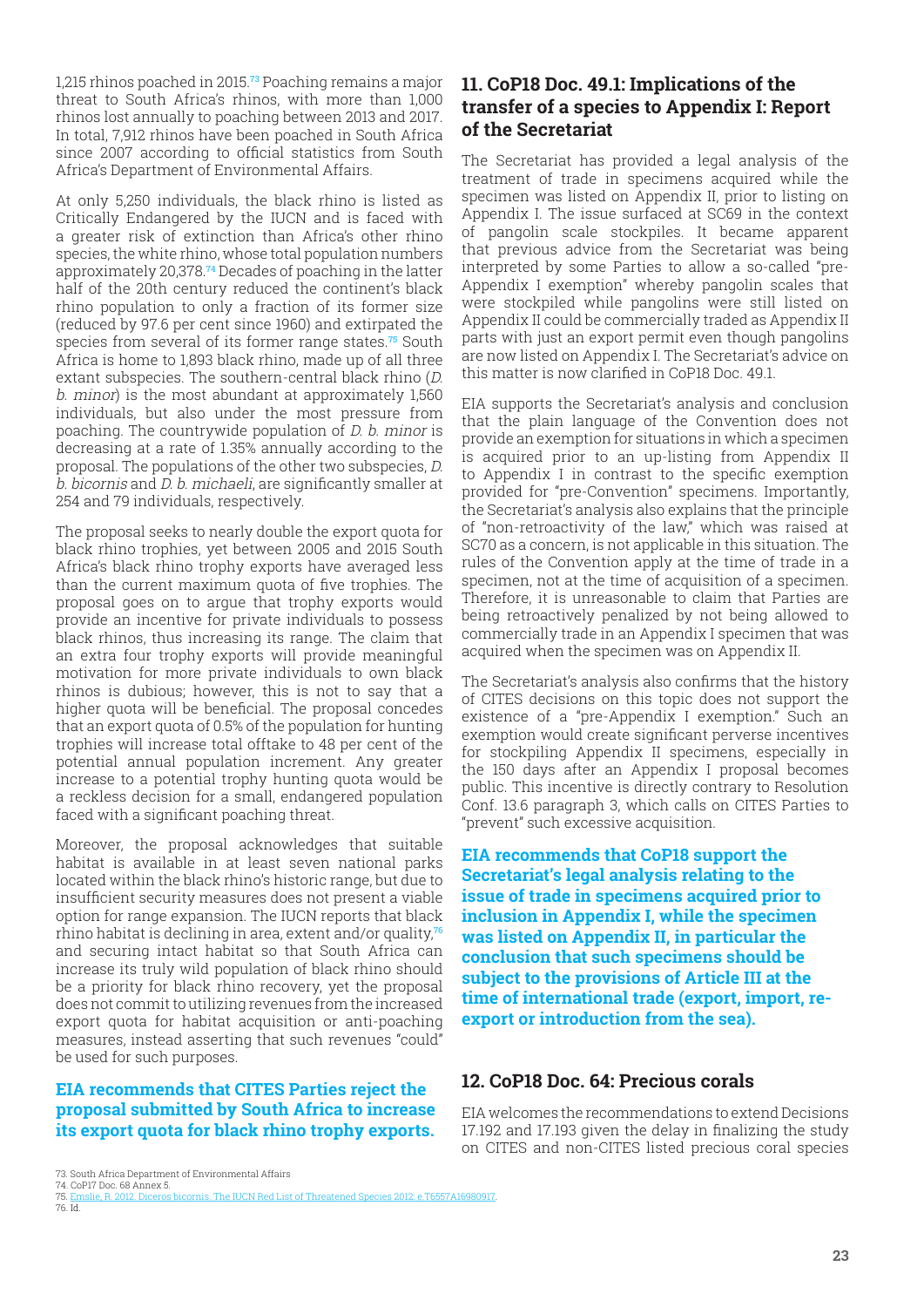<span id="page-22-0"></span>1,215 rhinos poached in 2015.**73** Poaching remains a major threat to South Africa's rhinos, with more than 1,000 rhinos lost annually to poaching between 2013 and 2017. In total, 7,912 rhinos have been poached in South Africa since 2007 according to official statistics from South Africa's Department of Environmental Affairs.

At only 5,250 individuals, the black rhino is listed as Critically Endangered by the IUCN and is faced with a greater risk of extinction than Africa's other rhino species, the white rhino, whose total population numbers approximately 20,378.**74** Decades of poaching in the latter half of the 20th century reduced the continent's black rhino population to only a fraction of its former size (reduced by 97.6 per cent since 1960) and extirpated the species from several of its former range states.**75** South Africa is home to 1,893 black rhino, made up of all three extant subspecies. The southern-central black rhino (D. b. minor) is the most abundant at approximately 1,560 individuals, but also under the most pressure from poaching. The countrywide population of D. b. minor is decreasing at a rate of 1.35% annually according to the proposal. The populations of the other two subspecies, D. b. bicornis and D. b. michaeli, are significantly smaller at 254 and 79 individuals, respectively.

The proposal seeks to nearly double the export quota for black rhino trophies, yet between 2005 and 2015 South Africa's black rhino trophy exports have averaged less than the current maximum quota of five trophies. The proposal goes on to argue that trophy exports would provide an incentive for private individuals to possess black rhinos, thus increasing its range. The claim that an extra four trophy exports will provide meaningful motivation for more private individuals to own black rhinos is dubious; however, this is not to say that a higher quota will be beneficial. The proposal concedes that an export quota of 0.5% of the population for hunting trophies will increase total offtake to 48 per cent of the potential annual population increment. Any greater increase to a potential trophy hunting quota would be a reckless decision for a small, endangered population faced with a significant poaching threat.

Moreover, the proposal acknowledges that suitable habitat is available in at least seven national parks located within the black rhino's historic range, but due to insufficient security measures does not present a viable option for range expansion. The IUCN reports that black rhino habitat is declining in area, extent and/or quality,**<sup>76</sup>** and securing intact habitat so that South Africa can increase its truly wild population of black rhino should be a priority for black rhino recovery, yet the proposal does not commit to utilizing revenues from the increased export quota for habitat acquisition or anti-poaching measures, instead asserting that such revenues "could" be used for such purposes.

#### **EIA recommends that CITES Parties reject the proposal submitted by South Africa to increase its export quota for black rhino trophy exports.**

#### **11. CoP18 Doc. 49.1: Implications of the transfer of a species to Appendix I: Report of the Secretariat**

The Secretariat has provided a legal analysis of the treatment of trade in specimens acquired while the specimen was listed on Appendix II, prior to listing on Appendix I. The issue surfaced at SC69 in the context of pangolin scale stockpiles. It became apparent that previous advice from the Secretariat was being interpreted by some Parties to allow a so-called "pre-Appendix I exemption" whereby pangolin scales that were stockpiled while pangolins were still listed on Appendix II could be commercially traded as Appendix II parts with just an export permit even though pangolins are now listed on Appendix I. The Secretariat's advice on this matter is now clarified in CoP18 Doc. 49.1.

EIA supports the Secretariat's analysis and conclusion that the plain language of the Convention does not provide an exemption for situations in which a specimen is acquired prior to an up-listing from Appendix II to Appendix I in contrast to the specific exemption provided for "pre-Convention" specimens. Importantly, the Secretariat's analysis also explains that the principle of "non-retroactivity of the law," which was raised at SC70 as a concern, is not applicable in this situation. The rules of the Convention apply at the time of trade in a specimen, not at the time of acquisition of a specimen. Therefore, it is unreasonable to claim that Parties are being retroactively penalized by not being allowed to commercially trade in an Appendix I specimen that was acquired when the specimen was on Appendix II.

The Secretariat's analysis also confirms that the history of CITES decisions on this topic does not support the existence of a "pre-Appendix I exemption." Such an exemption would create significant perverse incentives for stockpiling Appendix II specimens, especially in the 150 days after an Appendix I proposal becomes public. This incentive is directly contrary to Resolution Conf. 13.6 paragraph 3, which calls on CITES Parties to "prevent" such excessive acquisition.

**EIA recommends that CoP18 support the Secretariat's legal analysis relating to the issue of trade in specimens acquired prior to inclusion in Appendix I, while the specimen was listed on Appendix II, in particular the conclusion that such specimens should be subject to the provisions of Article III at the time of international trade (export, import, reexport or introduction from the sea).**

#### **12. CoP18 Doc. 64: Precious corals**

EIA welcomes the recommendations to extend Decisions 17.192 and 17.193 given the delay in finalizing the study on CITES and non-CITES listed precious coral species

76. Id.

[<sup>73.</sup> South Africa De](https://www.cites.org/sites/default/files/eng/cop/14/doc/E14-56.pdf)par[tment of Environmental Affairs](http://CoP16 Inf. 4. 2013. Reported seizures of saiga antelope specimens, 2007 to 2012) [74. CoP17 Doc. 68 Annex 5.](http://CoP16 Inf. 4. 2013. Reported seizures of saiga antelope specimens, 2007 to 2012)

<sup>75.</sup> [Emslie, R. 2012. D](http://CoP16 Inf. 4. 2013. Reported seizures of saiga antelope specimens, 2007 to 2012)iceros bicornis. The IUCN Red List of Threatened Species 2012: e.T6557A16980917.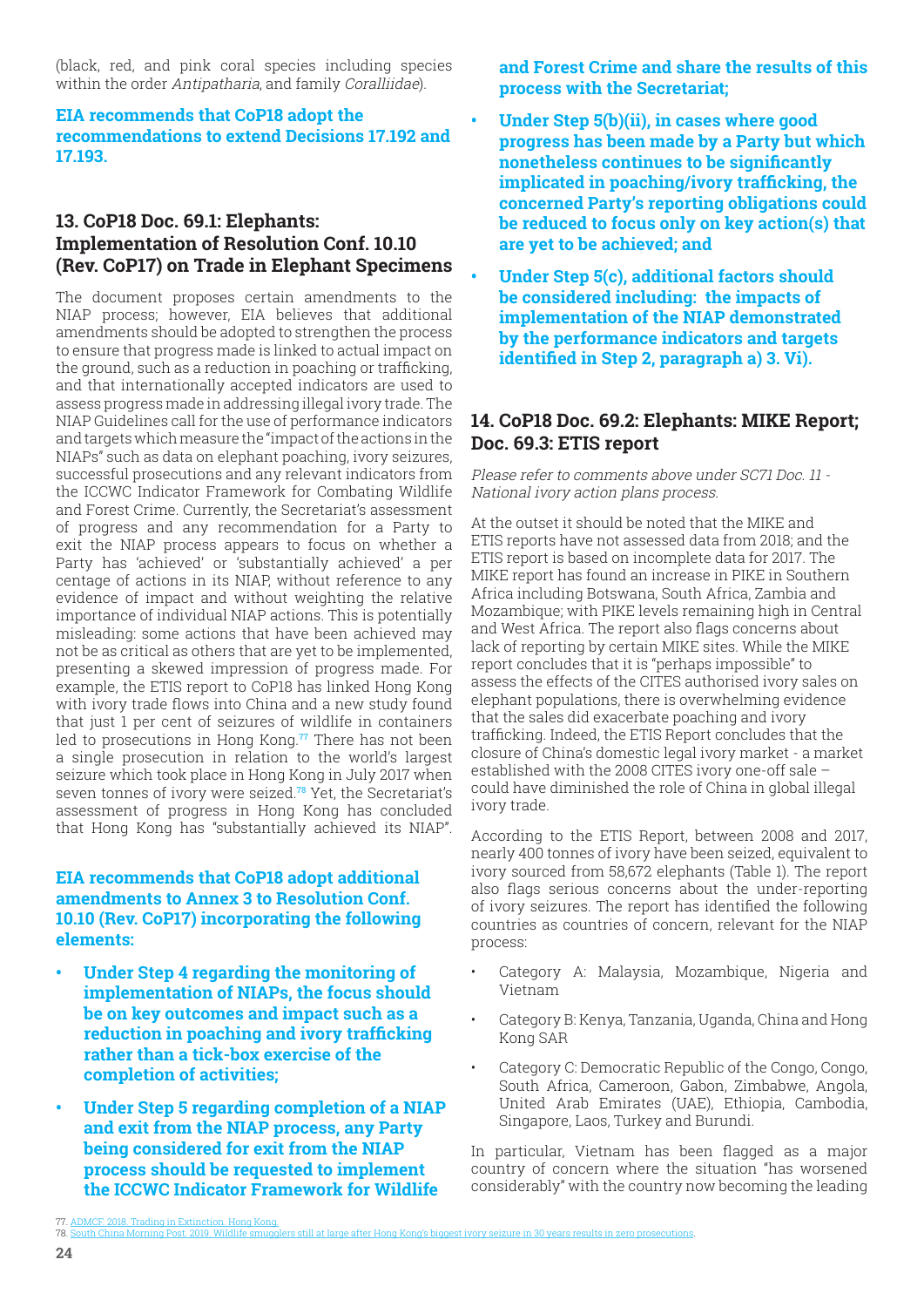<span id="page-23-0"></span>(black, red, and pink coral species including species within the order Antipatharia, and family Coralliidae).

#### **EIA recommends that CoP18 adopt the recommendations to extend Decisions 17.192 and 17.193.**

#### **13. CoP18 Doc. 69.1: Elephants: Implementation of Resolution Conf. 10.10 (Rev. CoP17) on Trade in Elephant Specimens**

The document proposes certain amendments to the NIAP process; however, EIA believes that additional amendments should be adopted to strengthen the process to ensure that progress made is linked to actual impact on the ground, such as a reduction in poaching or trafficking, and that internationally accepted indicators are used to assess progress made in addressing illegal ivory trade. The NIAP Guidelines call for the use of performance indicators and targets which measure the "impact of the actions in the NIAPs" such as data on elephant poaching, ivory seizures, successful prosecutions and any relevant indicators from the ICCWC Indicator Framework for Combating Wildlife and Forest Crime. Currently, the Secretariat's assessment of progress and any recommendation for a Party to exit the NIAP process appears to focus on whether a Party has 'achieved' or 'substantially achieved' a per centage of actions in its NIAP, without reference to any evidence of impact and without weighting the relative importance of individual NIAP actions. This is potentially misleading: some actions that have been achieved may not be as critical as others that are yet to be implemented, presenting a skewed impression of progress made. For example, the ETIS report to CoP18 has linked Hong Kong with ivory trade flows into China and a new study found that just 1 per cent of seizures of wildlife in containers led to prosecutions in Hong Kong.**77** There has not been a single prosecution in relation to the world's largest seizure which took place in Hong Kong in July 2017 when seven tonnes of ivory were seized.**78** Yet, the Secretariat's assessment of progress in Hong Kong has concluded that Hong Kong has "substantially achieved its NIAP".

#### **EIA recommends that CoP18 adopt additional amendments to Annex 3 to Resolution Conf. 10.10 (Rev. CoP17) incorporating the following elements:**

- **• Under Step 4 regarding the monitoring of implementation of NIAPs, the focus should be on key outcomes and impact such as a reduction in poaching and ivory trafficking rather than a tick-box exercise of the completion of activities;**
- **• Under Step 5 regarding completion of a NIAP and exit from the NIAP process, any Party being considered for exit from the NIAP process should be requested to implement the ICCWC Indicator Framework for Wildlife**

**and Forest Crime and share the results of this process with the Secretariat;**

- **• Under Step 5(b)(ii), in cases where good progress has been made by a Party but which nonetheless continues to be significantly implicated in poaching/ivory trafficking, the concerned Party's reporting obligations could be reduced to focus only on key action(s) that are yet to be achieved; and**
- **• Under Step 5(c), additional factors should be considered including: the impacts of implementation of the NIAP demonstrated by the performance indicators and targets identified in Step 2, paragraph a) 3. Vi).**

## **14. CoP18 Doc. 69.2: Elephants: MIKE Report; Doc. 69.3: ETIS report**

Please refer to comments above under SC71 Doc. 11 - National ivory action plans process.

At the outset it should be noted that the MIKE and ETIS reports have not assessed data from 2018; and the ETIS report is based on incomplete data for 2017. The MIKE report has found an increase in PIKE in Southern Africa including Botswana, South Africa, Zambia and Mozambique; with PIKE levels remaining high in Central and West Africa. The report also flags concerns about lack of reporting by certain MIKE sites. While the MIKE report concludes that it is "perhaps impossible" to assess the effects of the CITES authorised ivory sales on elephant populations, there is overwhelming evidence that the sales did exacerbate poaching and ivory trafficking. Indeed, the ETIS Report concludes that the closure of China's domestic legal ivory market - a market established with the 2008 CITES ivory one-off sale – could have diminished the role of China in global illegal ivory trade.

According to the ETIS Report, between 2008 and 2017, nearly 400 tonnes of ivory have been seized, equivalent to ivory sourced from 58,672 elephants (Table 1). The report also flags serious concerns about the under-reporting of ivory seizures. The report has identified the following countries as countries of concern, relevant for the NIAP process:

- Category A: Malaysia, Mozambique, Nigeria and Vietnam
- Category B: Kenya, Tanzania, Uganda, China and Hong Kong SAR
- Category C: Democratic Republic of the Congo, Congo, South Africa, Cameroon, Gabon, Zimbabwe, Angola, United Arab Emirates (UAE), Ethiopia, Cambodia, Singapore, Laos, Turkey and Burundi.

In particular, Vietnam has been flagged as a major country of concern where the situation "has worsened considerably" with the country now becoming the leading

<sup>77.</sup> ADMCF. [2018. Trading in Extinction. Hong Kong.](https://www.saigaresourcecentre.com/sites/default/files/migrated/media/357671/saiga_news_issue_21_english.pdf)

<sup>&</sup>lt;u>s still at large after Hong Kong's biggest ivory seizure in 30 years results in zero pro</u>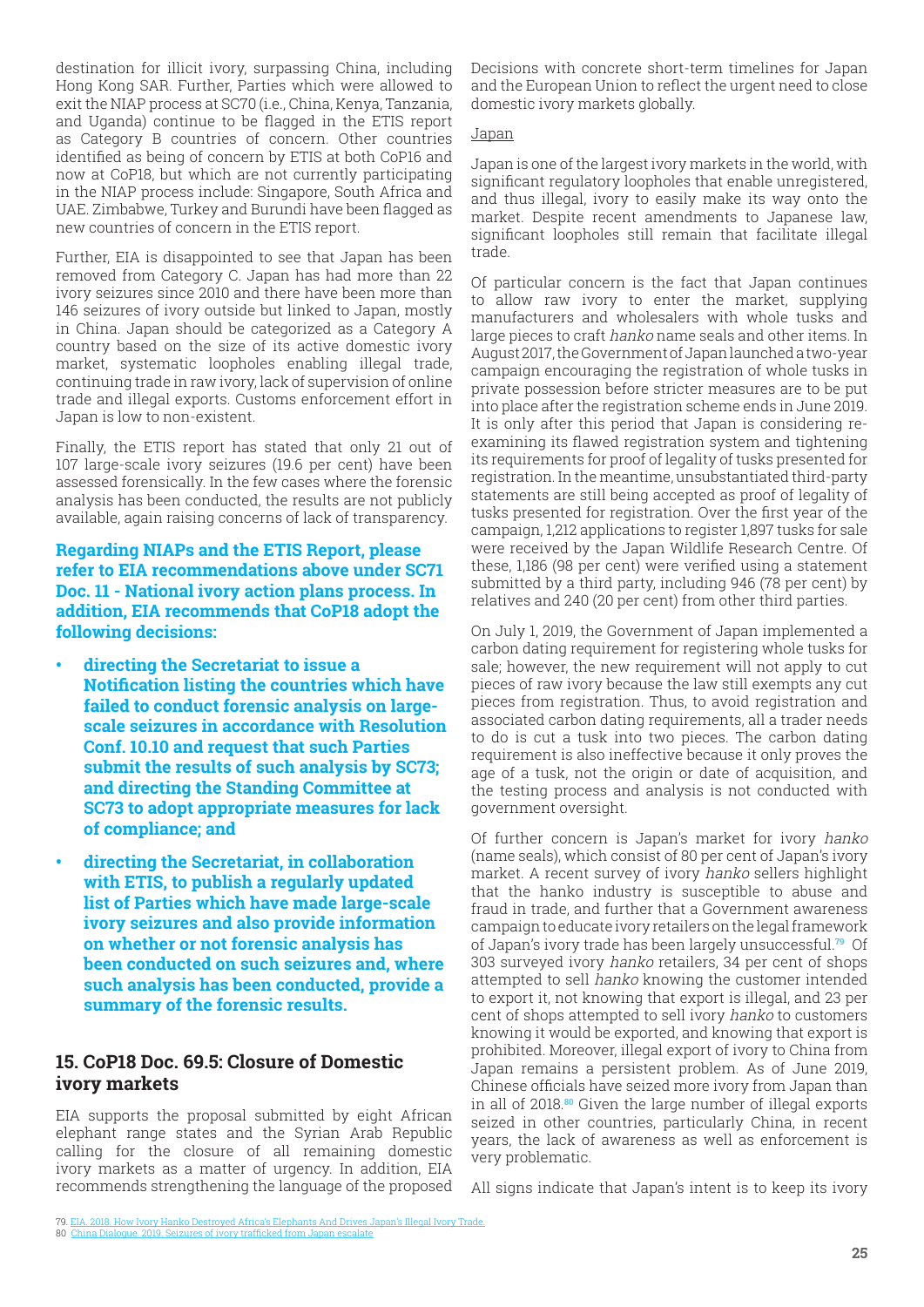<span id="page-24-0"></span>destination for illicit ivory, surpassing China, including Hong Kong SAR. Further, Parties which were allowed to exit the NIAP process at SC70 (i.e., China, Kenya, Tanzania, and Uganda) continue to be flagged in the ETIS report as Category B countries of concern. Other countries identified as being of concern by ETIS at both CoP16 and now at CoP18, but which are not currently participating in the NIAP process include: Singapore, South Africa and UAE. Zimbabwe, Turkey and Burundi have been flagged as new countries of concern in the ETIS report.

Further, EIA is disappointed to see that Japan has been removed from Category C. Japan has had more than 22 ivory seizures since 2010 and there have been more than 146 seizures of ivory outside but linked to Japan, mostly in China. Japan should be categorized as a Category A country based on the size of its active domestic ivory market, systematic loopholes enabling illegal trade, continuing trade in raw ivory, lack of supervision of online trade and illegal exports. Customs enforcement effort in Japan is low to non-existent.

Finally, the ETIS report has stated that only 21 out of 107 large-scale ivory seizures (19.6 per cent) have been assessed forensically. In the few cases where the forensic analysis has been conducted, the results are not publicly available, again raising concerns of lack of transparency.

**Regarding NIAPs and the ETIS Report, please refer to EIA recommendations above under SC71 Doc. 11 - National ivory action plans process. In addition, EIA recommends that CoP18 adopt the following decisions:**

- **• directing the Secretariat to issue a Notification listing the countries which have failed to conduct forensic analysis on largescale seizures in accordance with Resolution Conf. 10.10 and request that such Parties submit the results of such analysis by SC73; and directing the Standing Committee at SC73 to adopt appropriate measures for lack of compliance; and**
- **• directing the Secretariat, in collaboration with ETIS, to publish a regularly updated list of Parties which have made large-scale ivory seizures and also provide information on whether or not forensic analysis has been conducted on such seizures and, where such analysis has been conducted, provide a summary of the forensic results.**

## **15. CoP18 Doc. 69.5: Closure of Domestic ivory markets**

EIA supports the proposal submitted by eight African elephant range states and the Syrian Arab Republic calling for the closure of all remaining domestic ivory markets as a matter of urgency. In addition, EIA recommends strengthening the language of the proposed Decisions with concrete short-term timelines for Japan and the European Union to reflect the urgent need to close domestic ivory markets globally.

#### **Japan**

Japan is one of the largest ivory markets in the world, with significant regulatory loopholes that enable unregistered, and thus illegal, ivory to easily make its way onto the market. Despite recent amendments to Japanese law, significant loopholes still remain that facilitate illegal trade.

Of particular concern is the fact that Japan continues to allow raw ivory to enter the market, supplying manufacturers and wholesalers with whole tusks and large pieces to craft hanko name seals and other items. In August 2017, the Government of Japan launched a two-year campaign encouraging the registration of whole tusks in private possession before stricter measures are to be put into place after the registration scheme ends in June 2019. It is only after this period that Japan is considering reexamining its flawed registration system and tightening its requirements for proof of legality of tusks presented for registration. In the meantime, unsubstantiated third-party statements are still being accepted as proof of legality of tusks presented for registration. Over the first year of the campaign, 1,212 applications to register 1,897 tusks for sale were received by the Japan Wildlife Research Centre. Of these, 1,186 (98 per cent) were verified using a statement submitted by a third party, including 946 (78 per cent) by relatives and 240 (20 per cent) from other third parties.

On July 1, 2019, the Government of Japan implemented a carbon dating requirement for registering whole tusks for sale; however, the new requirement will not apply to cut pieces of raw ivory because the law still exempts any cut pieces from registration. Thus, to avoid registration and associated carbon dating requirements, all a trader needs to do is cut a tusk into two pieces. The carbon dating requirement is also ineffective because it only proves the age of a tusk, not the origin or date of acquisition, and the testing process and analysis is not conducted with government oversight.

Of further concern is Japan's market for ivory hanko (name seals), which consist of 80 per cent of Japan's ivory market. A recent survey of ivory hanko sellers highlight that the hanko industry is susceptible to abuse and fraud in trade, and further that a Government awareness campaign to educate ivory retailers on the legal framework of Japan's ivory trade has been largely unsuccessful.**79** Of 303 surveyed ivory hanko retailers, 34 per cent of shops attempted to sell hanko knowing the customer intended to export it, not knowing that export is illegal, and 23 per cent of shops attempted to sell ivory hanko to customers knowing it would be exported, and knowing that export is prohibited. Moreover, illegal export of ivory to China from Japan remains a persistent problem. As of June 2019, Chinese officials have seized more ivory from Japan than in all of 2018.**80** Given the large number of illegal exports seized in other countries, particularly China, in recent years, the lack of awareness as well as enforcement is very problematic.

All signs indicate that Japan's intent is to keep its ivory

[<sup>79.</sup> EIA. 2018. How Ivory Hanko Destroyed Africa's Elephants And Drives Japan's Illegal Ivory Trade.](https://advances.sciencemag.org/content/4/1/eaao2314) 80 [Chin](https://advances.sciencemag.org/content/4/1/eaao2314)a D[ialogue. 2019. Seizures of ivory trafficked from Japan escalate](https://www.iucnredlist.org/species/19832/50194357)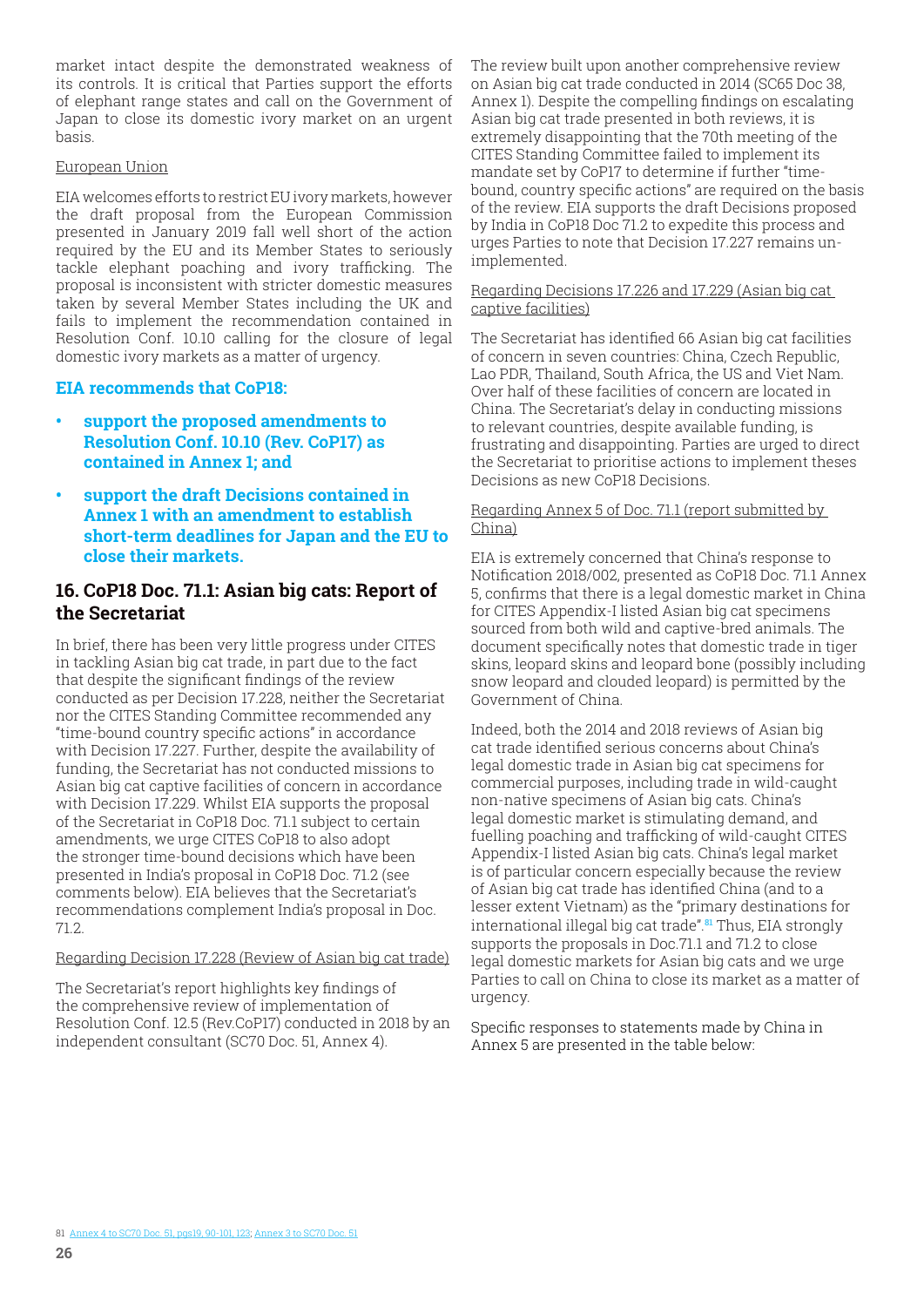<span id="page-25-0"></span>market intact despite the demonstrated weakness of its controls. It is critical that Parties support the efforts of elephant range states and call on the Government of Japan to close its domestic ivory market on an urgent basis.

#### European Union

EIA welcomes efforts to restrict EU ivory markets, however the draft proposal from the European Commission presented in January 2019 fall well short of the action required by the EU and its Member States to seriously tackle elephant poaching and ivory trafficking. The proposal is inconsistent with stricter domestic measures taken by several Member States including the UK and fails to implement the recommendation contained in Resolution Conf. 10.10 calling for the closure of legal domestic ivory markets as a matter of urgency.

#### **EIA recommends that CoP18:**

- **• support the proposed amendments to Resolution Conf. 10.10 (Rev. CoP17) as contained in Annex 1; and**
- **• support the draft Decisions contained in Annex 1 with an amendment to establish short-term deadlines for Japan and the EU to close their markets.**

## **16. CoP18 Doc. 71.1: Asian big cats: Report of the Secretariat**

In brief, there has been very little progress under CITES in tackling Asian big cat trade, in part due to the fact that despite the significant findings of the review conducted as per Decision 17.228, neither the Secretariat nor the CITES Standing Committee recommended any "time-bound country specific actions" in accordance with Decision 17.227. Further, despite the availability of funding, the Secretariat has not conducted missions to Asian big cat captive facilities of concern in accordance with Decision 17.229. Whilst EIA supports the proposal of the Secretariat in CoP18 Doc. 71.1 subject to certain amendments, we urge CITES CoP18 to also adopt the stronger time-bound decisions which have been presented in India's proposal in CoP18 Doc. 71.2 (see comments below). EIA believes that the Secretariat's recommendations complement India's proposal in Doc. 71.2.

#### Regarding Decision 17.228 (Review of Asian big cat trade)

The Secretariat's report highlights key findings of the comprehensive review of implementation of Resolution Conf. 12.5 (Rev.CoP17) conducted in 2018 by an independent consultant (SC70 Doc. 51, Annex 4).

The review built upon another comprehensive review on Asian big cat trade conducted in 2014 (SC65 Doc 38, Annex 1). Despite the compelling findings on escalating Asian big cat trade presented in both reviews, it is extremely disappointing that the 70th meeting of the CITES Standing Committee failed to implement its mandate set by CoP17 to determine if further "timebound, country specific actions" are required on the basis of the review. EIA supports the draft Decisions proposed by India in CoP18 Doc 71.2 to expedite this process and urges Parties to note that Decision 17.227 remains unimplemented.

#### Regarding Decisions 17.226 and 17.229 (Asian big cat captive facilities)

The Secretariat has identified 66 Asian big cat facilities of concern in seven countries: China, Czech Republic, Lao PDR, Thailand, South Africa, the US and Viet Nam. Over half of these facilities of concern are located in China. The Secretariat's delay in conducting missions to relevant countries, despite available funding, is frustrating and disappointing. Parties are urged to direct the Secretariat to prioritise actions to implement theses Decisions as new CoP18 Decisions.

#### Regarding Annex 5 of Doc. 71.1 (report submitted by China)

EIA is extremely concerned that China's response to Notification 2018/002, presented as CoP18 Doc. 71.1 Annex 5, confirms that there is a legal domestic market in China for CITES Appendix-I listed Asian big cat specimens sourced from both wild and captive-bred animals. The document specifically notes that domestic trade in tiger skins, leopard skins and leopard bone (possibly including snow leopard and clouded leopard) is permitted by the Government of China.

Indeed, both the 2014 and 2018 reviews of Asian big cat trade identified serious concerns about China's legal domestic trade in Asian big cat specimens for commercial purposes, including trade in wild-caught non-native specimens of Asian big cats. China's legal domestic market is stimulating demand, and fuelling poaching and trafficking of wild-caught CITES Appendix-I listed Asian big cats. China's legal market is of particular concern especially because the review of Asian big cat trade has identified China (and to a lesser extent Vietnam) as the "primary destinations for international illegal big cat trade".**81** Thus, EIA strongly supports the proposals in Doc.71.1 and 71.2 to close legal domestic markets for Asian big cats and we urge Parties to call on China to close its market as a matter of urgency.

Specific responses to statements made by China in Annex 5 are presented in the table below: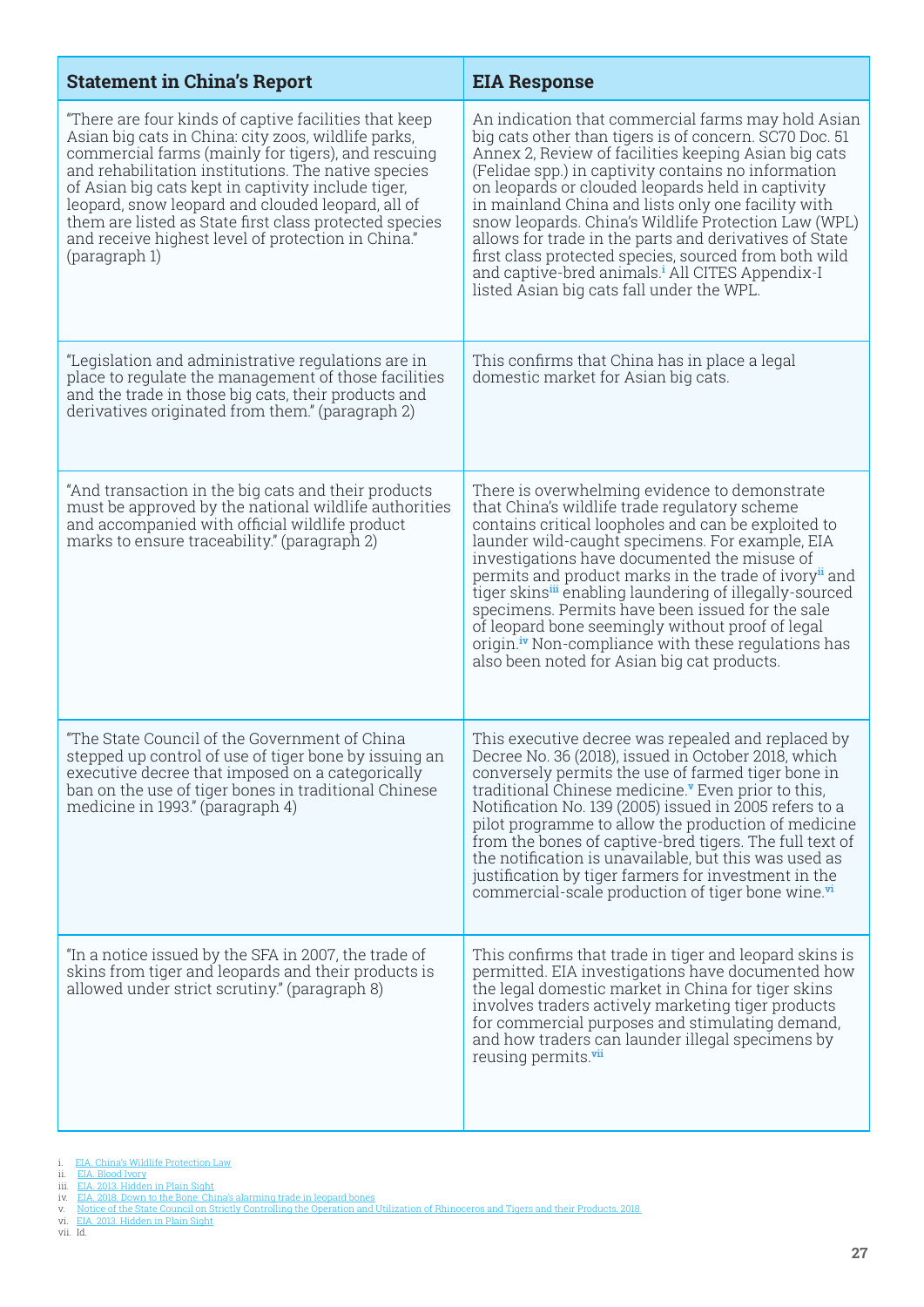| <b>Statement in China's Report</b>                                                                                                                                                                                                                                                                                                                                                                                                                                    | <b>EIA Response</b>                                                                                                                                                                                                                                                                                                                                                                                                                                                                                                                                                                                                           |
|-----------------------------------------------------------------------------------------------------------------------------------------------------------------------------------------------------------------------------------------------------------------------------------------------------------------------------------------------------------------------------------------------------------------------------------------------------------------------|-------------------------------------------------------------------------------------------------------------------------------------------------------------------------------------------------------------------------------------------------------------------------------------------------------------------------------------------------------------------------------------------------------------------------------------------------------------------------------------------------------------------------------------------------------------------------------------------------------------------------------|
| "There are four kinds of captive facilities that keep<br>Asian big cats in China: city zoos, wildlife parks,<br>commercial farms (mainly for tigers), and rescuing<br>and rehabilitation institutions. The native species<br>of Asian big cats kept in captivity include tiger,<br>leopard, snow leopard and clouded leopard, all of<br>them are listed as State first class protected species<br>and receive highest level of protection in China."<br>(paragraph 1) | An indication that commercial farms may hold Asian<br>big cats other than tigers is of concern. SC70 Doc. 51<br>Annex 2, Review of facilities keeping Asian big cats<br>(Felidae spp.) in captivity contains no information<br>on leopards or clouded leopards held in captivity<br>in mainland China and lists only one facility with<br>snow leopards. China's Wildlife Protection Law (WPL)<br>allows for trade in the parts and derivatives of State<br>first class protected species, sourced from both wild<br>and captive-bred animals. <sup>i</sup> All CITES Appendix-I<br>listed Asian big cats fall under the WPL. |
| "Legislation and administrative regulations are in<br>place to regulate the management of those facilities<br>and the trade in those big cats, their products and<br>derivatives originated from them." (paragraph 2)                                                                                                                                                                                                                                                 | This confirms that China has in place a legal<br>domestic market for Asian big cats.                                                                                                                                                                                                                                                                                                                                                                                                                                                                                                                                          |
| "And transaction in the big cats and their products<br>must be approved by the national wildlife authorities<br>and accompanied with official wildlife product<br>marks to ensure traceability." (paragraph 2)                                                                                                                                                                                                                                                        | There is overwhelming evidence to demonstrate<br>that China's wildlife trade regulatory scheme<br>contains critical loopholes and can be exploited to<br>launder wild-caught specimens. For example, EIA<br>investigations have documented the misuse of<br>permits and product marks in the trade of ivory" and<br>tiger skinsii enabling laundering of illegally-sourced<br>specimens. Permits have been issued for the sale<br>of leopard bone seemingly without proof of legal<br>origin. <sup>iv</sup> Non-compliance with these regulations has<br>also been noted for Asian big cat products.                          |
| "The State Council of the Government of China<br>stepped up control of use of tiger bone by issuing an<br>executive decree that imposed on a categorically<br>ban on the use of tiger bones in traditional Chinese<br>medicine in 1993." (paragraph 4)                                                                                                                                                                                                                | This executive decree was repealed and replaced by<br>Decree No. 36 (2018), issued in October 2018, which<br>conversely permits the use of farmed tiger bone in<br>traditional Chinese medicine." Even prior to this,<br>Notification No. 139 (2005) issued in 2005 refers to a<br>pilot programme to allow the production of medicine<br>from the bones of captive-bred tigers. The full text of<br>the notification is unavailable, but this was used as<br>justification by tiger farmers for investment in the<br>commercial-scale production of tiger bone wine. <sup>vi</sup>                                           |
| "In a notice issued by the SFA in 2007, the trade of<br>skins from tiger and leopards and their products is<br>allowed under strict scrutiny." (paragraph 8)                                                                                                                                                                                                                                                                                                          | This confirms that trade in tiger and leopard skins is<br>permitted. EIA investigations have documented how<br>the legal domestic market in China for tiger skins<br>involves traders actively marketing tiger products<br>for commercial purposes and stimulating demand,<br>and how traders can launder illegal specimens by<br>reusing permits. <sup>vii</sup>                                                                                                                                                                                                                                                             |

- 
- 
- 
- i. [EIA. China's Wildlife Protection Law](https://eia-international.org/our-work/wildlife/tigers/tiger-farming/chinas-wildlife-protection-law/)<br>iii. EIA. Blood Ivory<br>iii. EIA. 2018. Hidden in Plain Sight<br>iv. [EIA. 2018. Down to the Bone: China's alarming trade in leopard bones](EIA. 2018. Down to the Bone: China’s alarming trade in leopard bones)<br>v. Notice of the State Council on Stric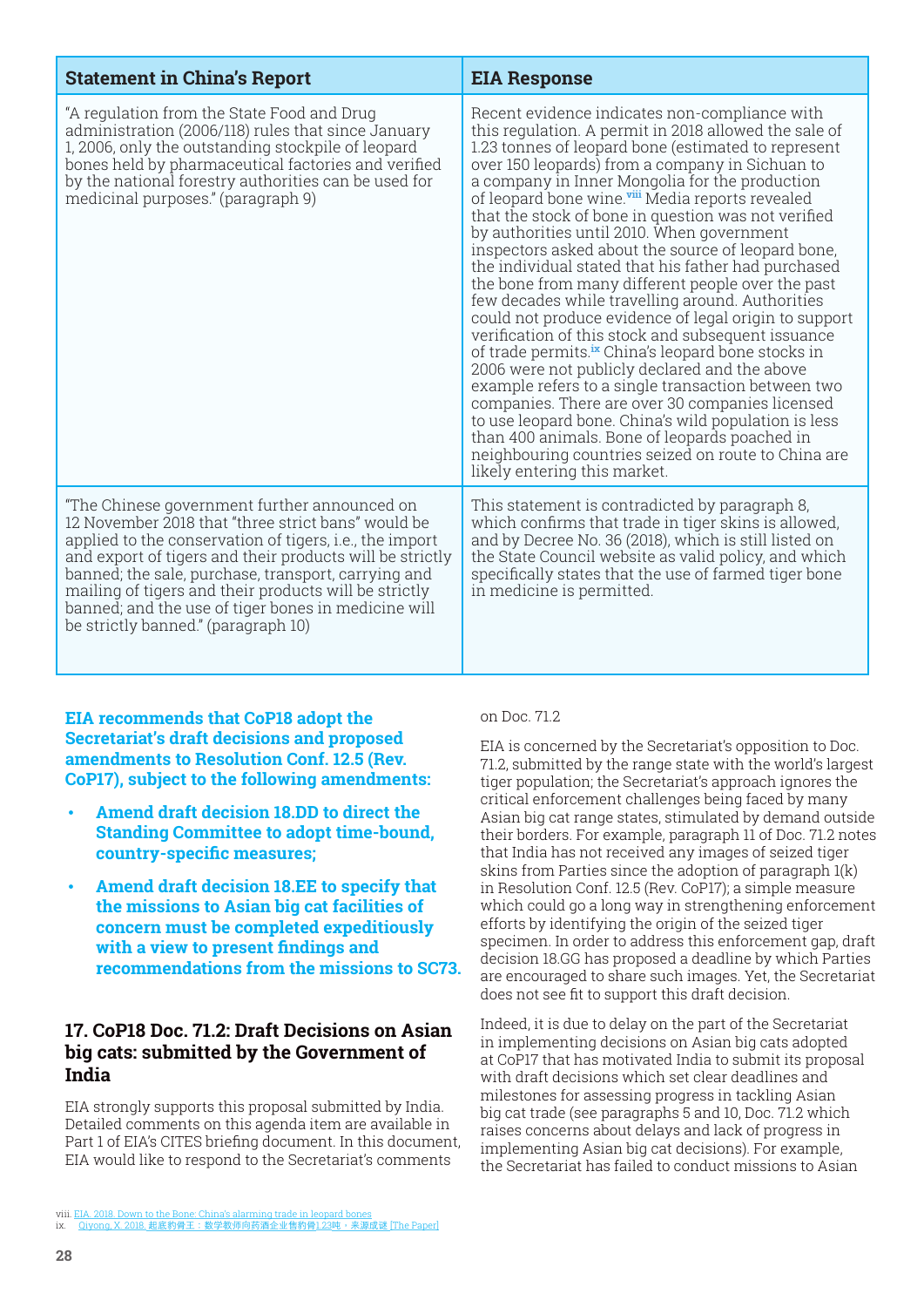<span id="page-27-0"></span>

| <b>Statement in China's Report</b>                                                                                                                                                                                                                                                                                                                                                                                                              | <b>EIA Response</b>                                                                                                                                                                                                                                                                                                                                                                                                                                                                                                                                                                                                                                                                                                                                                                                                                                                                                                                                                                                                                                                                                                                                                                                     |
|-------------------------------------------------------------------------------------------------------------------------------------------------------------------------------------------------------------------------------------------------------------------------------------------------------------------------------------------------------------------------------------------------------------------------------------------------|---------------------------------------------------------------------------------------------------------------------------------------------------------------------------------------------------------------------------------------------------------------------------------------------------------------------------------------------------------------------------------------------------------------------------------------------------------------------------------------------------------------------------------------------------------------------------------------------------------------------------------------------------------------------------------------------------------------------------------------------------------------------------------------------------------------------------------------------------------------------------------------------------------------------------------------------------------------------------------------------------------------------------------------------------------------------------------------------------------------------------------------------------------------------------------------------------------|
| "A regulation from the State Food and Drug<br>administration (2006/118) rules that since January<br>1, 2006, only the outstanding stockpile of leopard<br>bones held by pharmaceutical factories and verified<br>by the national forestry authorities can be used for<br>medicinal purposes." (paragraph 9)                                                                                                                                     | Recent evidence indicates non-compliance with<br>this regulation. A permit in 2018 allowed the sale of<br>1.23 tonnes of leopard bone (estimated to represent<br>over 150 leopards) from a company in Sichuan to<br>a company in Inner Mongolia for the production<br>of leopard bone wine. <sup>vii</sup> Media reports revealed<br>that the stock of bone in question was not verified<br>by authorities until 2010. When government<br>inspectors asked about the source of leopard bone,<br>the individual stated that his father had purchased<br>the bone from many different people over the past<br>few decades while travelling around. Authorities<br>could not produce evidence of legal origin to support<br>verification of this stock and subsequent issuance<br>of trade permits. <sup>ix</sup> China's leopard bone stocks in<br>2006 were not publicly declared and the above<br>example refers to a single transaction between two<br>companies. There are over 30 companies licensed<br>to use leopard bone. China's wild population is less<br>than 400 animals. Bone of leopards poached in<br>neighbouring countries seized on route to China are<br>likely entering this market. |
| "The Chinese government further announced on<br>12 November 2018 that "three strict bans" would be<br>applied to the conservation of tigers, <i>i.e.</i> , the import<br>and export of tigers and their products will be strictly<br>banned; the sale, purchase, transport, carrying and<br>mailing of tigers and their products will be strictly<br>banned, and the use of tiger bones in medicine will<br>be strictly banned." (paragraph 10) | This statement is contradicted by paragraph 8,<br>which confirms that trade in tiger skins is allowed,<br>and by Decree No. 36 (2018), which is still listed on<br>the State Council website as valid policy, and which<br>specifically states that the use of farmed tiger bone<br>in medicine is permitted.                                                                                                                                                                                                                                                                                                                                                                                                                                                                                                                                                                                                                                                                                                                                                                                                                                                                                           |

**EIA recommends that CoP18 adopt the Secretariat's draft decisions and proposed amendments to Resolution Conf. 12.5 (Rev. CoP17), subject to the following amendments:**

- **Amend draft decision 18.DD to direct the Standing Committee to adopt time-bound, country-specific measures;**
- **Amend draft decision 18.EE to specify that the missions to Asian big cat facilities of concern must be completed expeditiously with a view to present findings and recommendations from the missions to SC73.**

#### **17. CoP18 Doc. 71.2: Draft Decisions on Asian big cats: submitted by the Government of India**

EIA strongly supports this proposal submitted by India. Detailed comments on this agenda item are available in Part 1 of EIA's CITES briefing document. In this document, EIA would like to respond to the Secretariat's comments

on Doc. 71.2

EIA is concerned by the Secretariat's opposition to Doc. 71.2, submitted by the range state with the world's largest tiger population; the Secretariat's approach ignores the critical enforcement challenges being faced by many Asian big cat range states, stimulated by demand outside their borders. For example, paragraph 11 of Doc. 71.2 notes that India has not received any images of seized tiger skins from Parties since the adoption of paragraph 1(k) in Resolution Conf. 12.5 (Rev. CoP17); a simple measure which could go a long way in strengthening enforcement efforts by identifying the origin of the seized tiger specimen. In order to address this enforcement gap, draft decision 18.GG has proposed a deadline by which Parties are encouraged to share such images. Yet, the Secretariat does not see fit to support this draft decision.

Indeed, it is due to delay on the part of the Secretariat in implementing decisions on Asian big cats adopted at CoP17 that has motivated India to submit its proposal with draft decisions which set clear deadlines and milestones for assessing progress in tackling Asian big cat trade (see paragraphs 5 and 10, Doc. 71.2 which raises concerns about delays and lack of progress in implementing Asian big cat decisions). For example, the Secretariat has failed to conduct missions to Asian

viii. [EIA. 2018. Down to the Bone: China's alarming trade in leopard bones](https://eia-international.org/report/down-to-the-bone-chinas-alarming-trade-in-leopard-bones/https:/eia-international.org/report/down-to-the-bone-chinas-alarming-trade-in-leopard-bones/)<br>ix. Qiyong, X. 2018. [起底豹骨王:数学教师向药酒企业售豹骨](https://www.thepaper.cn/newsDetail_forward_2221417)1.23吨,来源成谜 [The Paper]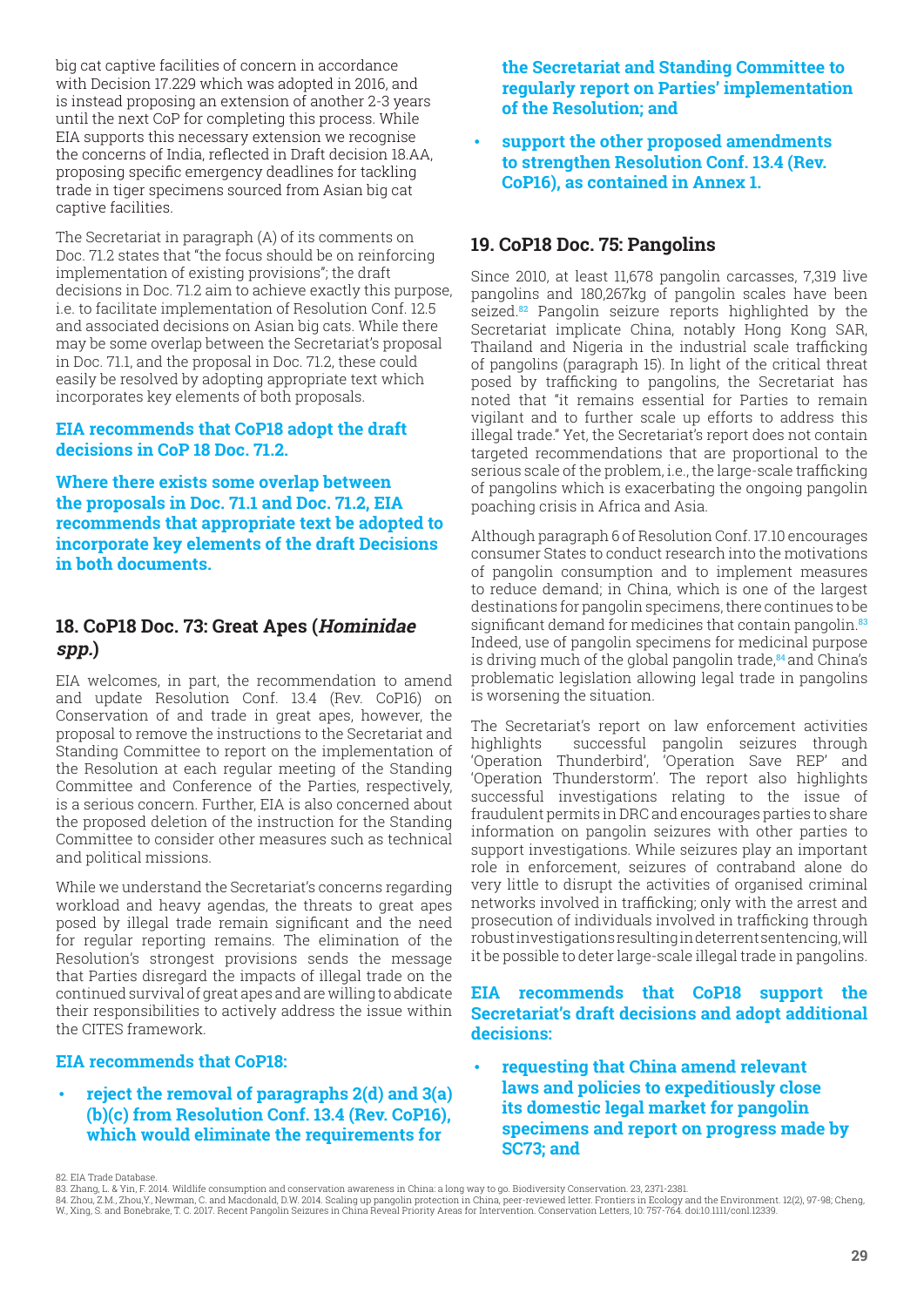<span id="page-28-0"></span>big cat captive facilities of concern in accordance with Decision 17.229 which was adopted in 2016, and is instead proposing an extension of another 2-3 years until the next CoP for completing this process. While EIA supports this necessary extension we recognise the concerns of India, reflected in Draft decision 18.AA, proposing specific emergency deadlines for tackling trade in tiger specimens sourced from Asian big cat captive facilities.

The Secretariat in paragraph (A) of its comments on Doc. 71.2 states that "the focus should be on reinforcing implementation of existing provisions"; the draft decisions in Doc. 71.2 aim to achieve exactly this purpose, i.e. to facilitate implementation of Resolution Conf. 12.5 and associated decisions on Asian big cats. While there may be some overlap between the Secretariat's proposal in Doc. 71.1, and the proposal in Doc. 71.2, these could easily be resolved by adopting appropriate text which incorporates key elements of both proposals.

#### **EIA recommends that CoP18 adopt the draft decisions in CoP 18 Doc. 71.2.**

**Where there exists some overlap between the proposals in Doc. 71.1 and Doc. 71.2, EIA recommends that appropriate text be adopted to incorporate key elements of the draft Decisions in both documents.**

## **18. CoP18 Doc. 73: Great Apes (Hominidae spp.)**

EIA welcomes, in part, the recommendation to amend and update Resolution Conf. 13.4 (Rev. CoP16) on Conservation of and trade in great apes, however, the proposal to remove the instructions to the Secretariat and Standing Committee to report on the implementation of the Resolution at each regular meeting of the Standing Committee and Conference of the Parties, respectively, is a serious concern. Further, EIA is also concerned about the proposed deletion of the instruction for the Standing Committee to consider other measures such as technical and political missions.

While we understand the Secretariat's concerns regarding workload and heavy agendas, the threats to great apes posed by illegal trade remain significant and the need for regular reporting remains. The elimination of the Resolution's strongest provisions sends the message that Parties disregard the impacts of illegal trade on the continued survival of great apes and are willing to abdicate their responsibilities to actively address the issue within the CITES framework.

#### **EIA recommends that CoP18:**

• **reject the removal of paragraphs 2(d) and 3(a) (b)(c) from Resolution Conf. 13.4 (Rev. CoP16), which would eliminate the requirements for** 

**the Secretariat and Standing Committee to regularly report on Parties' implementation of the Resolution; and**

• **support the other proposed amendments to strengthen Resolution Conf. 13.4 (Rev. CoP16), as contained in Annex 1.**

## **19. CoP18 Doc. 75: Pangolins**

Since 2010, at least 11,678 pangolin carcasses, 7,319 live pangolins and 180,267kg of pangolin scales have been seized.**82** Pangolin seizure reports highlighted by the Secretariat implicate China, notably Hong Kong SAR, Thailand and Nigeria in the industrial scale trafficking of pangolins (paragraph 15). In light of the critical threat posed by trafficking to pangolins, the Secretariat has noted that "it remains essential for Parties to remain vigilant and to further scale up efforts to address this illegal trade." Yet, the Secretariat's report does not contain targeted recommendations that are proportional to the serious scale of the problem, i.e., the large-scale trafficking of pangolins which is exacerbating the ongoing pangolin poaching crisis in Africa and Asia.

Although paragraph 6 of Resolution Conf. 17.10 encourages consumer States to conduct research into the motivations of pangolin consumption and to implement measures to reduce demand; in China, which is one of the largest destinations for pangolin specimens, there continues to be significant demand for medicines that contain pangolin.**<sup>83</sup>** Indeed, use of pangolin specimens for medicinal purpose is driving much of the global pangolin trade,**<sup>84</sup>** and China's problematic legislation allowing legal trade in pangolins is worsening the situation.

The Secretariat's report on law enforcement activities highlights successful pangolin seizures through 'Operation Thunderbird', 'Operation Save REP' and 'Operation Thunderstorm'. The report also highlights successful investigations relating to the issue of fraudulent permits in DRC and encourages parties to share information on pangolin seizures with other parties to support investigations. While seizures play an important role in enforcement, seizures of contraband alone do very little to disrupt the activities of organised criminal networks involved in trafficking; only with the arrest and prosecution of individuals involved in trafficking through robust investigations resulting in deterrent sentencing, will it be possible to deter large-scale illegal trade in pangolins.

#### **EIA recommends that CoP18 support the Secretariat's draft decisions and adopt additional decisions:**

• **requesting that China amend relevant laws and policies to expeditiously close its domestic legal market for pangolin specimens and report on progress made by SC73; and**

[<sup>82.</sup> EIA Trade Database.](https://www.saigaresourcecentre.com/sites/default/files/2019-03/news_saiga-en_fin_small_1.pdf)

[<sup>83.</sup> Zhang, L. & Yin, F. 2014. Wildlife](https://www.saigaresourcecentre.com/sites/default/files/2019-03/news_saiga-en_fin_small_1.pdf) consumption and conservation awareness in China: a long way to go. Biodiversity Conservation. 23, 2371-2381.

<sup>84.</sup> Zhou, Z.M., Zhou,Y., Newman, C. and Macdonald, D.W. 2014. Scaling up pangolin protection in China, [peer-reviewed letter. Frontier](https://eia-international.org/report/the-tiger-skin-trail-report/)s in Ecology and the Environment[.](http://www.xinhuanet.com/english/2019-02/12/c_137813872.htm) 12(2), 97-98; Cheng,<br>W., Xing, S. and Bonebrake, T. C.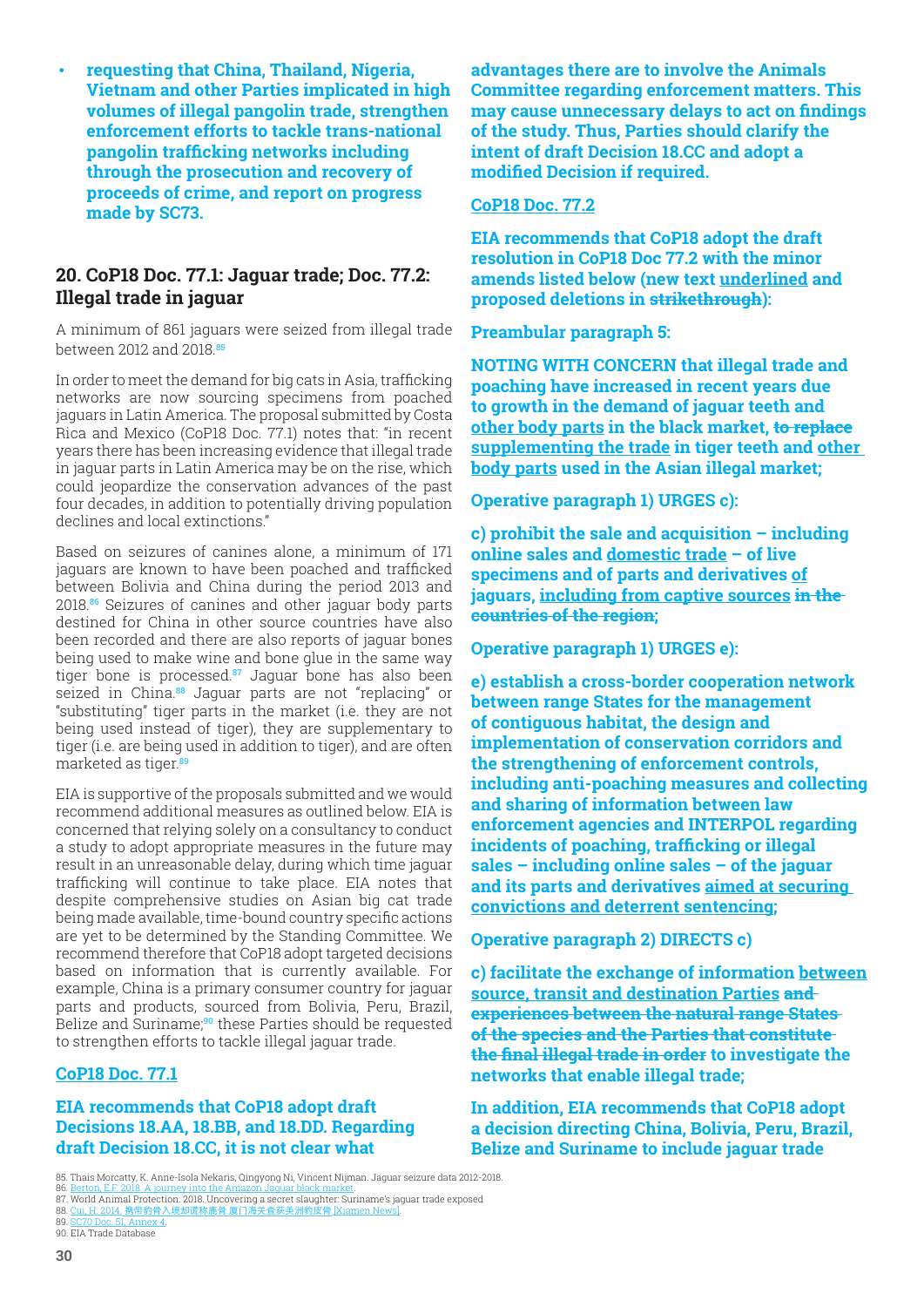<span id="page-29-0"></span>• **requesting that China, Thailand, Nigeria, Vietnam and other Parties implicated in high volumes of illegal pangolin trade, strengthen enforcement efforts to tackle trans-national pangolin trafficking networks including through the prosecution and recovery of procee[ds of crime, and repor](file://EIA-SERVER/Shared/Comms/Design%20and%20publications/Campaigns%20-%20WILDLIFE/CITES%20-%20Feb%202019/chrome-extension://oemmndcbldboiebfnladdacbdfmadadm/https:/cites.org/sites/default/files/eng/com/sc/70/E-SC70-51-A4.pdf)t on progress made by SC73.**

## **20. CoP18 Doc. 77[.1: Jaguar trade; Doc.](file://EIA-SERVER/Shared/Comms/Design%20and%20publications/Campaigns%20-%20WILDLIFE/CITES%20-%20Feb%202019/chrome-extension://oemmndcbldboiebfnladdacbdfmadadm/https:/www.cites.org/sites/default/files/eng/com/sc/65/E-SC65-38-A01_0.pdf) 77.2: Illegal trade in jaguar**

A minimum of 861 jaguars were seized from illegal trade between 2012 and 2018.**<sup>85</sup>**

In order to meet the demand for big cats in Asia, trafficking networks are now sourcing specimens from poached jaguars in Latin America. The proposal submitted by Costa Rica and Mexico (CoP18 Doc. 77.1) notes that: "in recent years there has been increasing evidence that illegal trade in jaguar parts in Latin America may be on the rise, which could jeopardize the conservation advances of the past four decades, in addition to potentially driving population declines and local extinctions."

Based on seizures of canines alone, a minimum of 171 jaguars are known to have been poached and trafficked between Bolivia and China during the period 2013 and 2018.**86** Seizures of canines and other jaguar body parts destined for China in other source countries have also been recorded and there are also reports of jaguar bones being used to make wine and bone glue in the same way tiger bone is processed.**87** Jaguar bone has also been seized in China.**88** Jaguar parts are not "replacing" or "substituting" tiger parts in the market (i.e. they are not being used instead of tiger), they are supplementary to tiger (i.e. are being used in addition to tiger), and are often marketed as tiger.**<sup>89</sup>**

EIA is supportive of the proposals submitted and we would recommend additional measures as outlined below. EIA is concerned that relying solely on a consultancy to conduct a study to adopt appropriate measures in the future may result in an unreasonable delay, during which time jaguar trafficking will continue to take place. EIA notes that despite comprehensive studies on Asian big cat trade being made available, time-bound country specific actions are yet to be determined by the Standing Committee. We recommend therefore that CoP18 adopt targeted decisions based on information that is currently available. For example, China is a primary consumer country for jaguar parts and products, sourced from Bolivia, Peru, Brazil, Belize and Suriname;**90** these Parties should be requested to strengthen efforts to tackle illegal jaguar trade.

#### **CoP18 Doc. 77.1**

#### **EIA recommends that CoP18 adopt draft Decisions 18.AA, 18.BB, and 18.DD. Regarding draft Decision 18.CC, it is not clear what**

**advantages there are to involve the Animals Committee regarding enforcement matters. This may cause unnecessary delays to act on findings of the study. Thus, Parties should clarify the intent of draft Decision 18.CC and adopt a modified Decision if required.**

#### **CoP18 Doc. 77.2**

**EIA recommends that CoP18 adopt the draft resolution in CoP18 Doc 77.2 with the minor amends listed below (new text underlined and proposed deletions in strikethrough):**

#### **Preambular paragraph 5:**

**NOTING WITH CONCERN that illegal trade and poaching have increased in recent years due to growth in the demand of jaguar teeth and other body parts in the black market, to replace supplementing the trade in tiger teeth and other body parts used in the Asian illegal market;**

#### **Operative paragraph 1) URGES c):**

**c) prohibit the sale and acquisition – including online sales and domestic trade – of live specimens and of parts and derivatives of jaguars, including from captive sources in the countries of the region;**

#### **Operative paragraph 1) URGES e):**

**e) establish a cross-border cooperation network between range States for the management of contiguous habitat, the design and implementation of conservation corridors and the strengthening of enforcement controls, including anti-poaching measures and collecting and sharing of information between law enforcement agencies and INTERPOL regarding incidents of poaching, trafficking or illegal sales – including online sales – of the jaguar and its parts and derivatives aimed at securing convictions and deterrent sentencing;**

#### **Operative paragraph 2) DIRECTS c)**

**c) facilitate the exchange of information between source, transit and destination Parties and experiences between the natural range States of the species and the Parties that constitute the final illegal trade in order to investigate the networks that enable illegal trade;**

**In addition, EIA recommends that CoP18 adopt a decision directing China, Bolivia, Peru, Brazil, Belize and Suriname to include jaguar trade** 

[89. SC70 Doc. 51, Annex 4.](https://www.sciencedirect.com/science/article/pii/S0006320717303890)

[<sup>85.</sup> Thais Morcatty, K. Anne-Isola Nekaris, Qingyong Ni, Vincent N](http://www.xinhuanet.com/english/2019-02/12/c_137813872.htm)ijma[n. Jaguar seizure data 2](https://cites.org/sites/default/files/eng/cop/18/doc/E-CoP18-083-01.pdf)012-2018.

<sup>86. &</sup>lt;u>Berton, E.F. 2018. A journey into the Amazon Jaguar black market</u>.<br>[87. World Animal Protection. 2018. Uncovering a secret slaughter: Surin](https://www.iucn.org/content/african-elephant-status-report-2016-update-african-elephant-database)ame['s jaguar trade exposed](https://www.sciencedirect.com/science/article/pii/S0006320717303890)

<sup>88.</sup> Cui, H. 2014. 携带豹骨入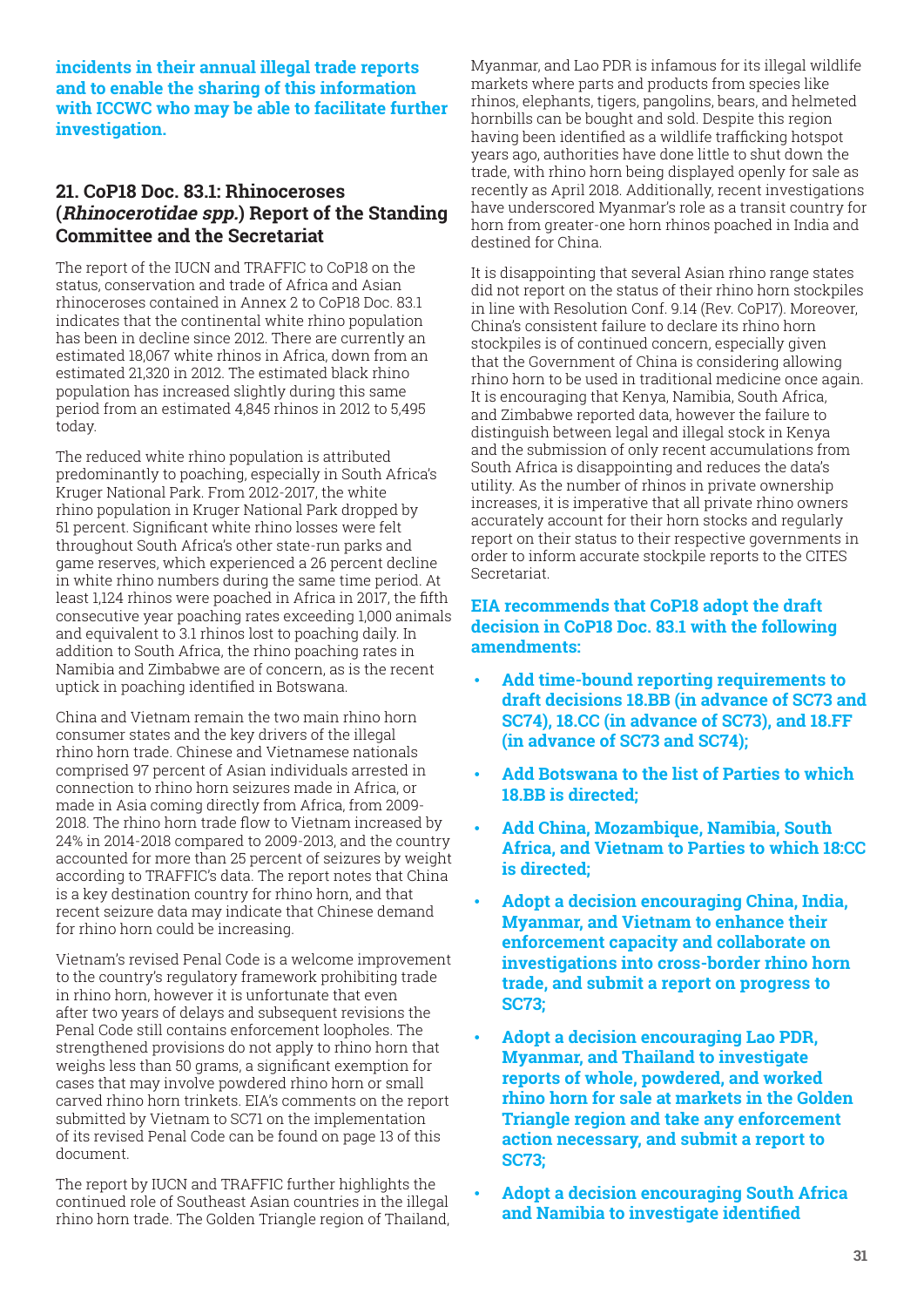<span id="page-30-0"></span>**incidents in their annual illegal trade reports and to enable the sharing of this information with ICCWC who may be able to facilitate further investigation.**

## **21. CoP18 Doc. 83.1: Rhinoceroses (Rhinocerotidae spp.) Report of the Standing Committee and the Secretariat**

The report of the IUCN and TRAFFIC to CoP18 on the status, conservation and trade of Africa and Asian rhinoceroses contained in Annex 2 to CoP18 Doc. 83.1 indicates that the continental white rhino population has been in decline since 2012. There are currently an estimated 18,067 white rhinos in Africa, down from an estimated 21,320 in 2012. The estimated black rhino population has increased slightly during this same period from an estimated 4,845 rhinos in 2012 to 5,495 today.

The reduced white rhino population is attributed predominantly to poaching, especially in South Africa's Kruger National Park. From 2012-2017, the white rhino population in Kruger National Park dropped by 51 percent. Significant white rhino losses were felt throughout South Africa's other state-run parks and game reserves, which experienced a 26 percent decline in white rhino numbers during the same time period. At least 1,124 rhinos were poached in Africa in 2017, the fifth consecutive year poaching rates exceeding 1,000 animals and equivalent to 3.1 rhinos lost to poaching daily. In addition to South Africa, the rhino poaching rates in Namibia and Zimbabwe are of concern, as is the recent uptick in poaching identified in Botswana.

China and Vietnam remain the two main rhino horn consumer states and the key drivers of the illegal rhino horn trade. Chinese and Vietnamese nationals comprised 97 percent of Asian individuals arrested in connection to rhino horn seizures made in Africa, or made in Asia coming directly from Africa, from 2009- 2018. The rhino horn trade flow to Vietnam increased by 24% in 2014-2018 compared to 2009-2013, and the country accounted for more than 25 percent of seizures by weight according to TRAFFIC's data. The report notes that China is a key destination country for rhino horn, and that recent seizure data may indicate that Chinese demand for rhino horn could be increasing.

Vietnam's revised Penal Code is a welcome improvement to the country's regulatory framework prohibiting trade in rhino horn, however it is unfortunate that even after two years of delays and subsequent revisions the Penal Code still contains enforcement loopholes. The strengthened provisions do not apply to rhino horn that weighs less than 50 grams, a significant exemption for cases that may involve powdered rhino horn or small carved rhino horn trinkets. EIA's comments on the report submitted by Vietnam to SC71 on the implementation of its revised Penal Code can be found on page 13 of this document.

The report by IUCN and TRAFFIC further highlights the continued role of Southeast Asian countries in the illegal rhino horn trade. The Golden Triangle region of Thailand, Myanmar, and Lao PDR is infamous for its illegal wildlife markets where parts and products from species like rhinos, elephants, tigers, pangolins, bears, and helmeted hornbills can be bought and sold. Despite this region having been identified as a wildlife trafficking hotspot years ago, authorities have done little to shut down the trade, with rhino horn being displayed openly for sale as recently as April 2018. Additionally, recent investigations have underscored Myanmar's role as a transit country for horn from greater-one horn rhinos poached in India and destined for China.

It is disappointing that several Asian rhino range states did not report on the status of their rhino horn stockpiles in line with Resolution Conf. 9.14 (Rev. CoP17). Moreover, China's consistent failure to declare its rhino horn stockpiles is of continued concern, especially given that the Government of China is considering allowing rhino horn to be used in traditional medicine once again. It is encouraging that Kenya, Namibia, South Africa, and Zimbabwe reported data, however the failure to distinguish between legal and illegal stock in Kenya and the submission of only recent accumulations from South Africa is disappointing and reduces the data's utility. As the number of rhinos in private ownership increases, it is imperative that all private rhino owners accurately account for their horn stocks and regularly report on their status to their respective governments in order to inform accurate stockpile reports to the CITES Secretariat.

#### **EIA recommends that CoP18 adopt the draft decision in CoP18 Doc. 83.1 with the following amendments:**

- **Add time-bound reporting requirements to draft decisions 18.BB (in advance of SC73 and SC74), 18.CC (in advance of SC73), and 18.FF (in advance of SC73 and SC74);**
- **Add Botswana to the list of Parties to which 18.BB is directed;**
- **Add China, Mozambique, Namibia, South Africa, and Vietnam to Parties to which 18:CC is directed;**
- **Adopt a decision encouraging China, India, Myanmar, and Vietnam to enhance their enforcement capacity and collaborate on investigations into cross-border rhino horn trade, and submit a report on progress to SC73;**
- **Adopt a decision encouraging Lao PDR, Myanmar, and Thailand to investigate reports of whole, powdered, and worked rhino horn for sale at markets in the Golden Triangle region and take any enforcement action necessary, and submit a report to SC73;**
- **Adopt a decision encouraging South Africa and Namibia to investigate identified**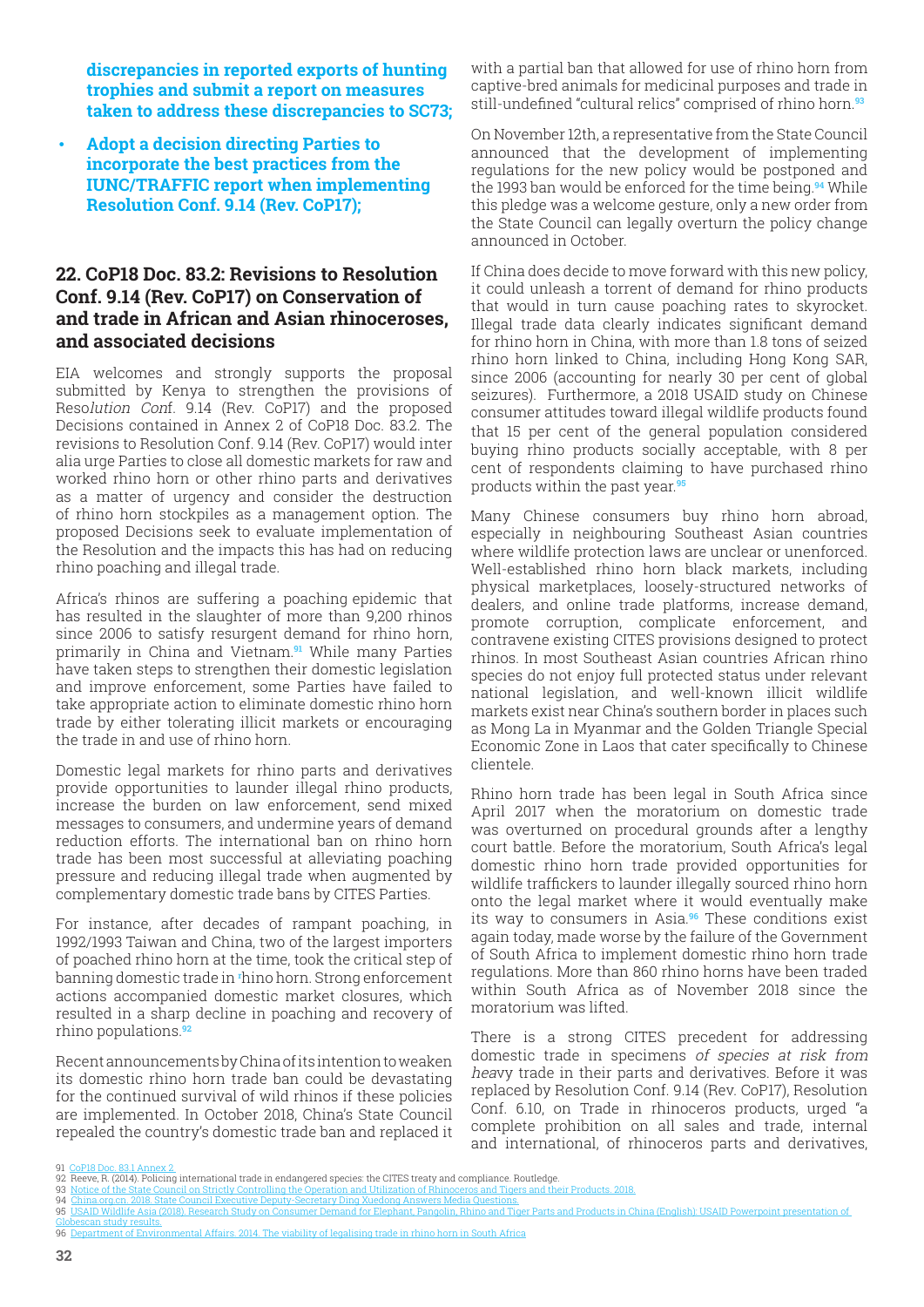<span id="page-31-0"></span>**discrepancies in reported exports of hunting trophies and submit a report on measures taken to address these discrepancies to SC73;** 

• **Adopt a decision directing Parties to incorporate the best practices from the IUNC/TRAFFIC report when implementing Resolution Conf. 9.14 (Rev. CoP17);**

## **22. CoP18 Doc. 83.2: Revisions to Resolution Conf. 9.14 (Rev. CoP17) on Conservation of and trade in African and Asian rhinoceroses, and associated decisions**

EIA welcomes and strongly supports the proposal submitted by Kenya to strengthen the provisions of Resolution Conf. 9.14 (Rev. CoP17) and the proposed Decisions contained in Annex 2 of CoP18 Doc. 83.2. The revisions to Resolution Conf. 9.14 (Rev. CoP17) would inter alia urge Parties to close all domestic markets for raw and worked rhino horn or other rhino parts and derivatives as a matter of urgency and consider the destruction of rhino horn stockpiles as a management option. The proposed Decisions seek to evaluate implementation of the Resolution and the impacts this has had on reducing rhino poaching and illegal trade.

Africa's rhinos are suffering a poaching epidemic that has resulted in the slaughter of more than 9,200 rhinos since 2006 to satisfy resurgent demand for rhino horn, primarily in China and Vietnam.**91** While many Parties have taken steps to strengthen their domestic legislation and improve enforcement, some Parties have failed to take appropriate action to eliminate domestic rhino horn trade by either tolerating illicit markets or encouraging the trade in and use of rhino horn.

Domestic legal markets for rhino parts and derivatives provide opportunities to launder illegal rhino products, increase the burden on law enforcement, send mixed messages to consumers, and undermine years of demand reduction efforts. The international ban on rhino horn trade has been most successful at alleviating poaching pressure and reducing illegal trade when augmented by complementary domestic trade bans by CITES Parties.

For instance, after decades of rampant poaching, in 1992/1993 Taiwan and China, two of the largest importers of poached rhino horn at the time, took the critical step of banning domestic trade in **<sup>r</sup>** hino horn. Strong enforcement actions accompanied domestic market closures, which resulted in a sharp decline in poaching and recovery of rhino populations.**<sup>92</sup>**

Recent announcements by China of its intention to weaken its domestic rhino horn trade ban could be devastating for the continued survival of wild rhinos if these policies are implemented. In October 2018, China's State Council repealed the country's domestic trade ban and replaced it with a partial ban that allowed for use of rhino horn from captive-bred animals for medicinal purposes and trade in still-undefined "cultural relics" comprised of rhino horn.**<sup>93</sup>**

On November 12th, a representative from the State Council announced that the development of implementing regulations for the new policy would be postponed and the 1993 ban would be enforced for the time being.**94** While this pledge was a welcome gesture, only a new order from the State Council can legally overturn the policy change announced in October.

If China does decide to move forward with this new policy, it could unleash a torrent of demand for rhino products that would in turn cause poaching rates to skyrocket. Illegal trade data clearly indicates significant demand for rhino horn in China, with more than 1.8 tons of seized rhino horn linked to China, including Hong Kong SAR, since 2006 (accounting for nearly 30 per cent of global seizures). Furthermore, a 2018 USAID study on Chinese consumer attitudes toward illegal wildlife products found that 15 per cent of the general population considered buying rhino products socially acceptable, with 8 per cent of respondents claiming to have purchased rhino products within the past year.**<sup>95</sup>**

Many Chinese consumers buy rhino horn abroad, especially in neighbouring Southeast Asian countries where wildlife protection laws are unclear or unenforced. Well-established rhino horn black markets, including physical marketplaces, loosely-structured networks of dealers, and online trade platforms, increase demand, promote corruption, complicate enforcement, and contravene existing CITES provisions designed to protect rhinos. In most Southeast Asian countries African rhino species do not enjoy full protected status under relevant national legislation, and well-known illicit wildlife markets exist near China's southern border in places such as Mong La in Myanmar and the Golden Triangle Special Economic Zone in Laos that cater specifically to Chinese clientele.

Rhino horn trade has been legal in South Africa since April 2017 when the moratorium on domestic trade was overturned on procedural grounds after a lengthy court battle. Before the moratorium, South Africa's legal domestic rhino horn trade provided opportunities for wildlife traffickers to launder illegally sourced rhino horn onto the legal market where it would eventually make its way to consumers in Asia.**96** These conditions exist again today, made worse by the failure of the Government of South Africa to implement domestic rhino horn trade regulations. More than 860 rhino horns have been traded within South Africa as of November 2018 since the moratorium was lifted.

There is a strong CITES precedent for addressing domestic trade in specimens of species at risk from heavy trade in their parts and derivatives. Before it was replaced by Resolution Conf. 9.14 (Rev. CoP17), Resolution Conf. 6.10, on Trade in rhinoceros products, urged "a complete prohibition on all sales and trade, internal and international, of rhinoceros parts and derivatives,

91 [CoP18 Doc. 83.1 Annex 2](https://journals.plos.org/plosone/article/file?id=10.1371/journal.pone.0193469&type=printable) 

- can study results.
- 96 Department of Environmental Affairs. 2014. The viability of legalising trade in rhin[o horn in South Africa](https://eia-international.org/report/blood-ivory-exposing-the-myth-of-a-regulated-market/)

[<sup>92</sup> Reeve, R. \(2014\). Policing international trade in endangered species: the CITES treaty and compliance. Routledge.](https://journals.plos.org/plosone/article/file?id=10.1371/journal.pone.0193469&type=printable)<br>93 Notice of the State Council on Strictly Controlling the Operation and Utilization of Rhinoceros and Ti

<sup>93</sup> [Notice of th](https://journals.plos.org/plosone/article/file?id=10.1371/journal.pone.0193469&type=printable)e St[ate Council on Strictly Controlling the Operation and Utilization of Rhinoceros and Tigers and their Products. 2](https://thelivingstoneweekly.files.wordpress.com/2018/01/tlbw24jan18.pdf)018.<br>94 China.org.cn. 2018. State Council Executive Deputy-Secretary Ding Xuedong Answers M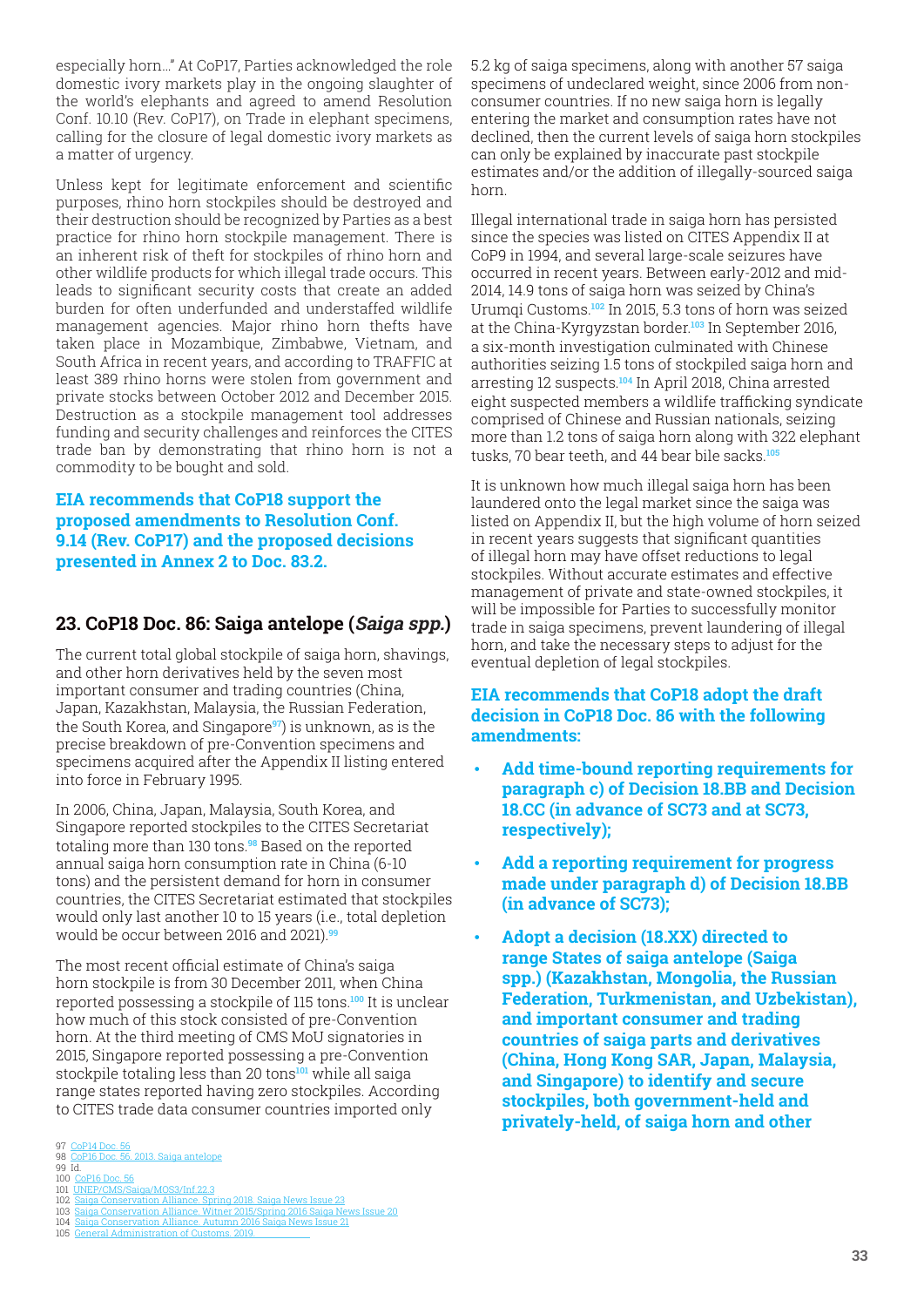<span id="page-32-0"></span>especially horn…" At CoP17, Parties acknowledged the role domestic ivory markets play in the ongoing slaughter of the world's elephants and agreed to amend Resolution Conf. 10.10 (Rev. CoP17), on Trade in elephant specimens, calling for the closure of legal domestic ivory markets as a matter of urgency.

Unless kept for legitimate enforcement and scientific purposes, rhino horn stockpiles should be destroyed and their destruction should be recognized by Parties as a best practice for rhino horn stockpile management. There is an inherent risk of theft for stockpiles of rhino horn and other wildlife products for which illegal trade occurs. This leads to significant security costs that create an added burden for often underfunded and understaffed wildlife management agencies. Major rhino horn thefts have taken place in Mozambique, Zimbabwe, Vietnam, and South Africa in recent years, and according to TRAFFIC at least 389 rhino horns were stolen from government and private stocks between October 2012 and December 2015. Destruction as a stockpile management tool addresses funding and security challenges and reinforces the CITES trade ban by demonstrating that rhino horn is not a commodity to be bought and sold.

#### **EIA recommends that CoP18 support the proposed amendments to Resolution Conf. 9.14 (Rev. CoP17) and the proposed decisions presented in Annex 2 to Doc. 83.2.**

## **23. CoP18 Doc. 86: Saiga antelope (Saiga spp.)**

The current total global stockpile of saiga horn, shavings, and other horn derivatives held by the seven most important consumer and trading countries (China, Japan, Kazakhstan, Malaysia, the Russian Federation, the South Korea, and Singapore**97**) is unknown, as is the precise breakdown of pre-Convention specimens and specimens acquired after the Appendix II listing entered into force in February 1995.

In 2006, China, Japan, Malaysia, South Korea, and Singapore reported stockpiles to the CITES Secretariat totaling more than 130 tons.**98** Based on the reported annual saiga horn consumption rate in China (6-10 tons) and the persistent demand for horn in consumer countries, the CITES Secretariat estimated that stockpiles would only last another 10 to 15 years (i.e., total depletion would be occur between 2016 and 2021).**<sup>99</sup>**

The most recent official estimate of China's saiga horn stockpile is from 30 December 2011, when China reported possessing a stockpile of 115 tons.**100** It is unclear how much of this stock consisted of pre-Convention horn. At the third meeting of CMS MoU signatories in 2015, Singapore reported possessing a pre-Convention stockpile totaling less than 20 tons**101** while all saiga range states reported having zero stockpiles. According to CITES trade data consumer countries imported only

5.2 kg of saiga specimens, along with another 57 saiga specimens of undeclared weight, since 2006 from nonconsumer countries. If no new saiga horn is legally entering the market and consumption rates have not declined, then the current levels of saiga horn stockpiles can only be explained by inaccurate past stockpile estimates and/or the addition of illegally-sourced saiga horn.

Illegal international trade in saiga horn has persisted since the species was listed on CITES Appendix II at CoP9 in 1994, and several large-scale seizures have occurred in recent years. Between early-2012 and mid-2014, 14.9 tons of saiga horn was seized by China's Urumqi Customs.**102** In 2015, 5.3 tons of horn was seized at the China-Kyrgyzstan border.**103** In September 2016, a six-month investigation culminated with Chinese authorities seizing 1.5 tons of stockpiled saiga horn and arresting 12 suspects.**104** In April 2018, China arrested eight suspected members a wildlife trafficking syndicate comprised of Chinese and Russian nationals, seizing more than 1.2 tons of saiga horn along with 322 elephant tusks, 70 bear teeth, and 44 bear bile sacks.**<sup>105</sup>**

It is unknown how much illegal saiga horn has been laundered onto the legal market since the saiga was listed on Appendix II, but the high volume of horn seized in recent years suggests that significant quantities of illegal horn may have offset reductions to legal stockpiles. Without accurate estimates and effective management of private and state-owned stockpiles, it will be impossible for Parties to successfully monitor trade in saiga specimens, prevent laundering of illegal horn, and take the necessary steps to adjust for the eventual depletion of legal stockpiles.

#### **EIA recommends that CoP18 adopt the draft decision in CoP18 Doc. 86 with the following amendments:**

- **Add time-bound reporting requirements for paragraph c) of Decision 18.BB and Decision 18.CC (in advance of SC73 and at SC73, respectively);**
- **Add a reporting requirement for progress made under paragraph d) of Decision 18.BB (in advance of SC73);**
- **Adopt a decision (18.XX) directed to range States of saiga antelope (Saiga spp.) (Kazakhstan, Mongolia, the Russian Federation, Turkmenistan, and Uzbekistan), and important consumer and trading countries of saiga parts and derivatives (China, Hong Kong SAR, Japan, Malaysia, and Singapore) to identify and secure stockpiles, both government-held and privately-held, of saiga horn and other**

<sup>97</sup> [CoP14 Doc. 56](https://eia-international.org/report/blood-ivory-exposing-the-myth-of-a-regulated-market/) 98 <u>[CoP16 Doc. 56. 2013. Saiga a](https://eia-international.org/report/blood-ivory-exposing-the-myth-of-a-regulated-market/)ntel[ope](https://www.iucn.org/content/african-elephant-status-report-2016-update-african-elephant-database)</u><br>99 Id.

<sup>100</sup> [CoP16 Doc. 56](https://www.iucn.org/content/african-elephant-status-report-2016-update-african-elephant-database) 101 [UNEP/CMS/Saiga/MOS3/Inf.22.3](https://www.iucn.org/content/african-elephant-status-report-2016-update-african-elephant-database)

<sup>102</sup> [Saiga Conservation Alliance. Spr](https://www.iucn.org/content/african-elephant-status-report-2016-update-african-elephant-database)in[g 2018. Saiga News Issue 23](https://citizen.co.za/news/south-africa/environment/2074262/kruger-park-launches-project-ivory-to-protect-its-elephants/) 103 [Saiga Conservation Alliance. Witner 2015/Spring 20](https://citizen.co.za/news/south-africa/environment/2074262/kruger-park-launches-project-ivory-to-protect-its-elephants/)16 [Saiga News Issue 20](http://www.greatelephantcensus.com/map-updates/)

<sup>104</sup> [Saiga Conser](http://www.greatelephantcensus.com/map-updates/)vation Alliance, Autumn 2016 Saiga News Is 105 General Administration of Customs. 2019.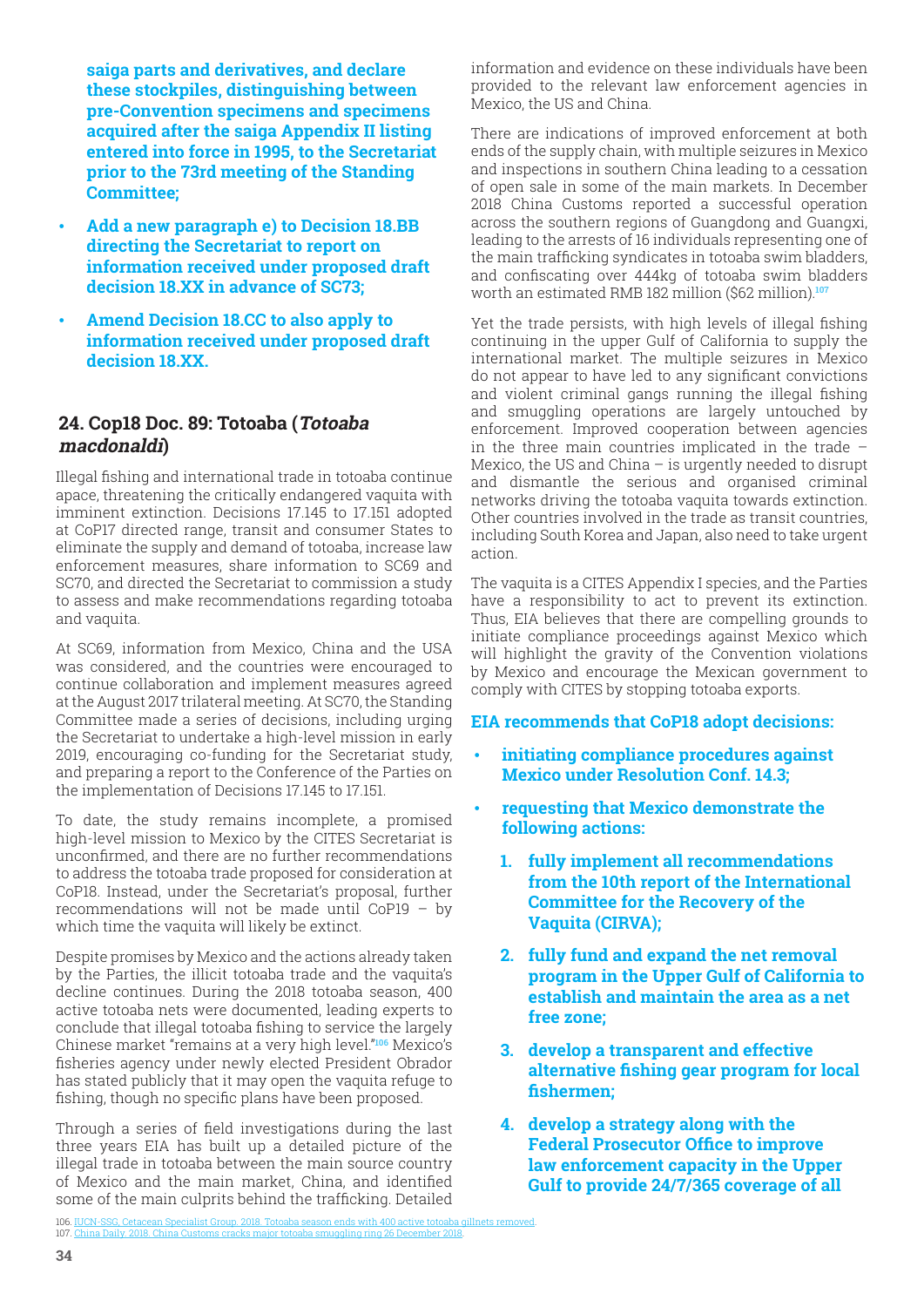<span id="page-33-0"></span>**saiga parts and derivatives, and declare these stockpiles, distinguishing between pre-Convention specimens and specimens acquired after the saiga Appendix II listing entered into force in 1995, to the Secretariat prior to the 73rd meeting of the Standing Committee;** 

- **Add a new paragraph e) to Decision 18.BB directing the Secretariat to report on information received under proposed draft decision 18.XX in advance of SC73;**
- **Amend Decision 18.CC to also apply to information received under proposed draft decision 18.XX.**

#### **24. Cop18 Doc. 89: Totoaba (Totoaba macdonaldi)**

Illegal fishing and international trade in totoaba continue apace, threatening the critically endangered vaquita with imminent extinction. Decisions 17.145 to 17.151 adopted at CoP17 directed range, transit and consumer States to eliminate the supply and demand of totoaba, increase law enforcement measures, share information to SC69 and SC70, and directed the Secretariat to commission a study to assess and make recommendations regarding totoaba and vaquita.

At SC69, information from Mexico, China and the USA was considered, and the countries were encouraged to continue collaboration and implement measures agreed at the August 2017 trilateral meeting. At SC70, the Standing Committee made a series of decisions, including urging the Secretariat to undertake a high-level mission in early 2019, encouraging co-funding for the Secretariat study, and preparing a report to the Conference of the Parties on the implementation of Decisions 17.145 to 17.151.

To date, the study remains incomplete, a promised high-level mission to Mexico by the CITES Secretariat is unconfirmed, and there are no further recommendations to address the totoaba trade proposed for consideration at CoP18. Instead, under the Secretariat's proposal, further recommendations will not be made until CoP19 – by which time the vaquita will likely be extinct.

Despite promises by Mexico and the actions already taken by the Parties, the illicit totoaba trade and the vaquita's decline continues. During the 2018 totoaba season, 400 active totoaba nets were documented, leading experts to conclude that illegal totoaba fishing to service the largely Chinese market "remains at a very high level."**106** Mexico's fisheries agency under newly elected President Obrador has stated publicly that it may open the vaquita refuge to fishing, though no specific plans have been proposed.

Through a series of field investigations during the last three years EIA has built up a detailed picture of the illegal trade in totoaba between the main source country of Mexico and the main market, China, and identified some of the main culprits behind the trafficking. Detailed information and evidence on these individuals have been provided to the relevant law enforcement agencies in Mexico, the US and China.

There are indications of improved enforcement at both ends of the supply chain, with multiple seizures in Mexico and inspections in southern China leading to a cessation of open sale in some of the main markets. In December 2018 China Customs reported a successful operation across the southern regions of Guangdong and Guangxi, leading to the arrests of 16 individuals representing one of the main trafficking syndicates in totoaba swim bladders, and confiscating over 444kg of totoaba swim bladders worth an estimated RMB 182 million (\$62 million).**<sup>107</sup>**

Yet the trade persists, with high levels of illegal fishing continuing in the upper Gulf of California to supply the international market. The multiple seizures in Mexico do not appear to have led to any significant convictions and violent criminal gangs running the illegal fishing and smuggling operations are largely untouched by enforcement. Improved cooperation between agencies in the three main countries implicated in the trade – Mexico, the US and China  $-$  is urgently needed to disrupt and dismantle the serious and organised criminal networks driving the totoaba vaquita towards extinction. Other countries involved in the trade as transit countries, including South Korea and Japan, also need to take urgent action.

The vaquita is a CITES Appendix I species, and the Parties have a responsibility to act to prevent its extinction. Thus, EIA believes that there are compelling grounds to initiate compliance proceedings against Mexico which will highlight the gravity of the Convention violations by Mexico and encourage the Mexican government to comply with CITES by stopping totoaba exports.

#### **EIA recommends that CoP18 adopt decisions:**

- **initiating compliance procedures against Mexico under Resolution Conf. 14.3;**
- **requesting that Mexico demonstrate the following actions:**
	- **1. fully implement all recommendations from the 10th report of the International Committee for the Recovery of the Vaquita (CIRVA);**
	- **2. fully fund and expand the net removal program in the Upper Gulf of California to establish and maintain the area as a net free zone;**
	- **3. develop a transparent and effective alternative fishing gear program for local fishermen;**
	- **4. develop a strategy along with the Federal Prosecutor Office to improve law enforcement capacity in the Upper Gulf to provide 24/7/365 coverage of all**

<sup>106.</sup> IUCN-SSG, Cetacean Specialist Group. 2018. Totoaba season ends with 400 active totoaba gillnets rem 107. China Daily. 2018. China Customs cracks major totoaba smugg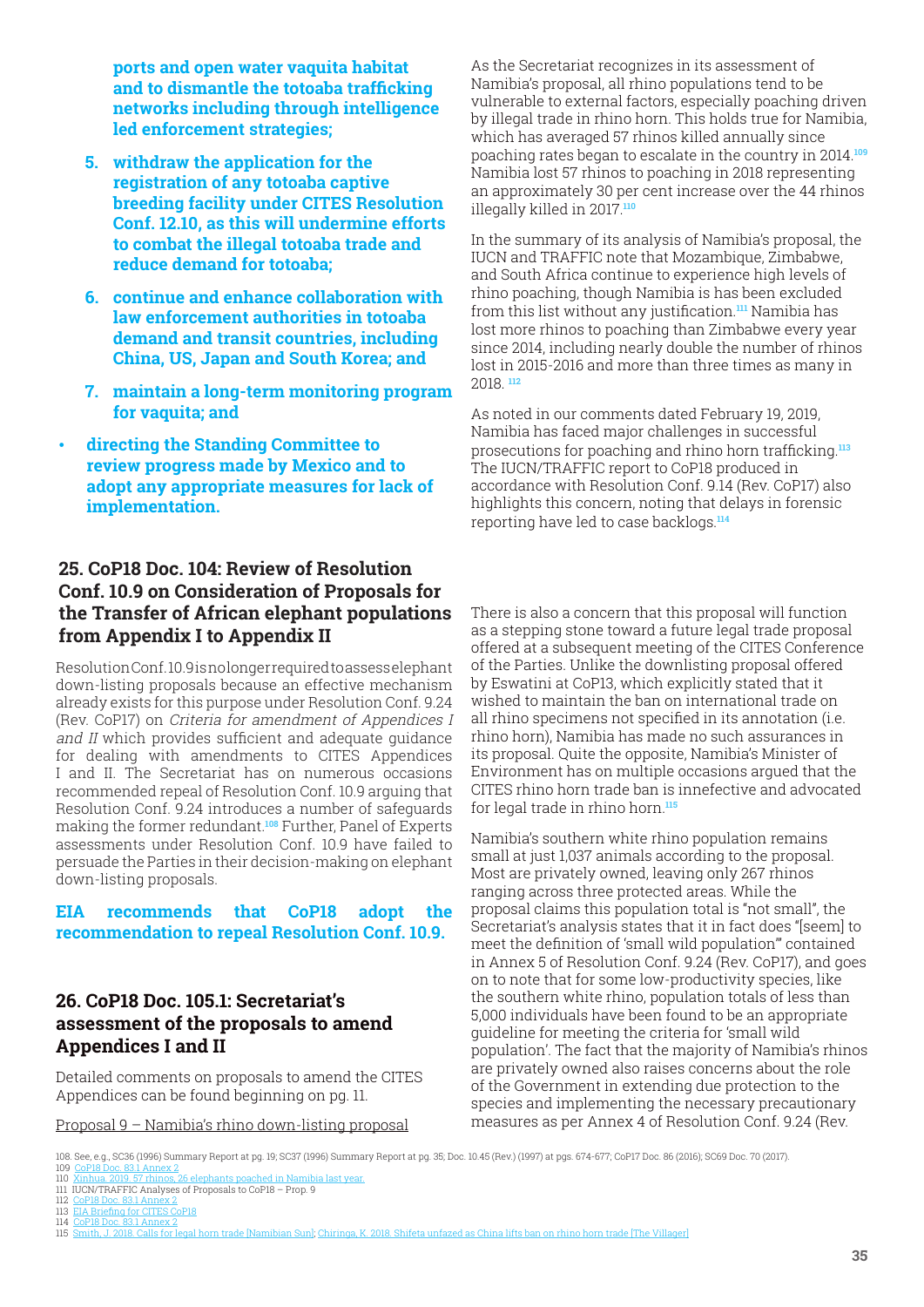<span id="page-34-0"></span>**ports and open water vaquita habitat and to dismantle the totoaba trafficking networks including through intelligence led enforcement strategies;**

- **5. withdraw the application for the registration of any totoaba captive breeding facility under CITES Resolution Conf. 12.10, as this will undermine efforts to combat the illegal totoaba trade and reduce demand for totoaba;**
- **6. continue and enhance collaboration with law enforcement authorities in totoaba demand and transit countries, including China, US, Japan and South Korea; and**
- **7. maintain a long-term monitoring program for vaquita; and**
- **directing the Standing Committee to review progress made by Mexico and to adopt any appropriate measures for lack of implementation.**

## **25. CoP18 Doc. 104: Review of Resolution Conf. 10.9 on Consideration of Proposals for the Transfer of African elephant populations from Appendix I to Appendix II**

Resolution Conf. 10.9 is no longer required to assess elephant down-listing proposals because an effective mechanism already exists for this purpose under Resolution Conf. 9.24 (Rev. CoP17) on Criteria for amendment of Appendices I and II which provides sufficient and adequate guidance for dealing with amendments to CITES Appendices I and II. The Secretariat has on numerous occasions recommended repeal of Resolution Conf. 10.9 arguing that Resolution Conf. 9.24 introduces a number of safeguards making the former redundant.**108** Further, Panel of Experts assessments under Resolution Conf. 10.9 have failed to persuade the Parties in their decision-making on elephant down-listing proposals.

**EIA recommends that CoP18 adopt the recommendation to repeal Resolution Conf. 10.9.**

## **26. CoP18 Doc. 105.1: Secretariat's assessment of the proposals to amend Appendices I and II**

Detailed comments on proposals to amend the CITES Appendices can be found beginning on pg. 11.

Proposal 9 – Namibia's rhino down-listing proposal

As the Secretariat recognizes in its assessment of Namibia's proposal, all rhino populations tend to be vulnerable to external factors, especially poaching driven by illegal trade in rhino horn. This holds true for Namibia, which has averaged 57 rhinos killed annually since poaching rates began to escalate in the country in 2014.**<sup>109</sup>** Namibia lost 57 rhinos to poaching in 2018 representing an approximately 30 per cent increase over the 44 rhinos illegally killed in 2017.**<sup>110</sup>**

In the summary of its analysis of Namibia's proposal, the IUCN and TRAFFIC note that Mozambique, Zimbabwe, and South Africa continue to experience high levels of rhino poaching, though Namibia is has been excluded from this list without any justification.**111** Namibia has lost more rhinos to poaching than Zimbabwe every year since 2014, including nearly double the number of rhinos lost in 2015-2016 and more than three times as many in 2018. **<sup>112</sup>**

As noted in our comments dated February 19, 2019, Namibia has faced major challenges in successful prosecutions for poaching and rhino horn trafficking.**<sup>113</sup>** The IUCN/TRAFFIC report to CoP18 produced in accordance with Resolution Conf. 9.14 (Rev. CoP17) also highlights this concern, noting that delays in forensic reporting have led to case backlogs.**<sup>114</sup>**

There is also a concern that this proposal will function as a stepping stone toward a future legal trade proposal offered at a subsequent meeting of the CITES Conference of the Parties. Unlike the downlisting proposal offered by Eswatini at CoP13, which explicitly stated that it wished to maintain the ban on international trade on all rhino specimens not specified in its annotation (i.e. rhino horn), Namibia has made no such assurances in its proposal. Quite the opposite, Namibia's Minister of Environment has on multiple occasions argued that the CITES rhino horn trade ban is innefective and advocated for legal trade in rhino horn.**<sup>115</sup>**

Namibia's southern white rhino population remains small at just 1,037 animals according to the proposal. Most are privately owned, leaving only 267 rhinos ranging across three protected areas. While the proposal claims this population total is "not small", the Secretariat's analysis states that it in fact does "[seem] to meet the definition of 'small wild population'" contained in Annex 5 of Resolution Conf. 9.24 (Rev. CoP17), and goes on to note that for some low-productivity species, like the southern white rhino, population totals of less than 5,000 individuals have been found to be an appropriate guideline for meeting the criteria for 'small wild population'. The fact that the majority of Namibia's rhinos are privately owned also raises concerns about the role of the Government in extending due protection to the species and implementing the necessary precautionary measures as per Annex 4 of Resolution Conf. 9.24 (Rev.

- 111 IUCN/TRAFFIC Analyses of Proposals to CoP18 Prop. 9
- 112 CoP18 Doc. 83.1 Annex 2 113 EIA Briefing for CITES CoP18

<sup>108.</sup> See, e.g., SC36 (1996) Summary Report at pg. 19; SC37 (1996) Summary Report at pg. 35; Doc. 10.45 (Rev.) (1997) at pgs. 674-677; CoP17 Doc. 86 (2016); SC69 Doc. 70 (2017)<br>109 CoP18 Doc. 83.1 Annex 2

<sup>109</sup> CoP18 Doc. 83.1 Annex 2<br>110 Xinhua 2019 57 rhinos 2 110 Xinhua. 2019. 57 rhinos, 26 elephants poached in Namibia last year.

<sup>114</sup> CoP18 Doc. 83.1 Annex 2

<sup>115</sup> Smith, J. 2018. Calls for legal horn trade [Namibian Sun]; Chiringa, K. 2018. Shifeta unfazed as China lifts ban on rhino horn trade [The Villager]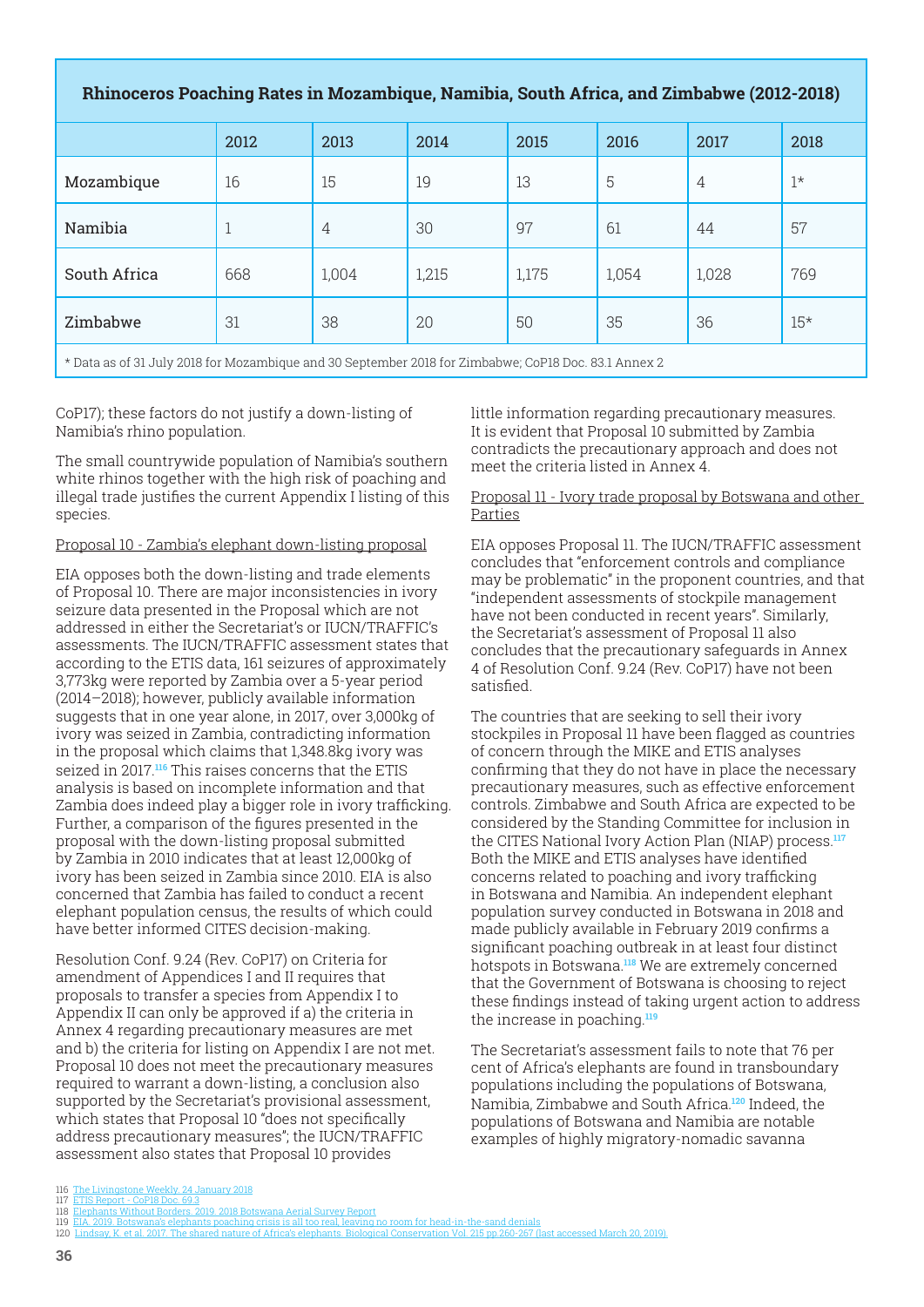#### **Rhinoceros Poaching Rates in Mozambique, Namibia, South Africa, and Zimbabwe (2012-2018)**

|                                                                                                      | 2012 | 2013  | 2014  | 2015  | 2016  | 2017           | 2018        |  |  |
|------------------------------------------------------------------------------------------------------|------|-------|-------|-------|-------|----------------|-------------|--|--|
| Mozambique                                                                                           | 16   | 15    | 19    | 13    | 5     | $\overline{4}$ | $1^{\star}$ |  |  |
| Namibia                                                                                              | 1    | 4     | 30    | 97    | 61    | 44             | 57          |  |  |
| South Africa                                                                                         | 668  | 1,004 | 1,215 | 1,175 | 1,054 | 1,028          | 769         |  |  |
| Zimbabwe                                                                                             | 31   | 38    | 20    | 50    | 35    | 36             | $15*$       |  |  |
| * Data as of 31 July 2018 for Mozambique and 30 September 2018 for Zimbabwe; CoP18 Doc. 83.1 Annex 2 |      |       |       |       |       |                |             |  |  |

CoP17); these factors do not justify a down-listing of Namibia's rhino population.

The small countrywide population of Namibia's southern white rhinos together with the high risk of poaching and illegal trade justifies the current Appendix I listing of this species.

#### Proposal 10 - Zambia's elephant down-listing proposal

EIA opposes both the down-listing and trade elements of Proposal 10. There are major inconsistencies in ivory seizure data presented in the Proposal which are not addressed in either the Secretariat's or IUCN/TRAFFIC's assessments. The IUCN/TRAFFIC assessment states that according to the ETIS data, 161 seizures of approximately 3,773kg were reported by Zambia over a 5-year period (2014–2018); however, publicly available information suggests that in one year alone, in 2017, over 3,000kg of ivory was seized in Zambia, contradicting information in the proposal which claims that 1,348.8kg ivory was seized in 2017.**116** This raises concerns that the ETIS analysis is based on incomplete information and that Zambia does indeed play a bigger role in ivory trafficking. Further, a comparison of the figures presented in the proposal with the down-listing proposal submitted by Zambia in 2010 indicates that at least 12,000kg of ivory has been seized in Zambia since 2010. EIA is also concerned that Zambia has failed to conduct a recent elephant population census, the results of which could have better informed CITES decision-making.

Resolution Conf. 9.24 (Rev. CoP17) on Criteria for amendment of Appendices I and II requires that proposals to transfer a species from Appendix I to Appendix II can only be approved if a) the criteria in Annex 4 regarding precautionary measures are met and b) the criteria for listing on Appendix I are not met. Proposal 10 does not meet the precautionary measures required to warrant a down-listing, a conclusion also supported by the Secretariat's provisional assessment, which states that Proposal 10 "does not specifically address precautionary measures"; the IUCN/TRAFFIC assessment also states that Proposal 10 provides

little information regarding precautionary measures. It is evident that Proposal 10 submitted by Zambia contradicts the precautionary approach and does not meet the criteria listed in Annex 4.

#### Proposal 11 - Ivory trade proposal by Botswana and other Parties

EIA opposes Proposal 11. The IUCN/TRAFFIC assessment concludes that "enforcement controls and compliance may be problematic" in the proponent countries, and that "independent assessments of stockpile management have not been conducted in recent years". Similarly, the Secretariat's assessment of Proposal 11 also concludes that the precautionary safeguards in Annex 4 of Resolution Conf. 9.24 (Rev. CoP17) have not been satisfied.

The countries that are seeking to sell their ivory stockpiles in Proposal 11 have been flagged as countries of concern through the MIKE and ETIS analyses confirming that they do not have in place the necessary precautionary measures, such as effective enforcement controls. Zimbabwe and South Africa are expected to be considered by the Standing Committee for inclusion in the CITES National Ivory Action Plan (NIAP) process.**<sup>117</sup>** Both the MIKE and ETIS analyses have identified concerns related to poaching and ivory trafficking in Botswana and Namibia. An independent elephant population survey conducted in Botswana in 2018 and made publicly available in February 2019 confirms a significant poaching outbreak in at least four distinct hotspots in Botswana.**118** We are extremely concerned that the Government of Botswana is choosing to reject these findings instead of taking urgent action to address the increase in poaching.**<sup>119</sup>**

The Secretariat's assessment fails to note that 76 per cent of Africa's elephants are found in transboundary populations including the populations of Botswana, Namibia, Zimbabwe and South Africa.**120** Indeed, the populations of Botswana and Namibia are notable examples of highly migratory-nomadic savanna

<sup>116</sup> The Livingstone Weekly. 24 January 2018

<sup>117</sup> ETIS Report - CoP18 Doc. 69.3 118 Elephants Without Borders. 2019. 2018 Botswana Aerial Survey Report

<sup>119</sup> EIA. 2019. Botswana's elephants poaching crisis is all too real, leaving no room for head-in-the-sand denials

<sup>120</sup> Lindsay, K. et al. 2017. The shared nature of Africa's elephants. Biological Cons[ervation Vol. 215 pp.260-267 \(last accessed March 20, 2019\).](https://www.earthtouchnews.com/environmental-crime/illegal-trade/tortoises-starry-shell-makes-it-a-target-for-shocking-illegal-trade/)